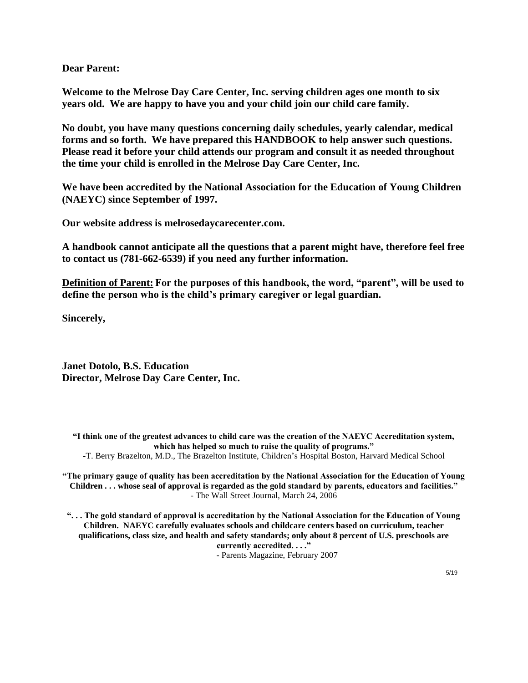**Dear Parent:**

**Welcome to the Melrose Day Care Center, Inc. serving children ages one month to six years old. We are happy to have you and your child join our child care family.**

**No doubt, you have many questions concerning daily schedules, yearly calendar, medical forms and so forth. We have prepared this HANDBOOK to help answer such questions. Please read it before your child attends our program and consult it as needed throughout the time your child is enrolled in the Melrose Day Care Center, Inc.**

**We have been accredited by the National Association for the Education of Young Children (NAEYC) since September of 1997.**

**Our website address is melrosedaycarecenter.com.** 

**A handbook cannot anticipate all the questions that a parent might have, therefore feel free to contact us (781-662-6539) if you need any further information.**

**Definition of Parent: For the purposes of this handbook, the word, "parent", will be used to define the person who is the child's primary caregiver or legal guardian.**

**Sincerely,**

**Janet Dotolo, B.S. Education Director, Melrose Day Care Center, Inc.**

**"I think one of the greatest advances to child care was the creation of the NAEYC Accreditation system, which has helped so much to raise the quality of programs."** 

-T. Berry Brazelton, M.D., The Brazelton Institute, Children's Hospital Boston, Harvard Medical School

**"The primary gauge of quality has been accreditation by the National Association for the Education of Young Children . . . whose seal of approval is regarded as the gold standard by parents, educators and facilities."**  - The Wall Street Journal, March 24, 2006

**". . . The gold standard of approval is accreditation by the National Association for the Education of Young Children. NAEYC carefully evaluates schools and childcare centers based on curriculum, teacher qualifications, class size, and health and safety standards; only about 8 percent of U.S. preschools are currently accredited. . . ."**

- Parents Magazine, February 2007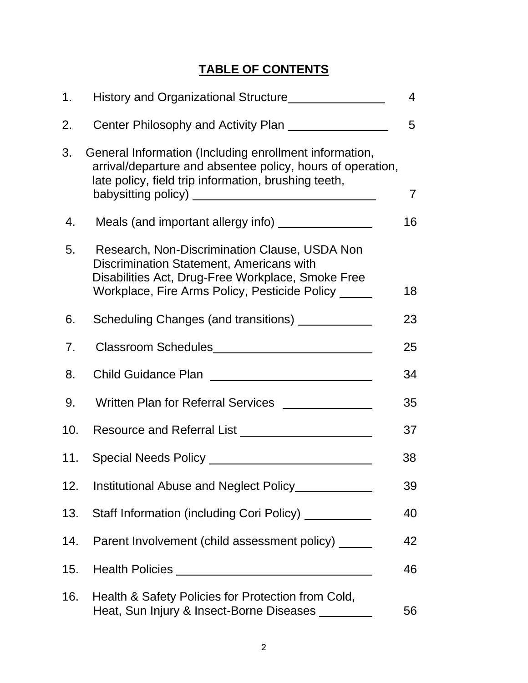# **TABLE OF CONTENTS**

| 1.  |                                                                                                                                                                                                       | $\overline{4}$ |
|-----|-------------------------------------------------------------------------------------------------------------------------------------------------------------------------------------------------------|----------------|
| 2.  | Center Philosophy and Activity Plan                                                                                                                                                                   | 5              |
| 3.  | General Information (Including enrollment information,<br>arrival/departure and absentee policy, hours of operation,<br>late policy, field trip information, brushing teeth,                          | $\overline{7}$ |
| 4.  |                                                                                                                                                                                                       | 16             |
| 5.  | Research, Non-Discrimination Clause, USDA Non<br>Discrimination Statement, Americans with<br>Disabilities Act, Drug-Free Workplace, Smoke Free<br>Workplace, Fire Arms Policy, Pesticide Policy _____ | 18             |
| 6.  | Scheduling Changes (and transitions) ___________                                                                                                                                                      | 23             |
| 7.  |                                                                                                                                                                                                       | 25             |
| 8.  |                                                                                                                                                                                                       | 34             |
| 9.  | Written Plan for Referral Services ______________                                                                                                                                                     | 35             |
| 10. |                                                                                                                                                                                                       | 37             |
| 11. |                                                                                                                                                                                                       | 38             |
| 12. |                                                                                                                                                                                                       | 39             |
| 13. | Staff Information (including Cori Policy) __________                                                                                                                                                  | 40             |
| 14. | Parent Involvement (child assessment policy) ______                                                                                                                                                   | 42             |
| 15. |                                                                                                                                                                                                       | 46             |
| 16. | Health & Safety Policies for Protection from Cold,<br>Heat, Sun Injury & Insect-Borne Diseases _________                                                                                              | 56             |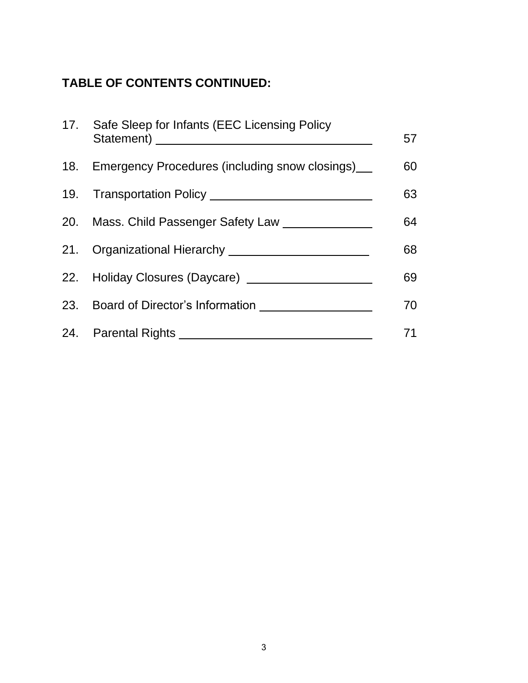# **TABLE OF CONTENTS CONTINUED:**

<span id="page-2-0"></span>

| 17. Safe Sleep for Infants (EEC Licensing Policy      | 57 |
|-------------------------------------------------------|----|
| 18. Emergency Procedures (including snow closings)    | 60 |
|                                                       | 63 |
| 20. Mass. Child Passenger Safety Law ________________ | 64 |
| 21. Organizational Hierarchy _______________          | 68 |
|                                                       | 69 |
|                                                       | 70 |
|                                                       | 71 |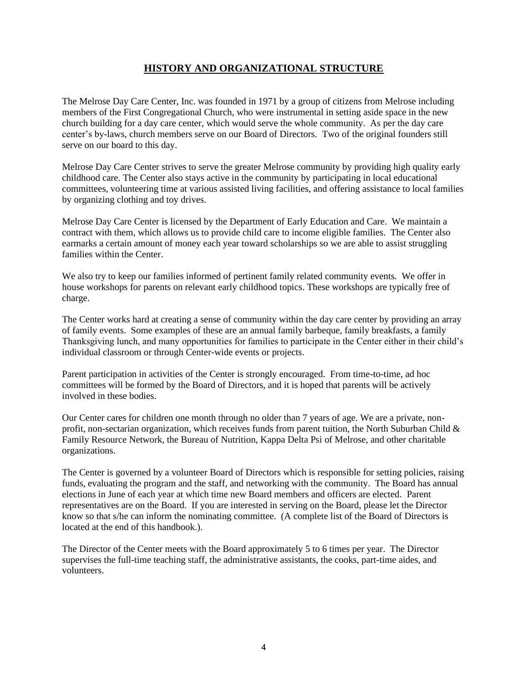#### **HISTORY AND ORGANIZATIONAL STRUCTURE**

The Melrose Day Care Center, Inc. was founded in 1971 by a group of citizens from Melrose including members of the First Congregational Church, who were instrumental in setting aside space in the new church building for a day care center, which would serve the whole community. As per the day care center's by-laws, church members serve on our Board of Directors. Two of the original founders still serve on our board to this day.

Melrose Day Care Center strives to serve the greater Melrose community by providing high quality early childhood care. The Center also stays active in the community by participating in local educational committees, volunteering time at various assisted living facilities, and offering assistance to local families by organizing clothing and toy drives.

Melrose Day Care Center is licensed by the Department of Early Education and Care. We maintain a contract with them, which allows us to provide child care to income eligible families. The Center also earmarks a certain amount of money each year toward scholarships so we are able to assist struggling families within the Center.

We also try to keep our families informed of pertinent family related community events. We offer in house workshops for parents on relevant early childhood topics. These workshops are typically free of charge.

The Center works hard at creating a sense of community within the day care center by providing an array of family events. Some examples of these are an annual family barbeque, family breakfasts, a family Thanksgiving lunch, and many opportunities for families to participate in the Center either in their child's individual classroom or through Center-wide events or projects.

Parent participation in activities of the Center is strongly encouraged. From time-to-time, ad hoc committees will be formed by the Board of Directors, and it is hoped that parents will be actively involved in these bodies.

Our Center cares for children one month through no older than 7 years of age. We are a private, nonprofit, non-sectarian organization, which receives funds from parent tuition, the North Suburban Child  $\&$ Family Resource Network, the Bureau of Nutrition, Kappa Delta Psi of Melrose, and other charitable organizations.

The Center is governed by a volunteer Board of Directors which is responsible for setting policies, raising funds, evaluating the program and the staff, and networking with the community. The Board has annual elections in June of each year at which time new Board members and officers are elected. Parent representatives are on the Board. If you are interested in serving on the Board, please let the Director know so that s/he can inform the nominating committee. (A complete list of the Board of Directors is located at the end of this handbook.).

<span id="page-3-0"></span>The Director of the Center meets with the Board approximately 5 to 6 times per year. The Director supervises the full-time teaching staff, the administrative assistants, the cooks, part-time aides, and volunteers.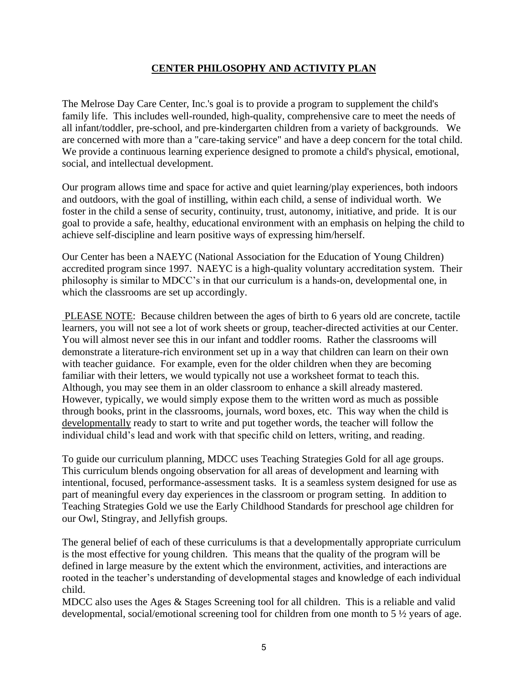#### **CENTER PHILOSOPHY AND ACTIVITY PLAN**

The Melrose Day Care Center, Inc.'s goal is to provide a program to supplement the child's family life. This includes well-rounded, high-quality, comprehensive care to meet the needs of all infant/toddler, pre-school, and pre-kindergarten children from a variety of backgrounds. We are concerned with more than a "care-taking service" and have a deep concern for the total child. We provide a continuous learning experience designed to promote a child's physical, emotional, social, and intellectual development.

Our program allows time and space for active and quiet learning/play experiences, both indoors and outdoors, with the goal of instilling, within each child, a sense of individual worth. We foster in the child a sense of security, continuity, trust, autonomy, initiative, and pride. It is our goal to provide a safe, healthy, educational environment with an emphasis on helping the child to achieve self-discipline and learn positive ways of expressing him/herself.

Our Center has been a NAEYC (National Association for the Education of Young Children) accredited program since 1997. NAEYC is a high-quality voluntary accreditation system. Their philosophy is similar to MDCC's in that our curriculum is a hands-on, developmental one, in which the classrooms are set up accordingly.

PLEASE NOTE: Because children between the ages of birth to 6 years old are concrete, tactile learners, you will not see a lot of work sheets or group, teacher-directed activities at our Center. You will almost never see this in our infant and toddler rooms. Rather the classrooms will demonstrate a literature-rich environment set up in a way that children can learn on their own with teacher guidance. For example, even for the older children when they are becoming familiar with their letters, we would typically not use a worksheet format to teach this. Although, you may see them in an older classroom to enhance a skill already mastered. However, typically, we would simply expose them to the written word as much as possible through books, print in the classrooms, journals, word boxes, etc. This way when the child is developmentally ready to start to write and put together words, the teacher will follow the individual child's lead and work with that specific child on letters, writing, and reading.

To guide our curriculum planning, MDCC uses Teaching Strategies Gold for all age groups. This curriculum blends ongoing observation for all areas of development and learning with intentional, focused, performance-assessment tasks. It is a seamless system designed for use as part of meaningful every day experiences in the classroom or program setting. In addition to Teaching Strategies Gold we use the Early Childhood Standards for preschool age children for our Owl, Stingray, and Jellyfish groups.

The general belief of each of these curriculums is that a developmentally appropriate curriculum is the most effective for young children. This means that the quality of the program will be defined in large measure by the extent which the environment, activities, and interactions are rooted in the teacher's understanding of developmental stages and knowledge of each individual child.

MDCC also uses the Ages & Stages Screening tool for all children. This is a reliable and valid developmental, social/emotional screening tool for children from one month to 5 ½ years of age.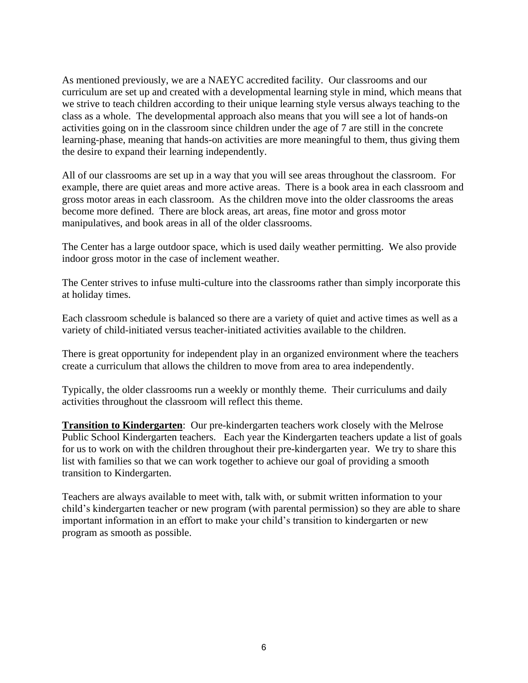As mentioned previously, we are a NAEYC accredited facility. Our classrooms and our curriculum are set up and created with a developmental learning style in mind, which means that we strive to teach children according to their unique learning style versus always teaching to the class as a whole. The developmental approach also means that you will see a lot of hands-on activities going on in the classroom since children under the age of 7 are still in the concrete learning-phase, meaning that hands-on activities are more meaningful to them, thus giving them the desire to expand their learning independently.

All of our classrooms are set up in a way that you will see areas throughout the classroom. For example, there are quiet areas and more active areas. There is a book area in each classroom and gross motor areas in each classroom. As the children move into the older classrooms the areas become more defined. There are block areas, art areas, fine motor and gross motor manipulatives, and book areas in all of the older classrooms.

The Center has a large outdoor space, which is used daily weather permitting. We also provide indoor gross motor in the case of inclement weather.

The Center strives to infuse multi-culture into the classrooms rather than simply incorporate this at holiday times.

Each classroom schedule is balanced so there are a variety of quiet and active times as well as a variety of child-initiated versus teacher-initiated activities available to the children.

There is great opportunity for independent play in an organized environment where the teachers create a curriculum that allows the children to move from area to area independently.

Typically, the older classrooms run a weekly or monthly theme. Their curriculums and daily activities throughout the classroom will reflect this theme.

**Transition to Kindergarten**: Our pre-kindergarten teachers work closely with the Melrose Public School Kindergarten teachers. Each year the Kindergarten teachers update a list of goals for us to work on with the children throughout their pre-kindergarten year. We try to share this list with families so that we can work together to achieve our goal of providing a smooth transition to Kindergarten.

Teachers are always available to meet with, talk with, or submit written information to your child's kindergarten teacher or new program (with parental permission) so they are able to share important information in an effort to make your child's transition to kindergarten or new program as smooth as possible.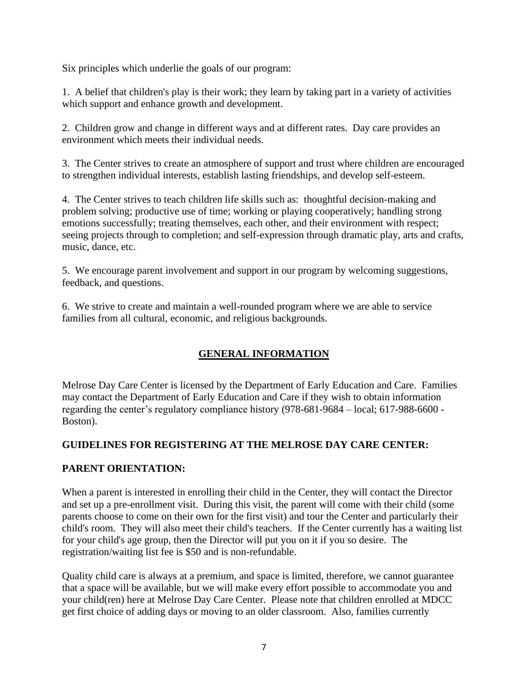Six principles which underlie the goals of our program:

1. A belief that children's play is their work; they learn by taking part in a variety of activities which support and enhance growth and development.

2. Children grow and change in different ways and at different rates. Day care provides an environment which meets their individual needs.

3. The Center strives to create an atmosphere of support and trust where children are encouraged to strengthen individual interests, establish lasting friendships, and develop self-esteem.

4. The Center strives to teach children life skills such as: thoughtful decision-making and problem solving; productive use of time; working or playing cooperatively; handling strong emotions successfully; treating themselves, each other, and their environment with respect; seeing projects through to completion; and self-expression through dramatic play, arts and crafts, music, dance, etc.

5. We encourage parent involvement and support in our program by welcoming suggestions, feedback, and questions.

6. We strive to create and maintain a well-rounded program where we are able to service families from all cultural, economic, and religious backgrounds.

# **GENERAL INFORMATION**

<span id="page-6-0"></span>Melrose Day Care Center is licensed by the Department of Early Education and Care. Families may contact the Department of Early Education and Care if they wish to obtain information regarding the center's regulatory compliance history (978-681-9684 – local; 617-988-6600 - Boston).

## <span id="page-6-1"></span>**GUIDELINES FOR REGISTERING AT THE MELROSE DAY CARE CENTER:**

## **PARENT ORIENTATION:**

When a parent is interested in enrolling their child in the Center, they will contact the Director and set up a pre-enrollment visit. During this visit, the parent will come with their child (some parents choose to come on their own for the first visit) and tour the Center and particularly their child's room. They will also meet their child's teachers. If the Center currently has a waiting list for your child's age group, then the Director will put you on it if you so desire. The registration/waiting list fee is \$50 and is non-refundable.

Quality child care is always at a premium, and space is limited, therefore, we cannot guarantee that a space will be available, but we will make every effort possible to accommodate you and your child(ren) here at Melrose Day Care Center. Please note that children enrolled at MDCC get first choice of adding days or moving to an older classroom. Also, families currently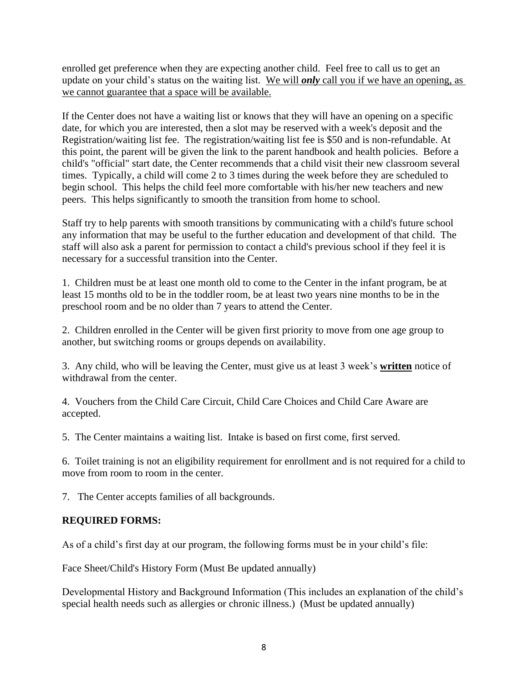enrolled get preference when they are expecting another child. Feel free to call us to get an update on your child's status on the waiting list. We will *only* call you if we have an opening, as we cannot guarantee that a space will be available.

If the Center does not have a waiting list or knows that they will have an opening on a specific date, for which you are interested, then a slot may be reserved with a week's deposit and the Registration/waiting list fee. The registration/waiting list fee is \$50 and is non-refundable. At this point, the parent will be given the link to the parent handbook and health policies. Before a child's "official" start date, the Center recommends that a child visit their new classroom several times. Typically, a child will come 2 to 3 times during the week before they are scheduled to begin school. This helps the child feel more comfortable with his/her new teachers and new peers. This helps significantly to smooth the transition from home to school.

Staff try to help parents with smooth transitions by communicating with a child's future school any information that may be useful to the further education and development of that child. The staff will also ask a parent for permission to contact a child's previous school if they feel it is necessary for a successful transition into the Center.

1. Children must be at least one month old to come to the Center in the infant program, be at least 15 months old to be in the toddler room, be at least two years nine months to be in the preschool room and be no older than 7 years to attend the Center.

2. Children enrolled in the Center will be given first priority to move from one age group to another, but switching rooms or groups depends on availability.

3. Any child, who will be leaving the Center, must give us at least 3 week's **written** notice of withdrawal from the center.

4. Vouchers from the Child Care Circuit, Child Care Choices and Child Care Aware are accepted.

5. The Center maintains a waiting list. Intake is based on first come, first served.

6. Toilet training is not an eligibility requirement for enrollment and is not required for a child to move from room to room in the center.

7. The Center accepts families of all backgrounds.

#### **REQUIRED FORMS:**

As of a child's first day at our program, the following forms must be in your child's file:

Face Sheet/Child's History Form (Must Be updated annually)

Developmental History and Background Information (This includes an explanation of the child's special health needs such as allergies or chronic illness.) (Must be updated annually)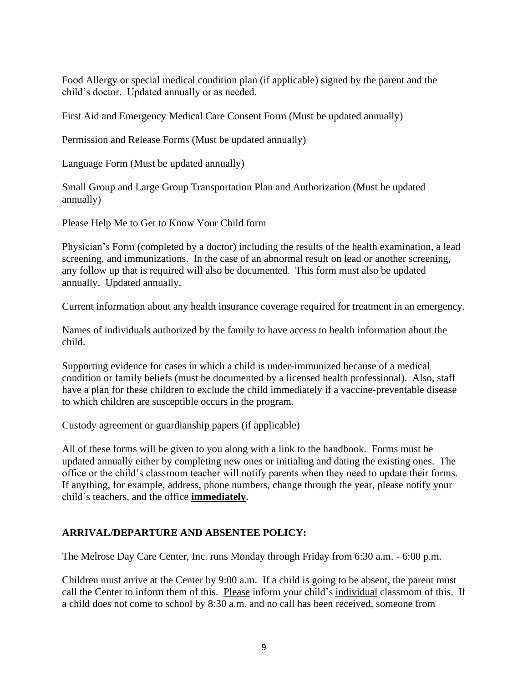Food Allergy or special medical condition plan (if applicable) signed by the parent and the child's doctor. Updated annually or as needed.

First Aid and Emergency Medical Care Consent Form (Must be updated annually)

Permission and Release Forms (Must be updated annually)

Language Form (Must be updated annually)

Small Group and Large Group Transportation Plan and Authorization (Must be updated annually)

Please Help Me to Get to Know Your Child form

Physician's Form (completed by a doctor) including the results of the health examination, a lead screening, and immunizations. In the case of an abnormal result on lead or another screening, any follow up that is required will also be documented. This form must also be updated annually. Updated annually.

Current information about any health insurance coverage required for treatment in an emergency.

Names of individuals authorized by the family to have access to health information about the child.

Supporting evidence for cases in which a child is under-immunized because of a medical condition or family beliefs (must be documented by a licensed health professional). Also, staff have a plan for these children to exclude the child immediately if a vaccine-preventable disease to which children are susceptible occurs in the program.

Custody agreement or guardianship papers (if applicable)

All of these forms will be given to you along with a link to the handbook. Forms must be updated annually either by completing new ones or initialing and dating the existing ones. The office or the child's classroom teacher will notify parents when they need to update their forms. If anything, for example, address, phone numbers, change through the year, please notify your child's teachers, and the office **immediately**.

#### <span id="page-8-0"></span>**ARRIVAL/DEPARTURE AND ABSENTEE POLICY:**

The Melrose Day Care Center, Inc. runs Monday through Friday from 6:30 a.m. - 6:00 p.m.

Children must arrive at the Center by 9:00 a.m. If a child is going to be absent, the parent must call the Center to inform them of this. Please inform your child's individual classroom of this. If a child does not come to school by 8:30 a.m. and no call has been received, someone from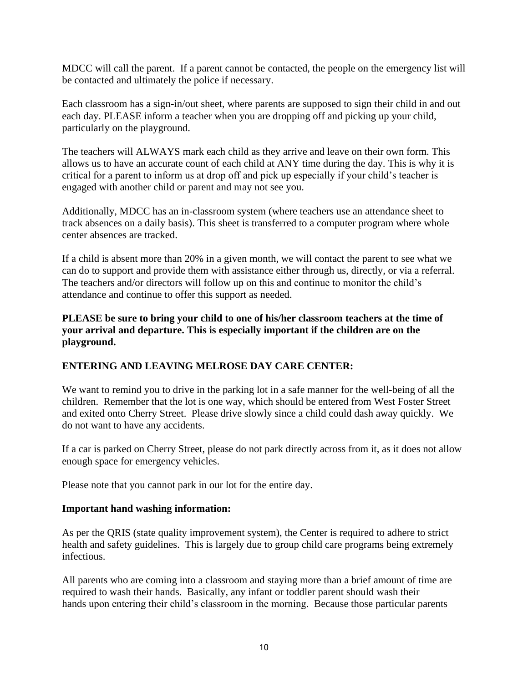MDCC will call the parent. If a parent cannot be contacted, the people on the emergency list will be contacted and ultimately the police if necessary.

Each classroom has a sign-in/out sheet, where parents are supposed to sign their child in and out each day. PLEASE inform a teacher when you are dropping off and picking up your child, particularly on the playground.

The teachers will ALWAYS mark each child as they arrive and leave on their own form. This allows us to have an accurate count of each child at ANY time during the day. This is why it is critical for a parent to inform us at drop off and pick up especially if your child's teacher is engaged with another child or parent and may not see you.

Additionally, MDCC has an in-classroom system (where teachers use an attendance sheet to track absences on a daily basis). This sheet is transferred to a computer program where whole center absences are tracked.

If a child is absent more than 20% in a given month, we will contact the parent to see what we can do to support and provide them with assistance either through us, directly, or via a referral. The teachers and/or directors will follow up on this and continue to monitor the child's attendance and continue to offer this support as needed.

**PLEASE be sure to bring your child to one of his/her classroom teachers at the time of your arrival and departure. This is especially important if the children are on the playground.**

#### **ENTERING AND LEAVING MELROSE DAY CARE CENTER:**

We want to remind you to drive in the parking lot in a safe manner for the well-being of all the children. Remember that the lot is one way, which should be entered from West Foster Street and exited onto Cherry Street. Please drive slowly since a child could dash away quickly. We do not want to have any accidents.

If a car is parked on Cherry Street, please do not park directly across from it, as it does not allow enough space for emergency vehicles.

Please note that you cannot park in our lot for the entire day.

#### **Important hand washing information:**

As per the QRIS (state quality improvement system), the Center is required to adhere to strict health and safety guidelines. This is largely due to group child care programs being extremely infectious.

All parents who are coming into a classroom and staying more than a brief amount of time are required to wash their hands. Basically, any infant or toddler parent should wash their hands upon entering their child's classroom in the morning. Because those particular parents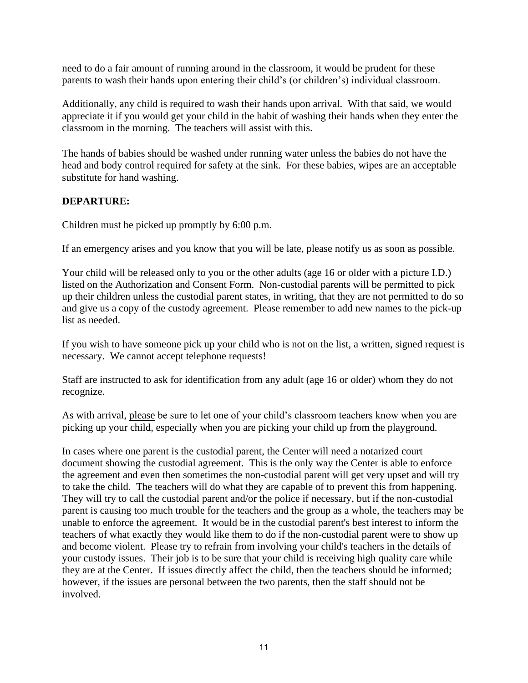need to do a fair amount of running around in the classroom, it would be prudent for these parents to wash their hands upon entering their child's (or children's) individual classroom.

Additionally, any child is required to wash their hands upon arrival. With that said, we would appreciate it if you would get your child in the habit of washing their hands when they enter the classroom in the morning. The teachers will assist with this.

The hands of babies should be washed under running water unless the babies do not have the head and body control required for safety at the sink. For these babies, wipes are an acceptable substitute for hand washing.

#### **DEPARTURE:**

Children must be picked up promptly by 6:00 p.m.

If an emergency arises and you know that you will be late, please notify us as soon as possible.

Your child will be released only to you or the other adults (age 16 or older with a picture I.D.) listed on the Authorization and Consent Form. Non-custodial parents will be permitted to pick up their children unless the custodial parent states, in writing, that they are not permitted to do so and give us a copy of the custody agreement. Please remember to add new names to the pick-up list as needed.

If you wish to have someone pick up your child who is not on the list, a written, signed request is necessary. We cannot accept telephone requests!

Staff are instructed to ask for identification from any adult (age 16 or older) whom they do not recognize.

As with arrival, please be sure to let one of your child's classroom teachers know when you are picking up your child, especially when you are picking your child up from the playground.

In cases where one parent is the custodial parent, the Center will need a notarized court document showing the custodial agreement. This is the only way the Center is able to enforce the agreement and even then sometimes the non-custodial parent will get very upset and will try to take the child. The teachers will do what they are capable of to prevent this from happening. They will try to call the custodial parent and/or the police if necessary, but if the non-custodial parent is causing too much trouble for the teachers and the group as a whole, the teachers may be unable to enforce the agreement. It would be in the custodial parent's best interest to inform the teachers of what exactly they would like them to do if the non-custodial parent were to show up and become violent. Please try to refrain from involving your child's teachers in the details of your custody issues. Their job is to be sure that your child is receiving high quality care while they are at the Center. If issues directly affect the child, then the teachers should be informed; however, if the issues are personal between the two parents, then the staff should not be involved.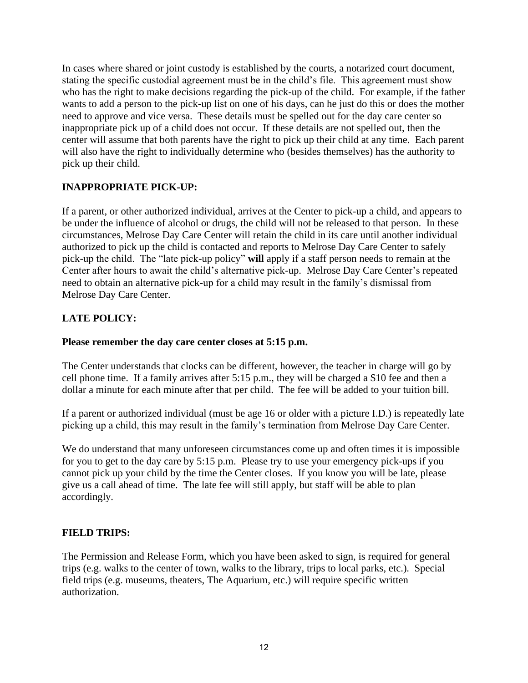In cases where shared or joint custody is established by the courts, a notarized court document, stating the specific custodial agreement must be in the child's file. This agreement must show who has the right to make decisions regarding the pick-up of the child. For example, if the father wants to add a person to the pick-up list on one of his days, can he just do this or does the mother need to approve and vice versa. These details must be spelled out for the day care center so inappropriate pick up of a child does not occur. If these details are not spelled out, then the center will assume that both parents have the right to pick up their child at any time. Each parent will also have the right to individually determine who (besides themselves) has the authority to pick up their child.

## **INAPPROPRIATE PICK-UP:**

If a parent, or other authorized individual, arrives at the Center to pick-up a child, and appears to be under the influence of alcohol or drugs, the child will not be released to that person. In these circumstances, Melrose Day Care Center will retain the child in its care until another individual authorized to pick up the child is contacted and reports to Melrose Day Care Center to safely pick-up the child. The "late pick-up policy" **will** apply if a staff person needs to remain at the Center after hours to await the child's alternative pick-up. Melrose Day Care Center's repeated need to obtain an alternative pick-up for a child may result in the family's dismissal from Melrose Day Care Center.

## **LATE POLICY:**

#### **Please remember the day care center closes at 5:15 p.m.**

The Center understands that clocks can be different, however, the teacher in charge will go by cell phone time. If a family arrives after 5:15 p.m., they will be charged a \$10 fee and then a dollar a minute for each minute after that per child. The fee will be added to your tuition bill.

If a parent or authorized individual (must be age 16 or older with a picture I.D.) is repeatedly late picking up a child, this may result in the family's termination from Melrose Day Care Center.

We do understand that many unforeseen circumstances come up and often times it is impossible for you to get to the day care by 5:15 p.m. Please try to use your emergency pick-ups if you cannot pick up your child by the time the Center closes. If you know you will be late, please give us a call ahead of time. The late fee will still apply, but staff will be able to plan accordingly.

#### **FIELD TRIPS:**

The Permission and Release Form, which you have been asked to sign, is required for general trips (e.g. walks to the center of town, walks to the library, trips to local parks, etc.). Special field trips (e.g. museums, theaters, The Aquarium, etc.) will require specific written authorization.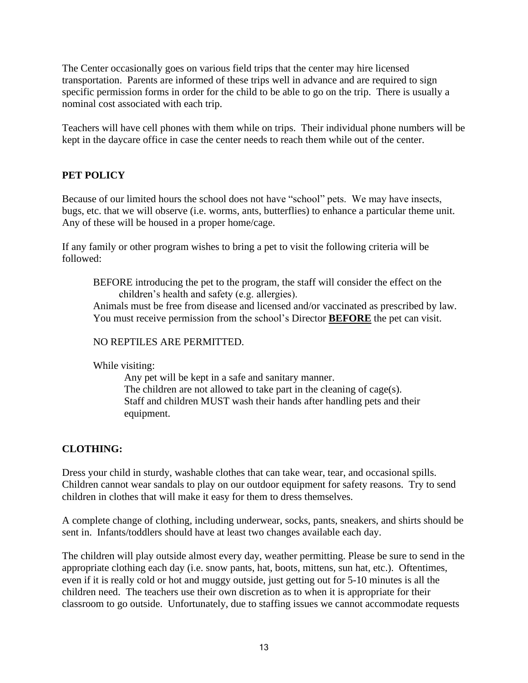The Center occasionally goes on various field trips that the center may hire licensed transportation. Parents are informed of these trips well in advance and are required to sign specific permission forms in order for the child to be able to go on the trip. There is usually a nominal cost associated with each trip.

Teachers will have cell phones with them while on trips. Their individual phone numbers will be kept in the daycare office in case the center needs to reach them while out of the center.

#### **PET POLICY**

Because of our limited hours the school does not have "school" pets. We may have insects, bugs, etc. that we will observe (i.e. worms, ants, butterflies) to enhance a particular theme unit. Any of these will be housed in a proper home/cage.

If any family or other program wishes to bring a pet to visit the following criteria will be followed:

BEFORE introducing the pet to the program, the staff will consider the effect on the children's health and safety (e.g. allergies).

Animals must be free from disease and licensed and/or vaccinated as prescribed by law. You must receive permission from the school's Director **BEFORE** the pet can visit.

#### NO REPTILES ARE PERMITTED.

While visiting:

Any pet will be kept in a safe and sanitary manner. The children are not allowed to take part in the cleaning of cage(s). Staff and children MUST wash their hands after handling pets and their equipment.

#### **CLOTHING:**

Dress your child in sturdy, washable clothes that can take wear, tear, and occasional spills. Children cannot wear sandals to play on our outdoor equipment for safety reasons. Try to send children in clothes that will make it easy for them to dress themselves.

A complete change of clothing, including underwear, socks, pants, sneakers, and shirts should be sent in. Infants/toddlers should have at least two changes available each day.

The children will play outside almost every day, weather permitting. Please be sure to send in the appropriate clothing each day (i.e. snow pants, hat, boots, mittens, sun hat, etc.). Oftentimes, even if it is really cold or hot and muggy outside, just getting out for 5-10 minutes is all the children need. The teachers use their own discretion as to when it is appropriate for their classroom to go outside. Unfortunately, due to staffing issues we cannot accommodate requests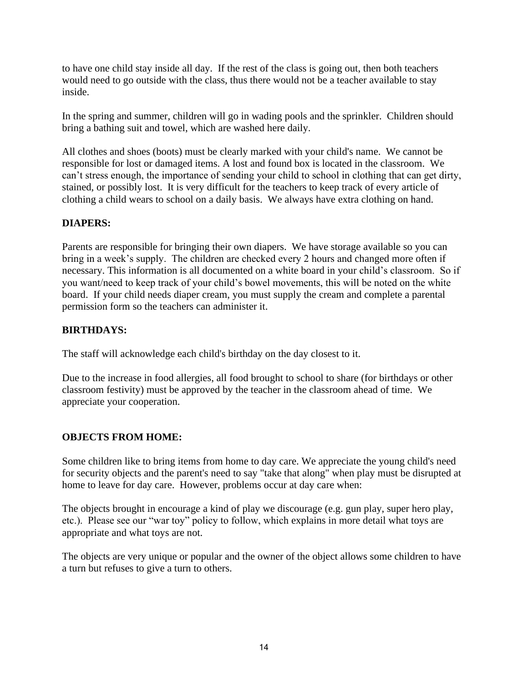to have one child stay inside all day. If the rest of the class is going out, then both teachers would need to go outside with the class, thus there would not be a teacher available to stay inside.

In the spring and summer, children will go in wading pools and the sprinkler. Children should bring a bathing suit and towel, which are washed here daily.

All clothes and shoes (boots) must be clearly marked with your child's name. We cannot be responsible for lost or damaged items. A lost and found box is located in the classroom. We can't stress enough, the importance of sending your child to school in clothing that can get dirty, stained, or possibly lost. It is very difficult for the teachers to keep track of every article of clothing a child wears to school on a daily basis. We always have extra clothing on hand.

#### **DIAPERS:**

Parents are responsible for bringing their own diapers. We have storage available so you can bring in a week's supply. The children are checked every 2 hours and changed more often if necessary. This information is all documented on a white board in your child's classroom. So if you want/need to keep track of your child's bowel movements, this will be noted on the white board. If your child needs diaper cream, you must supply the cream and complete a parental permission form so the teachers can administer it.

#### **BIRTHDAYS:**

The staff will acknowledge each child's birthday on the day closest to it.

Due to the increase in food allergies, all food brought to school to share (for birthdays or other classroom festivity) must be approved by the teacher in the classroom ahead of time. We appreciate your cooperation.

#### **OBJECTS FROM HOME:**

Some children like to bring items from home to day care. We appreciate the young child's need for security objects and the parent's need to say "take that along" when play must be disrupted at home to leave for day care. However, problems occur at day care when:

The objects brought in encourage a kind of play we discourage (e.g. gun play, super hero play, etc.). Please see our "war toy" policy to follow, which explains in more detail what toys are appropriate and what toys are not.

The objects are very unique or popular and the owner of the object allows some children to have a turn but refuses to give a turn to others.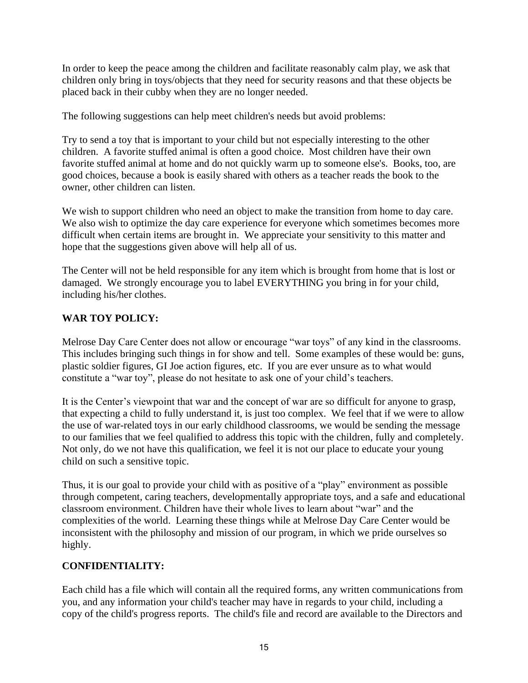In order to keep the peace among the children and facilitate reasonably calm play, we ask that children only bring in toys/objects that they need for security reasons and that these objects be placed back in their cubby when they are no longer needed.

The following suggestions can help meet children's needs but avoid problems:

Try to send a toy that is important to your child but not especially interesting to the other children. A favorite stuffed animal is often a good choice. Most children have their own favorite stuffed animal at home and do not quickly warm up to someone else's. Books, too, are good choices, because a book is easily shared with others as a teacher reads the book to the owner, other children can listen.

We wish to support children who need an object to make the transition from home to day care. We also wish to optimize the day care experience for everyone which sometimes becomes more difficult when certain items are brought in. We appreciate your sensitivity to this matter and hope that the suggestions given above will help all of us.

The Center will not be held responsible for any item which is brought from home that is lost or damaged. We strongly encourage you to label EVERYTHING you bring in for your child, including his/her clothes.

# **WAR TOY POLICY:**

Melrose Day Care Center does not allow or encourage "war toys" of any kind in the classrooms. This includes bringing such things in for show and tell. Some examples of these would be: guns, plastic soldier figures, GI Joe action figures, etc. If you are ever unsure as to what would constitute a "war toy", please do not hesitate to ask one of your child's teachers.

It is the Center's viewpoint that war and the concept of war are so difficult for anyone to grasp, that expecting a child to fully understand it, is just too complex. We feel that if we were to allow the use of war-related toys in our early childhood classrooms, we would be sending the message to our families that we feel qualified to address this topic with the children, fully and completely. Not only, do we not have this qualification, we feel it is not our place to educate your young child on such a sensitive topic.

Thus, it is our goal to provide your child with as positive of a "play" environment as possible through competent, caring teachers, developmentally appropriate toys, and a safe and educational classroom environment. Children have their whole lives to learn about "war" and the complexities of the world. Learning these things while at Melrose Day Care Center would be inconsistent with the philosophy and mission of our program, in which we pride ourselves so highly.

## **CONFIDENTIALITY:**

Each child has a file which will contain all the required forms, any written communications from you, and any information your child's teacher may have in regards to your child, including a copy of the child's progress reports. The child's file and record are available to the Directors and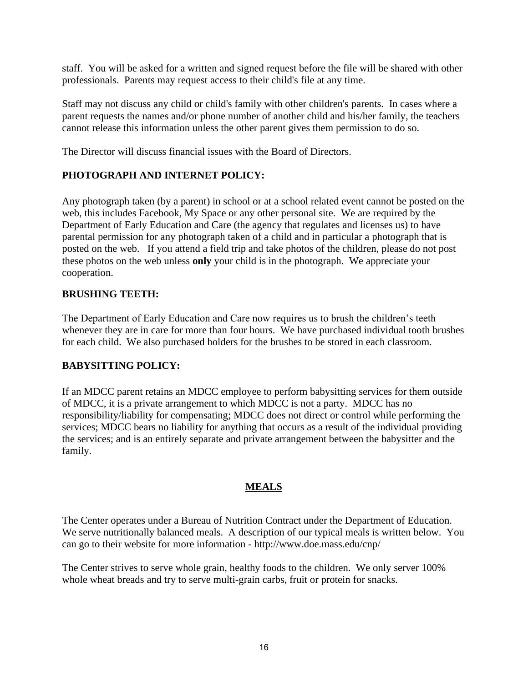staff. You will be asked for a written and signed request before the file will be shared with other professionals. Parents may request access to their child's file at any time.

Staff may not discuss any child or child's family with other children's parents. In cases where a parent requests the names and/or phone number of another child and his/her family, the teachers cannot release this information unless the other parent gives them permission to do so.

The Director will discuss financial issues with the Board of Directors.

#### **PHOTOGRAPH AND INTERNET POLICY:**

Any photograph taken (by a parent) in school or at a school related event cannot be posted on the web, this includes Facebook, My Space or any other personal site. We are required by the Department of Early Education and Care (the agency that regulates and licenses us) to have parental permission for any photograph taken of a child and in particular a photograph that is posted on the web. If you attend a field trip and take photos of the children, please do not post these photos on the web unless **only** your child is in the photograph. We appreciate your cooperation.

#### **BRUSHING TEETH:**

The Department of Early Education and Care now requires us to brush the children's teeth whenever they are in care for more than four hours. We have purchased individual tooth brushes for each child. We also purchased holders for the brushes to be stored in each classroom.

#### **BABYSITTING POLICY:**

If an MDCC parent retains an MDCC employee to perform babysitting services for them outside of MDCC, it is a private arrangement to which MDCC is not a party. MDCC has no responsibility/liability for compensating; MDCC does not direct or control while performing the services; MDCC bears no liability for anything that occurs as a result of the individual providing the services; and is an entirely separate and private arrangement between the babysitter and the family.

#### **MEALS**

<span id="page-15-0"></span>The Center operates under a Bureau of Nutrition Contract under the Department of Education. We serve nutritionally balanced meals. A description of our typical meals is written below. You can go to their website for more information - http://www.doe.mass.edu/cnp/

The Center strives to serve whole grain, healthy foods to the children. We only server 100% whole wheat breads and try to serve multi-grain carbs, fruit or protein for snacks.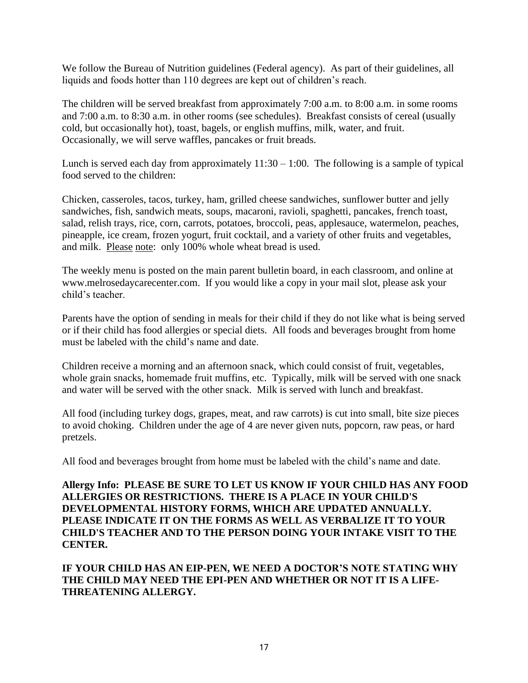We follow the Bureau of Nutrition guidelines (Federal agency). As part of their guidelines, all liquids and foods hotter than 110 degrees are kept out of children's reach.

The children will be served breakfast from approximately 7:00 a.m. to 8:00 a.m. in some rooms and 7:00 a.m. to 8:30 a.m. in other rooms (see schedules). Breakfast consists of cereal (usually cold, but occasionally hot), toast, bagels, or english muffins, milk, water, and fruit. Occasionally, we will serve waffles, pancakes or fruit breads.

Lunch is served each day from approximately  $11:30 - 1:00$ . The following is a sample of typical food served to the children:

Chicken, casseroles, tacos, turkey, ham, grilled cheese sandwiches, sunflower butter and jelly sandwiches, fish, sandwich meats, soups, macaroni, ravioli, spaghetti, pancakes, french toast, salad, relish trays, rice, corn, carrots, potatoes, broccoli, peas, applesauce, watermelon, peaches, pineapple, ice cream, frozen yogurt, fruit cocktail, and a variety of other fruits and vegetables, and milk. Please note: only 100% whole wheat bread is used.

The weekly menu is posted on the main parent bulletin board, in each classroom, and online at www.melrosedaycarecenter.com. If you would like a copy in your mail slot, please ask your child's teacher.

Parents have the option of sending in meals for their child if they do not like what is being served or if their child has food allergies or special diets. All foods and beverages brought from home must be labeled with the child's name and date.

Children receive a morning and an afternoon snack, which could consist of fruit, vegetables, whole grain snacks, homemade fruit muffins, etc. Typically, milk will be served with one snack and water will be served with the other snack. Milk is served with lunch and breakfast.

All food (including turkey dogs, grapes, meat, and raw carrots) is cut into small, bite size pieces to avoid choking. Children under the age of 4 are never given nuts, popcorn, raw peas, or hard pretzels.

All food and beverages brought from home must be labeled with the child's name and date.

**Allergy Info: PLEASE BE SURE TO LET US KNOW IF YOUR CHILD HAS ANY FOOD ALLERGIES OR RESTRICTIONS. THERE IS A PLACE IN YOUR CHILD'S DEVELOPMENTAL HISTORY FORMS, WHICH ARE UPDATED ANNUALLY. PLEASE INDICATE IT ON THE FORMS AS WELL AS VERBALIZE IT TO YOUR CHILD'S TEACHER AND TO THE PERSON DOING YOUR INTAKE VISIT TO THE CENTER.**

**IF YOUR CHILD HAS AN EIP-PEN, WE NEED A DOCTOR'S NOTE STATING WHY THE CHILD MAY NEED THE EPI-PEN AND WHETHER OR NOT IT IS A LIFE-THREATENING ALLERGY.**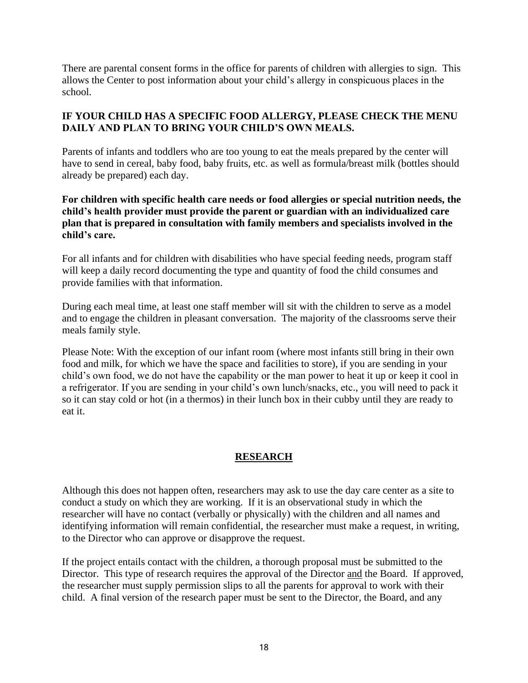There are parental consent forms in the office for parents of children with allergies to sign. This allows the Center to post information about your child's allergy in conspicuous places in the school.

#### **IF YOUR CHILD HAS A SPECIFIC FOOD ALLERGY, PLEASE CHECK THE MENU DAILY AND PLAN TO BRING YOUR CHILD'S OWN MEALS.**

Parents of infants and toddlers who are too young to eat the meals prepared by the center will have to send in cereal, baby food, baby fruits, etc. as well as formula/breast milk (bottles should already be prepared) each day.

#### **For children with specific health care needs or food allergies or special nutrition needs, the child's health provider must provide the parent or guardian with an individualized care plan that is prepared in consultation with family members and specialists involved in the child's care.**

For all infants and for children with disabilities who have special feeding needs, program staff will keep a daily record documenting the type and quantity of food the child consumes and provide families with that information.

During each meal time, at least one staff member will sit with the children to serve as a model and to engage the children in pleasant conversation. The majority of the classrooms serve their meals family style.

Please Note: With the exception of our infant room (where most infants still bring in their own food and milk, for which we have the space and facilities to store), if you are sending in your child's own food, we do not have the capability or the man power to heat it up or keep it cool in a refrigerator. If you are sending in your child's own lunch/snacks, etc., you will need to pack it so it can stay cold or hot (in a thermos) in their lunch box in their cubby until they are ready to eat it.

## **RESEARCH**

Although this does not happen often, researchers may ask to use the day care center as a site to conduct a study on which they are working. If it is an observational study in which the researcher will have no contact (verbally or physically) with the children and all names and identifying information will remain confidential, the researcher must make a request, in writing, to the Director who can approve or disapprove the request.

If the project entails contact with the children, a thorough proposal must be submitted to the Director. This type of research requires the approval of the Director and the Board. If approved, the researcher must supply permission slips to all the parents for approval to work with their child. A final version of the research paper must be sent to the Director, the Board, and any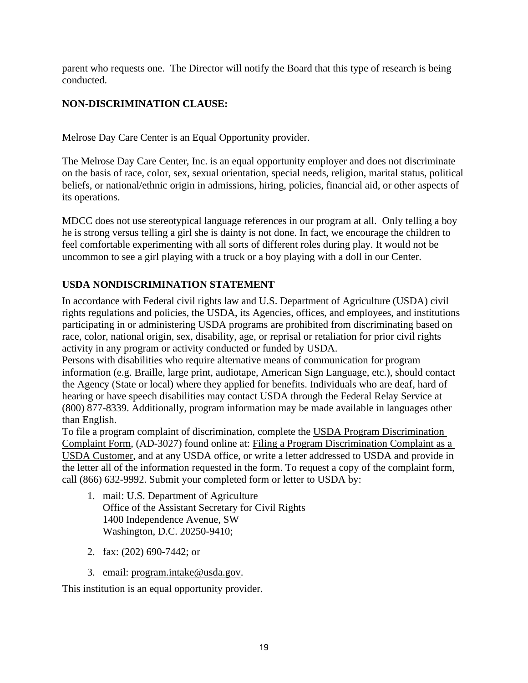parent who requests one. The Director will notify the Board that this type of research is being conducted.

## **NON-DISCRIMINATION CLAUSE:**

Melrose Day Care Center is an Equal Opportunity provider.

The Melrose Day Care Center, Inc. is an equal opportunity employer and does not discriminate on the basis of race, color, sex, sexual orientation, special needs, religion, marital status, political beliefs, or national/ethnic origin in admissions, hiring, policies, financial aid, or other aspects of its operations.

MDCC does not use stereotypical language references in our program at all. Only telling a boy he is strong versus telling a girl she is dainty is not done. In fact, we encourage the children to feel comfortable experimenting with all sorts of different roles during play. It would not be uncommon to see a girl playing with a truck or a boy playing with a doll in our Center.

# **USDA NONDISCRIMINATION STATEMENT**

In accordance with Federal civil rights law and U.S. Department of Agriculture (USDA) civil rights regulations and policies, the USDA, its Agencies, offices, and employees, and institutions participating in or administering USDA programs are prohibited from discriminating based on race, color, national origin, sex, disability, age, or reprisal or retaliation for prior civil rights activity in any program or activity conducted or funded by USDA.

Persons with disabilities who require alternative means of communication for program information (e.g. Braille, large print, audiotape, American Sign Language, etc.), should contact the Agency (State or local) where they applied for benefits. Individuals who are deaf, hard of hearing or have speech disabilities may contact USDA through the Federal Relay Service at (800) 877-8339. Additionally, program information may be made available in languages other than English.

To file a program complaint of discrimination, complete the [USDA Program Discrimination](http://www.ocio.usda.gov/sites/default/files/docs/2012/Complain_combined_6_8_12.pdf)  [Complaint Form,](http://www.ocio.usda.gov/sites/default/files/docs/2012/Complain_combined_6_8_12.pdf) (AD-3027) found online at: [Filing a Program Discrimination Complaint as a](http://www.ascr.usda.gov/complaint_filing_cust.html)  [USDA Customer,](http://www.ascr.usda.gov/complaint_filing_cust.html) and at any USDA office, or write a letter addressed to USDA and provide in the letter all of the information requested in the form. To request a copy of the complaint form, call (866) 632-9992. Submit your completed form or letter to USDA by:

- 1. mail: U.S. Department of Agriculture Office of the Assistant Secretary for Civil Rights 1400 Independence Avenue, SW Washington, D.C. 20250-9410;
- 2. fax: (202) 690-7442; or
- 3. email: [program.intake@usda.gov.](mailto:program.intake@usda.gov)

This institution is an equal opportunity provider.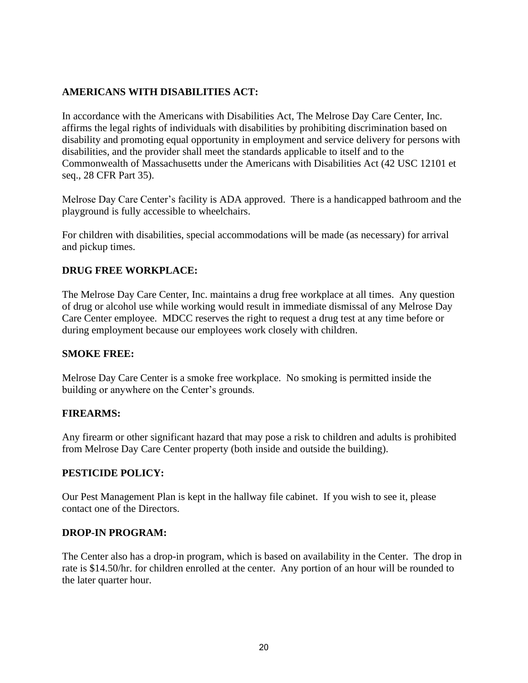#### **AMERICANS WITH DISABILITIES ACT:**

In accordance with the Americans with Disabilities Act, The Melrose Day Care Center, Inc. affirms the legal rights of individuals with disabilities by prohibiting discrimination based on disability and promoting equal opportunity in employment and service delivery for persons with disabilities, and the provider shall meet the standards applicable to itself and to the Commonwealth of Massachusetts under the Americans with Disabilities Act (42 USC 12101 et seq., 28 CFR Part 35).

Melrose Day Care Center's facility is ADA approved. There is a handicapped bathroom and the playground is fully accessible to wheelchairs.

For children with disabilities, special accommodations will be made (as necessary) for arrival and pickup times.

#### **DRUG FREE WORKPLACE:**

The Melrose Day Care Center, Inc. maintains a drug free workplace at all times. Any question of drug or alcohol use while working would result in immediate dismissal of any Melrose Day Care Center employee. MDCC reserves the right to request a drug test at any time before or during employment because our employees work closely with children.

#### **SMOKE FREE:**

Melrose Day Care Center is a smoke free workplace. No smoking is permitted inside the building or anywhere on the Center's grounds.

#### **FIREARMS:**

Any firearm or other significant hazard that may pose a risk to children and adults is prohibited from Melrose Day Care Center property (both inside and outside the building).

#### **PESTICIDE POLICY:**

Our Pest Management Plan is kept in the hallway file cabinet. If you wish to see it, please contact one of the Directors.

#### **DROP-IN PROGRAM:**

The Center also has a drop-in program, which is based on availability in the Center. The drop in rate is \$14.50/hr. for children enrolled at the center. Any portion of an hour will be rounded to the later quarter hour.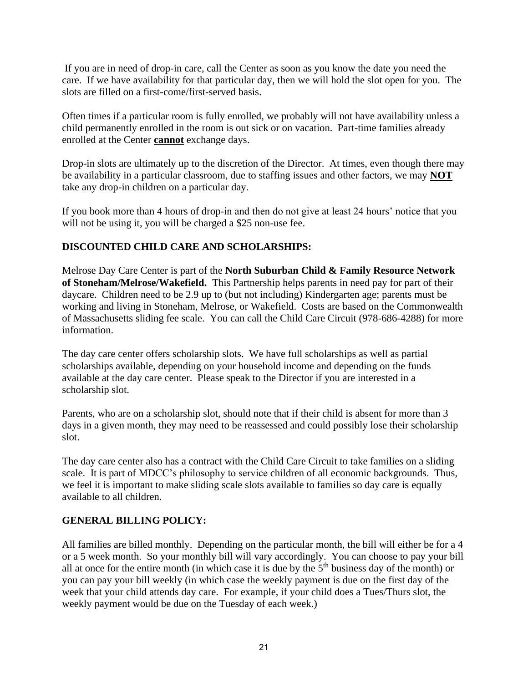If you are in need of drop-in care, call the Center as soon as you know the date you need the care. If we have availability for that particular day, then we will hold the slot open for you. The slots are filled on a first-come/first-served basis.

Often times if a particular room is fully enrolled, we probably will not have availability unless a child permanently enrolled in the room is out sick or on vacation. Part-time families already enrolled at the Center **cannot** exchange days.

Drop-in slots are ultimately up to the discretion of the Director. At times, even though there may be availability in a particular classroom, due to staffing issues and other factors, we may **NOT** take any drop-in children on a particular day.

If you book more than 4 hours of drop-in and then do not give at least 24 hours' notice that you will not be using it, you will be charged a \$25 non-use fee.

## **DISCOUNTED CHILD CARE AND SCHOLARSHIPS:**

Melrose Day Care Center is part of the **North Suburban Child & Family Resource Network of Stoneham/Melrose/Wakefield.** This Partnership helps parents in need pay for part of their daycare. Children need to be 2.9 up to (but not including) Kindergarten age; parents must be working and living in Stoneham, Melrose, or Wakefield. Costs are based on the Commonwealth of Massachusetts sliding fee scale. You can call the Child Care Circuit (978-686-4288) for more information.

The day care center offers scholarship slots. We have full scholarships as well as partial scholarships available, depending on your household income and depending on the funds available at the day care center. Please speak to the Director if you are interested in a scholarship slot.

Parents, who are on a scholarship slot, should note that if their child is absent for more than 3 days in a given month, they may need to be reassessed and could possibly lose their scholarship slot.

The day care center also has a contract with the Child Care Circuit to take families on a sliding scale. It is part of MDCC's philosophy to service children of all economic backgrounds. Thus, we feel it is important to make sliding scale slots available to families so day care is equally available to all children.

#### **GENERAL BILLING POLICY:**

All families are billed monthly. Depending on the particular month, the bill will either be for a 4 or a 5 week month. So your monthly bill will vary accordingly. You can choose to pay your bill all at once for the entire month (in which case it is due by the  $5<sup>th</sup>$  business day of the month) or you can pay your bill weekly (in which case the weekly payment is due on the first day of the week that your child attends day care. For example, if your child does a Tues/Thurs slot, the weekly payment would be due on the Tuesday of each week.)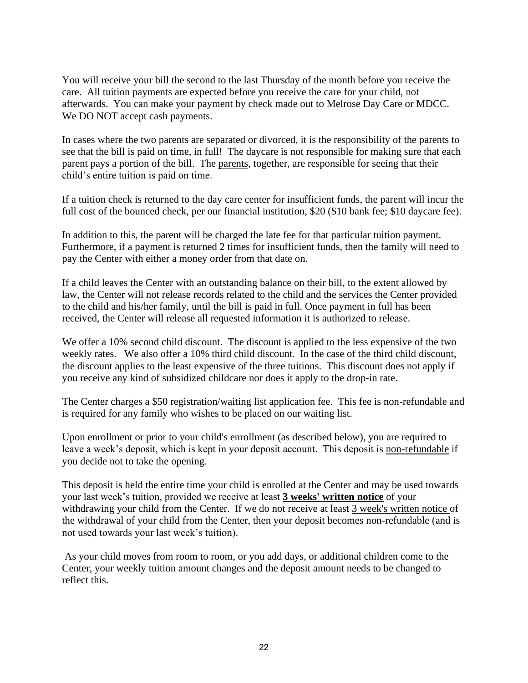You will receive your bill the second to the last Thursday of the month before you receive the care. All tuition payments are expected before you receive the care for your child, not afterwards. You can make your payment by check made out to Melrose Day Care or MDCC. We DO NOT accept cash payments.

In cases where the two parents are separated or divorced, it is the responsibility of the parents to see that the bill is paid on time, in full! The daycare is not responsible for making sure that each parent pays a portion of the bill. The parents, together, are responsible for seeing that their child's entire tuition is paid on time.

If a tuition check is returned to the day care center for insufficient funds, the parent will incur the full cost of the bounced check, per our financial institution, \$20 (\$10 bank fee; \$10 daycare fee).

In addition to this, the parent will be charged the late fee for that particular tuition payment. Furthermore, if a payment is returned 2 times for insufficient funds, then the family will need to pay the Center with either a money order from that date on.

If a child leaves the Center with an outstanding balance on their bill, to the extent allowed by law, the Center will not release records related to the child and the services the Center provided to the child and his/her family, until the bill is paid in full. Once payment in full has been received, the Center will release all requested information it is authorized to release.

We offer a 10% second child discount. The discount is applied to the less expensive of the two weekly rates. We also offer a 10% third child discount. In the case of the third child discount, the discount applies to the least expensive of the three tuitions. This discount does not apply if you receive any kind of subsidized childcare nor does it apply to the drop-in rate.

The Center charges a \$50 registration/waiting list application fee. This fee is non-refundable and is required for any family who wishes to be placed on our waiting list.

Upon enrollment or prior to your child's enrollment (as described below), you are required to leave a week's deposit, which is kept in your deposit account. This deposit is non-refundable if you decide not to take the opening.

This deposit is held the entire time your child is enrolled at the Center and may be used towards your last week's tuition, provided we receive at least **3 weeks' written notice** of your withdrawing your child from the Center. If we do not receive at least 3 week's written notice of the withdrawal of your child from the Center, then your deposit becomes non-refundable (and is not used towards your last week's tuition).

As your child moves from room to room, or you add days, or additional children come to the Center, your weekly tuition amount changes and the deposit amount needs to be changed to reflect this.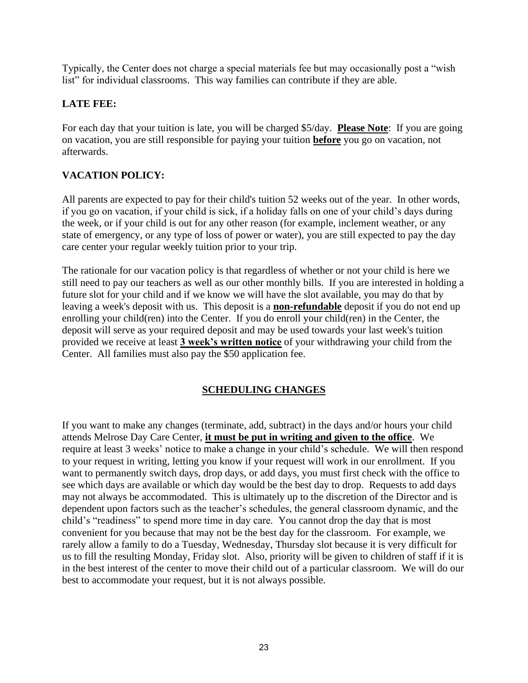Typically, the Center does not charge a special materials fee but may occasionally post a "wish list" for individual classrooms. This way families can contribute if they are able.

#### **LATE FEE:**

For each day that your tuition is late, you will be charged \$5/day. **Please Note**: If you are going on vacation, you are still responsible for paying your tuition **before** you go on vacation, not afterwards.

## **VACATION POLICY:**

All parents are expected to pay for their child's tuition 52 weeks out of the year. In other words, if you go on vacation, if your child is sick, if a holiday falls on one of your child's days during the week, or if your child is out for any other reason (for example, inclement weather, or any state of emergency, or any type of loss of power or water), you are still expected to pay the day care center your regular weekly tuition prior to your trip.

The rationale for our vacation policy is that regardless of whether or not your child is here we still need to pay our teachers as well as our other monthly bills. If you are interested in holding a future slot for your child and if we know we will have the slot available, you may do that by leaving a week's deposit with us. This deposit is a **non-refundable** deposit if you do not end up enrolling your child(ren) into the Center. If you do enroll your child(ren) in the Center, the deposit will serve as your required deposit and may be used towards your last week's tuition provided we receive at least **3 week's written notice** of your withdrawing your child from the Center. All families must also pay the \$50 application fee.

#### **SCHEDULING CHANGES**

If you want to make any changes (terminate, add, subtract) in the days and/or hours your child attends Melrose Day Care Center, **it must be put in writing and given to the office**. We require at least 3 weeks' notice to make a change in your child's schedule. We will then respond to your request in writing, letting you know if your request will work in our enrollment. If you want to permanently switch days, drop days, or add days, you must first check with the office to see which days are available or which day would be the best day to drop. Requests to add days may not always be accommodated. This is ultimately up to the discretion of the Director and is dependent upon factors such as the teacher's schedules, the general classroom dynamic, and the child's "readiness" to spend more time in day care. You cannot drop the day that is most convenient for you because that may not be the best day for the classroom. For example, we rarely allow a family to do a Tuesday, Wednesday, Thursday slot because it is very difficult for us to fill the resulting Monday, Friday slot. Also, priority will be given to children of staff if it is in the best interest of the center to move their child out of a particular classroom. We will do our best to accommodate your request, but it is not always possible.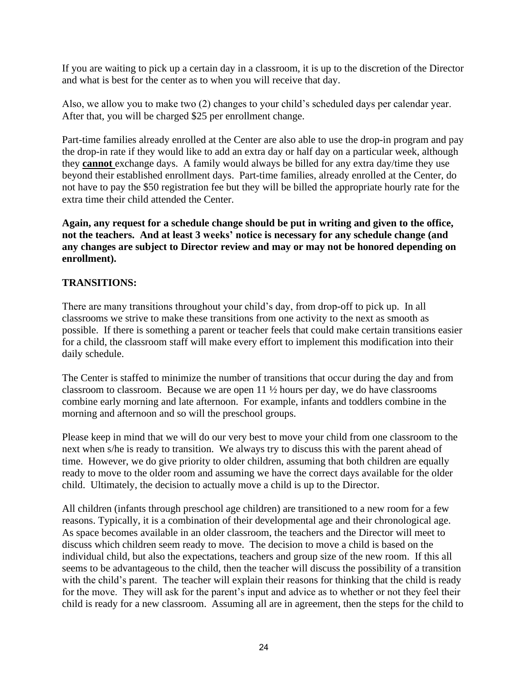If you are waiting to pick up a certain day in a classroom, it is up to the discretion of the Director and what is best for the center as to when you will receive that day.

Also, we allow you to make two (2) changes to your child's scheduled days per calendar year. After that, you will be charged \$25 per enrollment change.

Part-time families already enrolled at the Center are also able to use the drop-in program and pay the drop-in rate if they would like to add an extra day or half day on a particular week, although they **cannot** exchange days. A family would always be billed for any extra day/time they use beyond their established enrollment days. Part-time families, already enrolled at the Center, do not have to pay the \$50 registration fee but they will be billed the appropriate hourly rate for the extra time their child attended the Center.

**Again, any request for a schedule change should be put in writing and given to the office, not the teachers. And at least 3 weeks' notice is necessary for any schedule change (and any changes are subject to Director review and may or may not be honored depending on enrollment).**

#### **TRANSITIONS:**

There are many transitions throughout your child's day, from drop-off to pick up. In all classrooms we strive to make these transitions from one activity to the next as smooth as possible. If there is something a parent or teacher feels that could make certain transitions easier for a child, the classroom staff will make every effort to implement this modification into their daily schedule.

The Center is staffed to minimize the number of transitions that occur during the day and from classroom to classroom. Because we are open 11 ½ hours per day, we do have classrooms combine early morning and late afternoon. For example, infants and toddlers combine in the morning and afternoon and so will the preschool groups.

Please keep in mind that we will do our very best to move your child from one classroom to the next when s/he is ready to transition. We always try to discuss this with the parent ahead of time. However, we do give priority to older children, assuming that both children are equally ready to move to the older room and assuming we have the correct days available for the older child. Ultimately, the decision to actually move a child is up to the Director.

All children (infants through preschool age children) are transitioned to a new room for a few reasons. Typically, it is a combination of their developmental age and their chronological age. As space becomes available in an older classroom, the teachers and the Director will meet to discuss which children seem ready to move. The decision to move a child is based on the individual child, but also the expectations, teachers and group size of the new room. If this all seems to be advantageous to the child, then the teacher will discuss the possibility of a transition with the child's parent. The teacher will explain their reasons for thinking that the child is ready for the move. They will ask for the parent's input and advice as to whether or not they feel their child is ready for a new classroom. Assuming all are in agreement, then the steps for the child to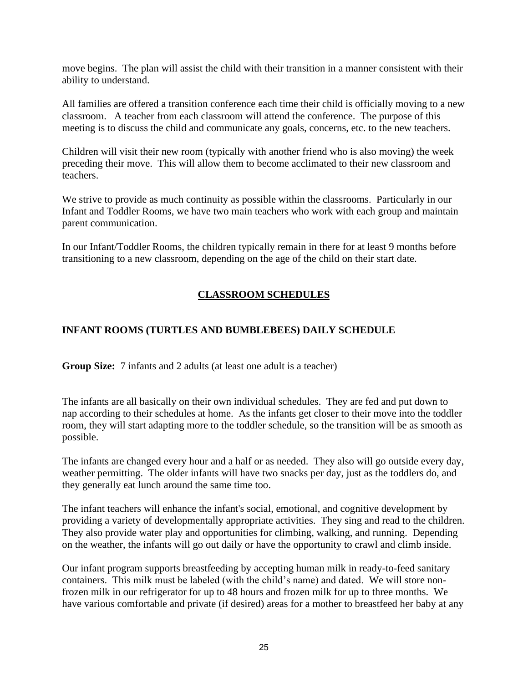move begins. The plan will assist the child with their transition in a manner consistent with their ability to understand.

All families are offered a transition conference each time their child is officially moving to a new classroom. A teacher from each classroom will attend the conference. The purpose of this meeting is to discuss the child and communicate any goals, concerns, etc. to the new teachers.

Children will visit their new room (typically with another friend who is also moving) the week preceding their move. This will allow them to become acclimated to their new classroom and teachers.

We strive to provide as much continuity as possible within the classrooms. Particularly in our Infant and Toddler Rooms, we have two main teachers who work with each group and maintain parent communication.

In our Infant/Toddler Rooms, the children typically remain in there for at least 9 months before transitioning to a new classroom, depending on the age of the child on their start date.

## **CLASSROOM SCHEDULES**

## **INFANT ROOMS (TURTLES AND BUMBLEBEES) DAILY SCHEDULE**

**Group Size:** 7 infants and 2 adults (at least one adult is a teacher)

The infants are all basically on their own individual schedules. They are fed and put down to nap according to their schedules at home. As the infants get closer to their move into the toddler room, they will start adapting more to the toddler schedule, so the transition will be as smooth as possible.

The infants are changed every hour and a half or as needed. They also will go outside every day, weather permitting. The older infants will have two snacks per day, just as the toddlers do, and they generally eat lunch around the same time too.

The infant teachers will enhance the infant's social, emotional, and cognitive development by providing a variety of developmentally appropriate activities. They sing and read to the children. They also provide water play and opportunities for climbing, walking, and running. Depending on the weather, the infants will go out daily or have the opportunity to crawl and climb inside.

Our infant program supports breastfeeding by accepting human milk in ready-to-feed sanitary containers. This milk must be labeled (with the child's name) and dated. We will store nonfrozen milk in our refrigerator for up to 48 hours and frozen milk for up to three months. We have various comfortable and private (if desired) areas for a mother to breastfeed her baby at any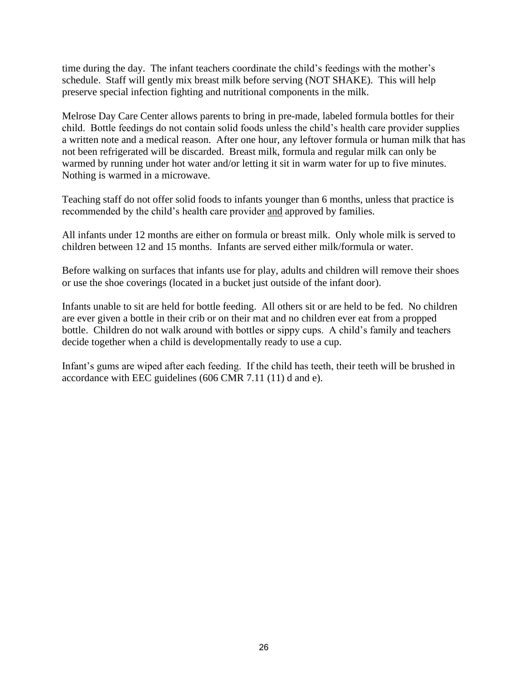time during the day. The infant teachers coordinate the child's feedings with the mother's schedule. Staff will gently mix breast milk before serving (NOT SHAKE). This will help preserve special infection fighting and nutritional components in the milk.

Melrose Day Care Center allows parents to bring in pre-made, labeled formula bottles for their child. Bottle feedings do not contain solid foods unless the child's health care provider supplies a written note and a medical reason. After one hour, any leftover formula or human milk that has not been refrigerated will be discarded. Breast milk, formula and regular milk can only be warmed by running under hot water and/or letting it sit in warm water for up to five minutes. Nothing is warmed in a microwave.

Teaching staff do not offer solid foods to infants younger than 6 months, unless that practice is recommended by the child's health care provider and approved by families.

All infants under 12 months are either on formula or breast milk. Only whole milk is served to children between 12 and 15 months. Infants are served either milk/formula or water.

Before walking on surfaces that infants use for play, adults and children will remove their shoes or use the shoe coverings (located in a bucket just outside of the infant door).

Infants unable to sit are held for bottle feeding. All others sit or are held to be fed. No children are ever given a bottle in their crib or on their mat and no children ever eat from a propped bottle. Children do not walk around with bottles or sippy cups. A child's family and teachers decide together when a child is developmentally ready to use a cup.

Infant's gums are wiped after each feeding. If the child has teeth, their teeth will be brushed in accordance with EEC guidelines (606 CMR 7.11 (11) d and e).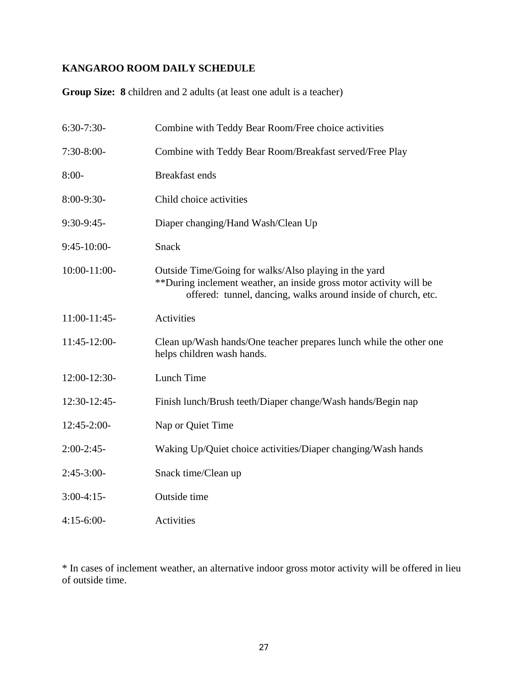# **KANGAROO ROOM DAILY SCHEDULE**

**Group Size: 8** children and 2 adults (at least one adult is a teacher)

| $6:30-7:30-$    | Combine with Teddy Bear Room/Free choice activities                                                                                                                                          |
|-----------------|----------------------------------------------------------------------------------------------------------------------------------------------------------------------------------------------|
| $7:30-8:00-$    | Combine with Teddy Bear Room/Breakfast served/Free Play                                                                                                                                      |
| $8:00-$         | <b>Breakfast ends</b>                                                                                                                                                                        |
| $8:00-9:30-$    | Child choice activities                                                                                                                                                                      |
| $9:30-9:45-$    | Diaper changing/Hand Wash/Clean Up                                                                                                                                                           |
| $9:45-10:00-$   | Snack                                                                                                                                                                                        |
| 10:00-11:00-    | Outside Time/Going for walks/Also playing in the yard<br>**During inclement weather, an inside gross motor activity will be<br>offered: tunnel, dancing, walks around inside of church, etc. |
| $11:00-11:45$ - | <b>Activities</b>                                                                                                                                                                            |
| 11:45-12:00-    | Clean up/Wash hands/One teacher prepares lunch while the other one<br>helps children wash hands.                                                                                             |
| 12:00-12:30-    | Lunch Time                                                                                                                                                                                   |
| 12:30-12:45-    | Finish lunch/Brush teeth/Diaper change/Wash hands/Begin nap                                                                                                                                  |
| $12:45-2:00-$   | Nap or Quiet Time                                                                                                                                                                            |
| $2:00-2:45-$    | Waking Up/Quiet choice activities/Diaper changing/Wash hands                                                                                                                                 |
| $2:45-3:00-$    | Snack time/Clean up                                                                                                                                                                          |
| $3:00-4:15-$    | Outside time                                                                                                                                                                                 |
| $4:15-6:00-$    | <b>Activities</b>                                                                                                                                                                            |

\* In cases of inclement weather, an alternative indoor gross motor activity will be offered in lieu of outside time.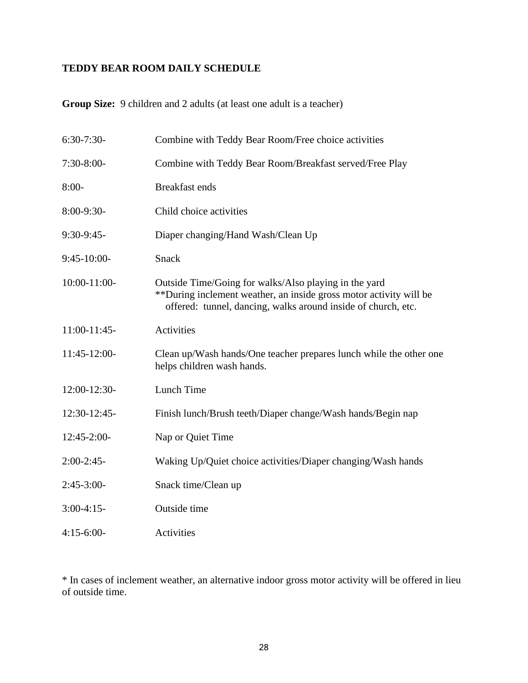# **TEDDY BEAR ROOM DAILY SCHEDULE**

**Group Size:** 9 children and 2 adults (at least one adult is a teacher)

| $6:30-7:30-$    | Combine with Teddy Bear Room/Free choice activities                                                                                                                                          |
|-----------------|----------------------------------------------------------------------------------------------------------------------------------------------------------------------------------------------|
| $7:30-8:00-$    | Combine with Teddy Bear Room/Breakfast served/Free Play                                                                                                                                      |
| $8:00-$         | <b>Breakfast ends</b>                                                                                                                                                                        |
| $8:00-9:30-$    | Child choice activities                                                                                                                                                                      |
| $9:30-9:45-$    | Diaper changing/Hand Wash/Clean Up                                                                                                                                                           |
| $9:45-10:00-$   | Snack                                                                                                                                                                                        |
| 10:00-11:00-    | Outside Time/Going for walks/Also playing in the yard<br>**During inclement weather, an inside gross motor activity will be<br>offered: tunnel, dancing, walks around inside of church, etc. |
| $11:00-11:45$ - | <b>Activities</b>                                                                                                                                                                            |
| 11:45-12:00-    | Clean up/Wash hands/One teacher prepares lunch while the other one<br>helps children wash hands.                                                                                             |
| 12:00-12:30-    | Lunch Time                                                                                                                                                                                   |
| 12:30-12:45-    | Finish lunch/Brush teeth/Diaper change/Wash hands/Begin nap                                                                                                                                  |
| 12:45-2:00-     | Nap or Quiet Time                                                                                                                                                                            |
| $2:00-2:45-$    | Waking Up/Quiet choice activities/Diaper changing/Wash hands                                                                                                                                 |
| $2:45-3:00-$    | Snack time/Clean up                                                                                                                                                                          |
| $3:00-4:15-$    | Outside time                                                                                                                                                                                 |
| $4:15-6:00-$    | <b>Activities</b>                                                                                                                                                                            |

\* In cases of inclement weather, an alternative indoor gross motor activity will be offered in lieu of outside time.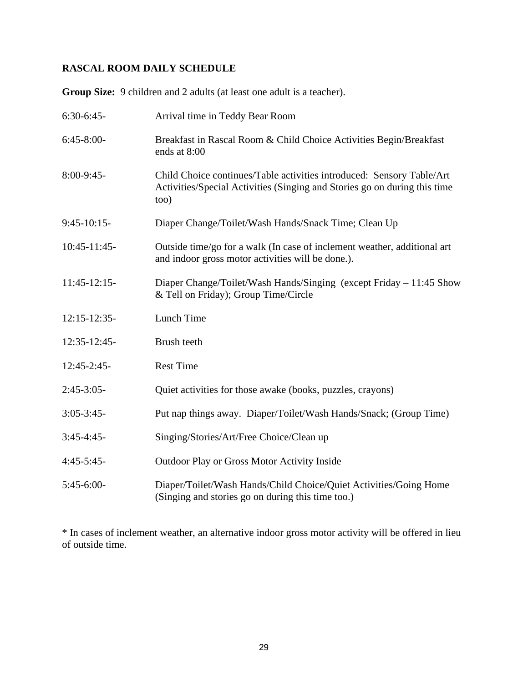# **RASCAL ROOM DAILY SCHEDULE**

**Group Size:** 9 children and 2 adults (at least one adult is a teacher).

| $6:30-6:45-$    | Arrival time in Teddy Bear Room                                                                                                                             |
|-----------------|-------------------------------------------------------------------------------------------------------------------------------------------------------------|
| $6:45-8:00-$    | Breakfast in Rascal Room & Child Choice Activities Begin/Breakfast<br>ends at 8:00                                                                          |
| 8:00-9:45-      | Child Choice continues/Table activities introduced: Sensory Table/Art<br>Activities/Special Activities (Singing and Stories go on during this time<br>to 0) |
| $9:45-10:15-$   | Diaper Change/Toilet/Wash Hands/Snack Time; Clean Up                                                                                                        |
| $10:45 - 11:45$ | Outside time/go for a walk (In case of inclement weather, additional art<br>and indoor gross motor activities will be done.).                               |
| $11:45-12:15-$  | Diaper Change/Toilet/Wash Hands/Singing (except Friday $-11:45$ Show<br>& Tell on Friday); Group Time/Circle                                                |
| 12:15-12:35-    | Lunch Time                                                                                                                                                  |
| 12:35-12:45-    | Brush teeth                                                                                                                                                 |
| $12:45 - 2:45$  | <b>Rest Time</b>                                                                                                                                            |
| $2:45-3:05-$    | Quiet activities for those awake (books, puzzles, crayons)                                                                                                  |
| $3:05 - 3:45 -$ | Put nap things away. Diaper/Toilet/Wash Hands/Snack; (Group Time)                                                                                           |
| $3:45-4:45-$    | Singing/Stories/Art/Free Choice/Clean up                                                                                                                    |
| $4:45-5:45-$    | <b>Outdoor Play or Gross Motor Activity Inside</b>                                                                                                          |
| $5:45-6:00-$    | Diaper/Toilet/Wash Hands/Child Choice/Quiet Activities/Going Home<br>(Singing and stories go on during this time too.)                                      |

\* In cases of inclement weather, an alternative indoor gross motor activity will be offered in lieu of outside time.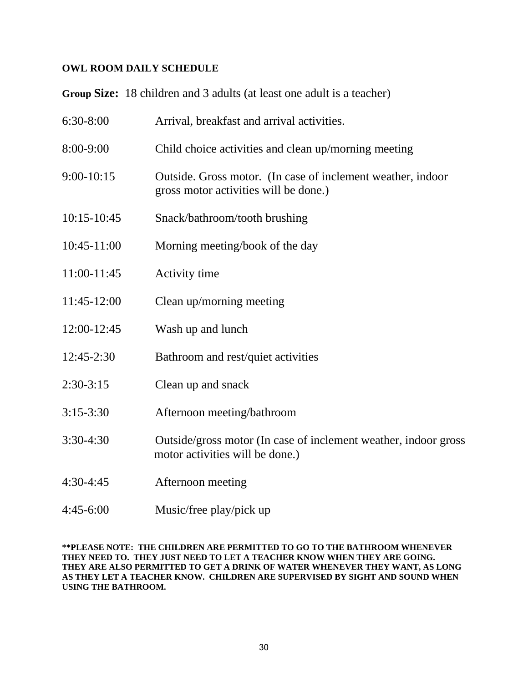#### **OWL ROOM DAILY SCHEDULE**

**Group Size:** 18 children and 3 adults (at least one adult is a teacher)

| 6:30-8:00      | Arrival, breakfast and arrival activities.                                                           |
|----------------|------------------------------------------------------------------------------------------------------|
| 8:00-9:00      | Child choice activities and clean up/morning meeting                                                 |
| $9:00-10:15$   | Outside. Gross motor. (In case of inclement weather, indoor<br>gross motor activities will be done.) |
| 10:15-10:45    | Snack/bathroom/tooth brushing                                                                        |
| 10:45-11:00    | Morning meeting/book of the day                                                                      |
| 11:00-11:45    | Activity time                                                                                        |
| 11:45-12:00    | Clean up/morning meeting                                                                             |
| 12:00-12:45    | Wash up and lunch                                                                                    |
| $12:45 - 2:30$ | Bathroom and rest/quiet activities                                                                   |
| $2:30-3:15$    | Clean up and snack                                                                                   |
| $3:15 - 3:30$  | Afternoon meeting/bathroom                                                                           |
| 3:30-4:30      | Outside/gross motor (In case of inclement weather, indoor gross<br>motor activities will be done.)   |
| $4:30-4:45$    | Afternoon meeting                                                                                    |

4:45-6:00 Music/free play/pick up

**\*\*PLEASE NOTE: THE CHILDREN ARE PERMITTED TO GO TO THE BATHROOM WHENEVER THEY NEED TO. THEY JUST NEED TO LET A TEACHER KNOW WHEN THEY ARE GOING. THEY ARE ALSO PERMITTED TO GET A DRINK OF WATER WHENEVER THEY WANT, AS LONG AS THEY LET A TEACHER KNOW. CHILDREN ARE SUPERVISED BY SIGHT AND SOUND WHEN USING THE BATHROOM.**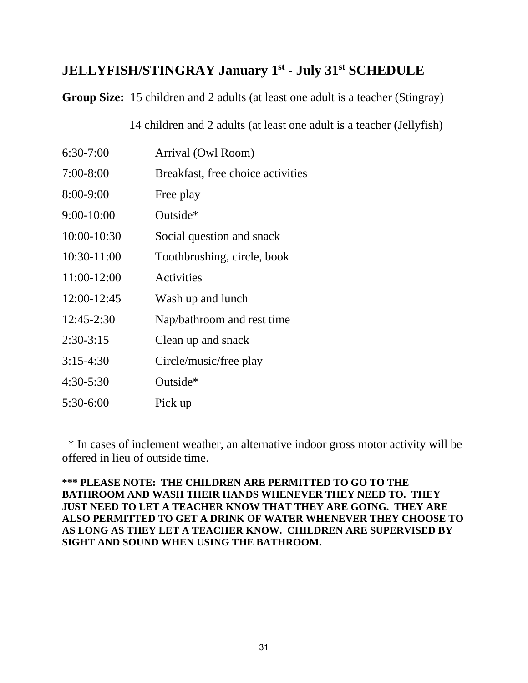# **JELLYFISH/STINGRAY January 1st - July 31st SCHEDULE**

**Group Size:** 15 children and 2 adults (at least one adult is a teacher (Stingray)

14 children and 2 adults (at least one adult is a teacher (Jellyfish)

| $6:30-7:00$    | Arrival (Owl Room)                |
|----------------|-----------------------------------|
| $7:00-8:00$    | Breakfast, free choice activities |
| 8:00-9:00      | Free play                         |
| $9:00 - 10:00$ | Outside*                          |
| 10:00-10:30    | Social question and snack         |
| 10:30-11:00    | Toothbrushing, circle, book       |
| 11:00-12:00    | Activities                        |
| 12:00-12:45    | Wash up and lunch                 |
| $12:45 - 2:30$ | Nap/bathroom and rest time        |
| $2:30-3:15$    | Clean up and snack                |
| $3:15-4:30$    | Circle/music/free play            |
| $4:30-5:30$    | Outside*                          |
| 5:30-6:00      | Pick up                           |

 \* In cases of inclement weather, an alternative indoor gross motor activity will be offered in lieu of outside time.

#### **\*\*\* PLEASE NOTE: THE CHILDREN ARE PERMITTED TO GO TO THE BATHROOM AND WASH THEIR HANDS WHENEVER THEY NEED TO. THEY JUST NEED TO LET A TEACHER KNOW THAT THEY ARE GOING. THEY ARE ALSO PERMITTED TO GET A DRINK OF WATER WHENEVER THEY CHOOSE TO AS LONG AS THEY LET A TEACHER KNOW. CHILDREN ARE SUPERVISED BY SIGHT AND SOUND WHEN USING THE BATHROOM.**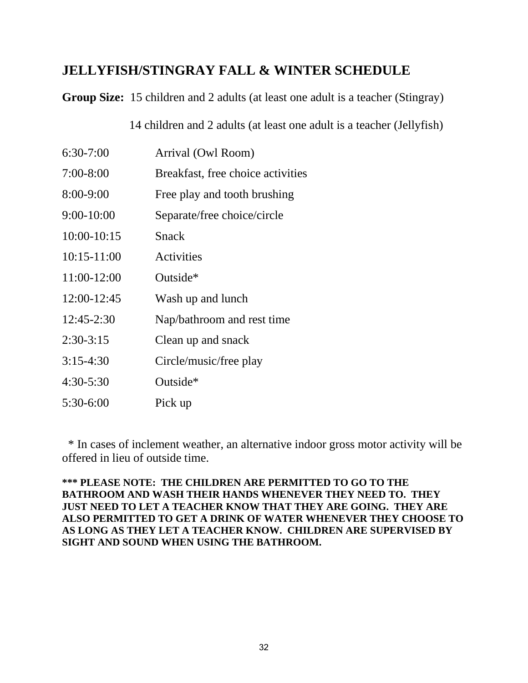# **JELLYFISH/STINGRAY FALL & WINTER SCHEDULE**

**Group Size:** 15 children and 2 adults (at least one adult is a teacher (Stingray)

14 children and 2 adults (at least one adult is a teacher (Jellyfish)

| $6:30-7:00$    | Arrival (Owl Room)                |
|----------------|-----------------------------------|
| $7:00 - 8:00$  | Breakfast, free choice activities |
| 8:00-9:00      | Free play and tooth brushing      |
| $9:00 - 10:00$ | Separate/free choice/circle       |
| 10:00-10:15    | Snack                             |
| $10:15-11:00$  | <b>Activities</b>                 |
| 11:00-12:00    | Outside*                          |
| $12:00-12:45$  | Wash up and lunch                 |
| $12:45 - 2:30$ | Nap/bathroom and rest time        |
| $2:30-3:15$    | Clean up and snack                |
| $3:15-4:30$    | Circle/music/free play            |
| $4:30-5:30$    | Outside*                          |
| 5:30-6:00      | Pick up                           |

 \* In cases of inclement weather, an alternative indoor gross motor activity will be offered in lieu of outside time.

**\*\*\* PLEASE NOTE: THE CHILDREN ARE PERMITTED TO GO TO THE BATHROOM AND WASH THEIR HANDS WHENEVER THEY NEED TO. THEY JUST NEED TO LET A TEACHER KNOW THAT THEY ARE GOING. THEY ARE ALSO PERMITTED TO GET A DRINK OF WATER WHENEVER THEY CHOOSE TO AS LONG AS THEY LET A TEACHER KNOW. CHILDREN ARE SUPERVISED BY SIGHT AND SOUND WHEN USING THE BATHROOM.**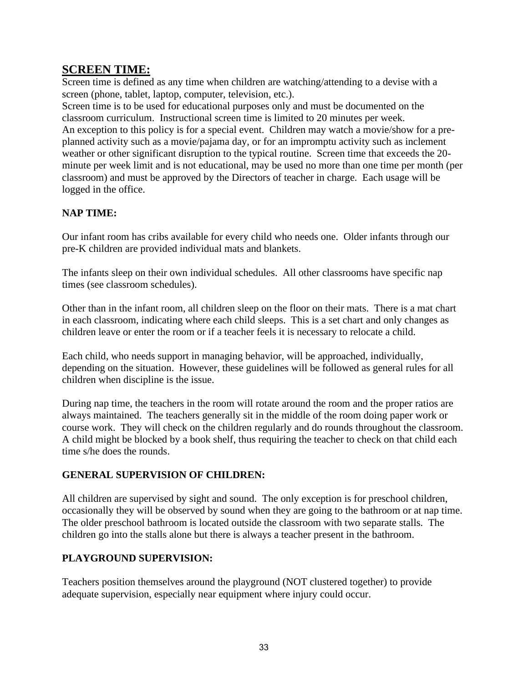# **SCREEN TIME:**

Screen time is defined as any time when children are watching/attending to a devise with a screen (phone, tablet, laptop, computer, television, etc.).

Screen time is to be used for educational purposes only and must be documented on the classroom curriculum. Instructional screen time is limited to 20 minutes per week. An exception to this policy is for a special event. Children may watch a movie/show for a preplanned activity such as a movie/pajama day, or for an impromptu activity such as inclement weather or other significant disruption to the typical routine. Screen time that exceeds the 20 minute per week limit and is not educational, may be used no more than one time per month (per classroom) and must be approved by the Directors of teacher in charge. Each usage will be logged in the office.

#### **NAP TIME:**

Our infant room has cribs available for every child who needs one. Older infants through our pre-K children are provided individual mats and blankets.

The infants sleep on their own individual schedules. All other classrooms have specific nap times (see classroom schedules).

Other than in the infant room, all children sleep on the floor on their mats. There is a mat chart in each classroom, indicating where each child sleeps. This is a set chart and only changes as children leave or enter the room or if a teacher feels it is necessary to relocate a child.

Each child, who needs support in managing behavior, will be approached, individually, depending on the situation. However, these guidelines will be followed as general rules for all children when discipline is the issue.

During nap time, the teachers in the room will rotate around the room and the proper ratios are always maintained. The teachers generally sit in the middle of the room doing paper work or course work. They will check on the children regularly and do rounds throughout the classroom. A child might be blocked by a book shelf, thus requiring the teacher to check on that child each time s/he does the rounds.

#### **GENERAL SUPERVISION OF CHILDREN:**

All children are supervised by sight and sound. The only exception is for preschool children, occasionally they will be observed by sound when they are going to the bathroom or at nap time. The older preschool bathroom is located outside the classroom with two separate stalls. The children go into the stalls alone but there is always a teacher present in the bathroom.

## **PLAYGROUND SUPERVISION:**

Teachers position themselves around the playground (NOT clustered together) to provide adequate supervision, especially near equipment where injury could occur.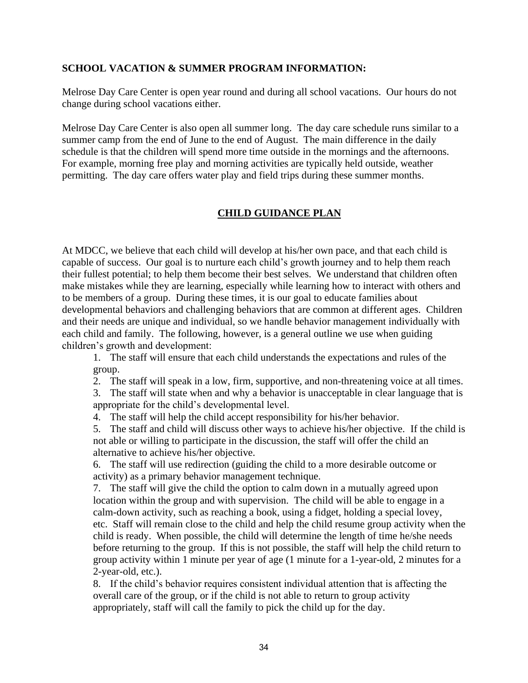#### **SCHOOL VACATION & SUMMER PROGRAM INFORMATION:**

Melrose Day Care Center is open year round and during all school vacations. Our hours do not change during school vacations either.

Melrose Day Care Center is also open all summer long. The day care schedule runs similar to a summer camp from the end of June to the end of August. The main difference in the daily schedule is that the children will spend more time outside in the mornings and the afternoons. For example, morning free play and morning activities are typically held outside, weather permitting. The day care offers water play and field trips during these summer months.

#### **CHILD GUIDANCE PLAN**

At MDCC, we believe that each child will develop at his/her own pace, and that each child is capable of success. Our goal is to nurture each child's growth journey and to help them reach their fullest potential; to help them become their best selves. We understand that children often make mistakes while they are learning, especially while learning how to interact with others and to be members of a group. During these times, it is our goal to educate families about developmental behaviors and challenging behaviors that are common at different ages. Children and their needs are unique and individual, so we handle behavior management individually with each child and family. The following, however, is a general outline we use when guiding children's growth and development:

1. The staff will ensure that each child understands the expectations and rules of the group.

2. The staff will speak in a low, firm, supportive, and non-threatening voice at all times.

3. The staff will state when and why a behavior is unacceptable in clear language that is appropriate for the child's developmental level.

4. The staff will help the child accept responsibility for his/her behavior.

5. The staff and child will discuss other ways to achieve his/her objective. If the child is not able or willing to participate in the discussion, the staff will offer the child an alternative to achieve his/her objective.

6. The staff will use redirection (guiding the child to a more desirable outcome or activity) as a primary behavior management technique.

7. The staff will give the child the option to calm down in a mutually agreed upon location within the group and with supervision. The child will be able to engage in a calm-down activity, such as reaching a book, using a fidget, holding a special lovey, etc. Staff will remain close to the child and help the child resume group activity when the child is ready. When possible, the child will determine the length of time he/she needs before returning to the group. If this is not possible, the staff will help the child return to group activity within 1 minute per year of age (1 minute for a 1-year-old, 2 minutes for a 2-year-old, etc.).

8. If the child's behavior requires consistent individual attention that is affecting the overall care of the group, or if the child is not able to return to group activity appropriately, staff will call the family to pick the child up for the day.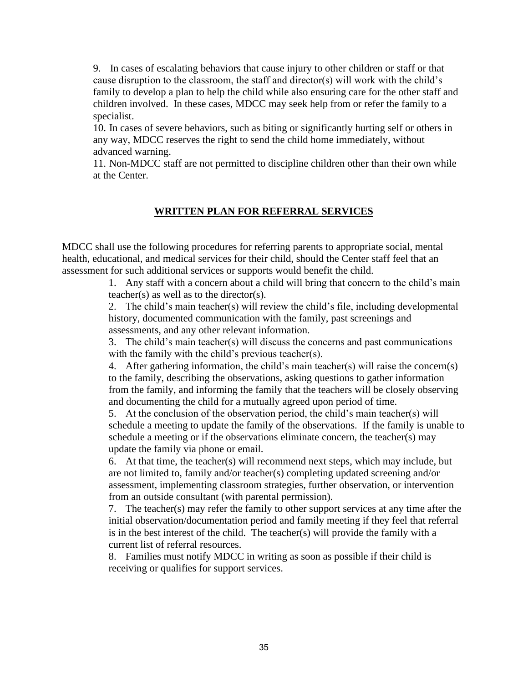9. In cases of escalating behaviors that cause injury to other children or staff or that cause disruption to the classroom, the staff and director(s) will work with the child's family to develop a plan to help the child while also ensuring care for the other staff and children involved. In these cases, MDCC may seek help from or refer the family to a specialist.

10. In cases of severe behaviors, such as biting or significantly hurting self or others in any way, MDCC reserves the right to send the child home immediately, without advanced warning.

11. Non-MDCC staff are not permitted to discipline children other than their own while at the Center.

#### **WRITTEN PLAN FOR REFERRAL SERVICES**

MDCC shall use the following procedures for referring parents to appropriate social, mental health, educational, and medical services for their child, should the Center staff feel that an assessment for such additional services or supports would benefit the child.

> 1. Any staff with a concern about a child will bring that concern to the child's main teacher(s) as well as to the director(s).

> 2. The child's main teacher(s) will review the child's file, including developmental history, documented communication with the family, past screenings and assessments, and any other relevant information.

3. The child's main teacher(s) will discuss the concerns and past communications with the family with the child's previous teacher(s).

4. After gathering information, the child's main teacher(s) will raise the concern(s) to the family, describing the observations, asking questions to gather information from the family, and informing the family that the teachers will be closely observing and documenting the child for a mutually agreed upon period of time.

5. At the conclusion of the observation period, the child's main teacher(s) will schedule a meeting to update the family of the observations. If the family is unable to schedule a meeting or if the observations eliminate concern, the teacher(s) may update the family via phone or email.

6. At that time, the teacher(s) will recommend next steps, which may include, but are not limited to, family and/or teacher(s) completing updated screening and/or assessment, implementing classroom strategies, further observation, or intervention from an outside consultant (with parental permission).

7. The teacher(s) may refer the family to other support services at any time after the initial observation/documentation period and family meeting if they feel that referral is in the best interest of the child. The teacher(s) will provide the family with a current list of referral resources.

8. Families must notify MDCC in writing as soon as possible if their child is receiving or qualifies for support services.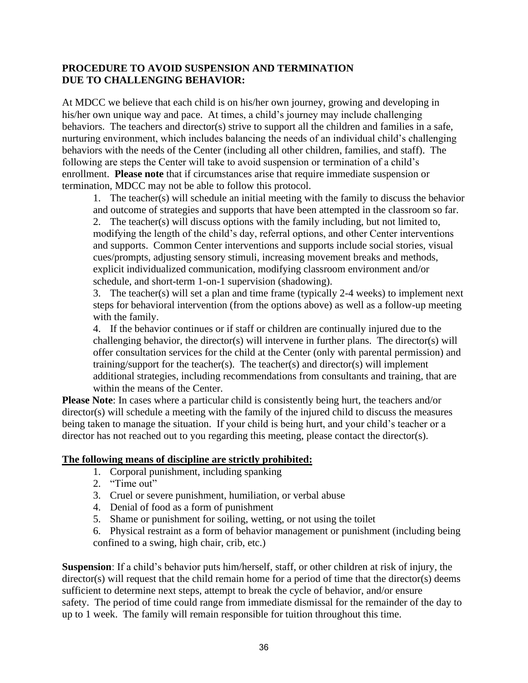#### **PROCEDURE TO AVOID SUSPENSION AND TERMINATION DUE TO CHALLENGING BEHAVIOR:**

At MDCC we believe that each child is on his/her own journey, growing and developing in his/her own unique way and pace. At times, a child's journey may include challenging behaviors. The teachers and director(s) strive to support all the children and families in a safe, nurturing environment, which includes balancing the needs of an individual child's challenging behaviors with the needs of the Center (including all other children, families, and staff). The following are steps the Center will take to avoid suspension or termination of a child's enrollment. **Please note** that if circumstances arise that require immediate suspension or termination, MDCC may not be able to follow this protocol.

1. The teacher(s) will schedule an initial meeting with the family to discuss the behavior and outcome of strategies and supports that have been attempted in the classroom so far. 2. The teacher(s) will discuss options with the family including, but not limited to, modifying the length of the child's day, referral options, and other Center interventions and supports. Common Center interventions and supports include social stories, visual cues/prompts, adjusting sensory stimuli, increasing movement breaks and methods, explicit individualized communication, modifying classroom environment and/or schedule, and short-term 1-on-1 supervision (shadowing).

3. The teacher(s) will set a plan and time frame (typically 2-4 weeks) to implement next steps for behavioral intervention (from the options above) as well as a follow-up meeting with the family.

4. If the behavior continues or if staff or children are continually injured due to the challenging behavior, the director(s) will intervene in further plans. The director(s) will offer consultation services for the child at the Center (only with parental permission) and training/support for the teacher(s). The teacher(s) and director(s) will implement additional strategies, including recommendations from consultants and training, that are within the means of the Center.

**Please Note**: In cases where a particular child is consistently being hurt, the teachers and/or director(s) will schedule a meeting with the family of the injured child to discuss the measures being taken to manage the situation. If your child is being hurt, and your child's teacher or a director has not reached out to you regarding this meeting, please contact the director(s).

#### **The following means of discipline are strictly prohibited:**

- 1. Corporal punishment, including spanking
- 2. "Time out"
- 3. Cruel or severe punishment, humiliation, or verbal abuse
- 4. Denial of food as a form of punishment
- 5. Shame or punishment for soiling, wetting, or not using the toilet
- 6. Physical restraint as a form of behavior management or punishment (including being confined to a swing, high chair, crib, etc.)

**Suspension**: If a child's behavior puts him/herself, staff, or other children at risk of injury, the director(s) will request that the child remain home for a period of time that the director(s) deems sufficient to determine next steps, attempt to break the cycle of behavior, and/or ensure safety. The period of time could range from immediate dismissal for the remainder of the day to up to 1 week. The family will remain responsible for tuition throughout this time.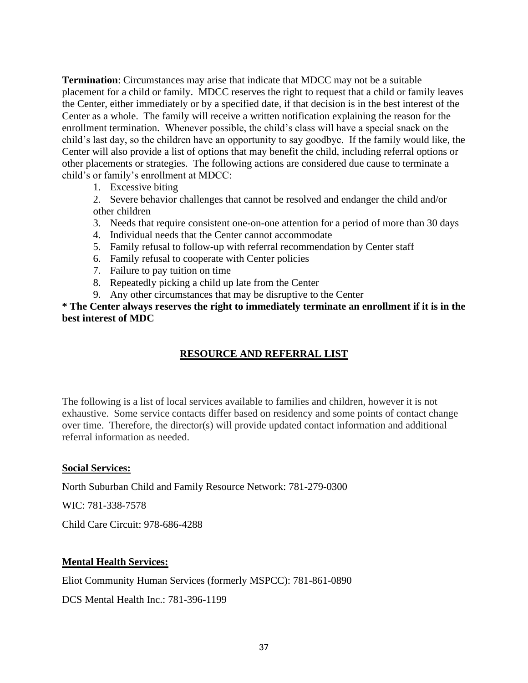**Termination**: Circumstances may arise that indicate that MDCC may not be a suitable placement for a child or family. MDCC reserves the right to request that a child or family leaves the Center, either immediately or by a specified date, if that decision is in the best interest of the Center as a whole. The family will receive a written notification explaining the reason for the enrollment termination. Whenever possible, the child's class will have a special snack on the child's last day, so the children have an opportunity to say goodbye. If the family would like, the Center will also provide a list of options that may benefit the child, including referral options or other placements or strategies. The following actions are considered due cause to terminate a child's or family's enrollment at MDCC:

1. Excessive biting

2. Severe behavior challenges that cannot be resolved and endanger the child and/or other children

- 3. Needs that require consistent one-on-one attention for a period of more than 30 days
- 4. Individual needs that the Center cannot accommodate
- 5. Family refusal to follow-up with referral recommendation by Center staff
- 6. Family refusal to cooperate with Center policies
- 7. Failure to pay tuition on time
- 8. Repeatedly picking a child up late from the Center
- 9. Any other circumstances that may be disruptive to the Center

**\* The Center always reserves the right to immediately terminate an enrollment if it is in the best interest of MDC**

## **RESOURCE AND REFERRAL LIST**

The following is a list of local services available to families and children, however it is not exhaustive. Some service contacts differ based on residency and some points of contact change over time. Therefore, the director(s) will provide updated contact information and additional referral information as needed.

#### **Social Services:**

North Suburban Child and Family Resource Network: 781-279-0300

WIC: 781-338-7578

Child Care Circuit: 978-686-4288

## **Mental Health Services:**

Eliot Community Human Services (formerly MSPCC): 781-861-0890

DCS Mental Health Inc.: 781-396-1199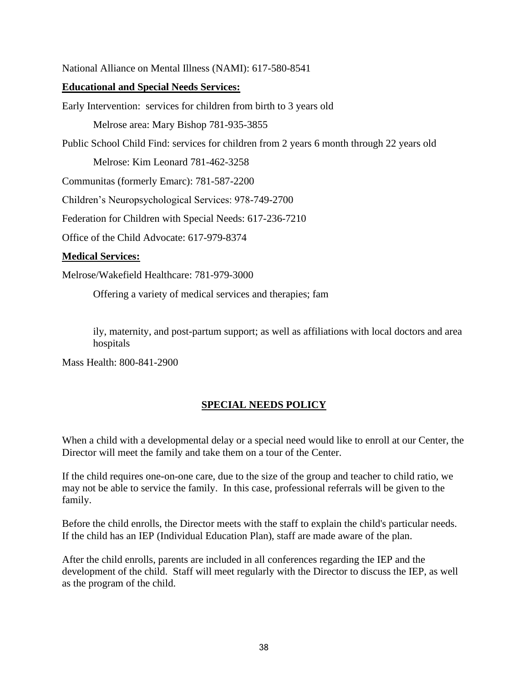National Alliance on Mental Illness (NAMI): 617-580-8541

#### **Educational and Special Needs Services:**

Early Intervention: services for children from birth to 3 years old Melrose area: Mary Bishop 781-935-3855 Public School Child Find: services for children from 2 years 6 month through 22 years old Melrose: Kim Leonard 781-462-3258

Communitas (formerly Emarc): 781-587-2200

Children's Neuropsychological Services: 978-749-2700

Federation for Children with Special Needs: 617-236-7210

Office of the Child Advocate: 617-979-8374

#### **Medical Services:**

Melrose/Wakefield Healthcare: 781-979-3000

Offering a variety of medical services and therapies; fam

ily, maternity, and post-partum support; as well as affiliations with local doctors and area hospitals

Mass Health: 800-841-2900

## **SPECIAL NEEDS POLICY**

When a child with a developmental delay or a special need would like to enroll at our Center, the Director will meet the family and take them on a tour of the Center.

If the child requires one-on-one care, due to the size of the group and teacher to child ratio, we may not be able to service the family. In this case, professional referrals will be given to the family.

Before the child enrolls, the Director meets with the staff to explain the child's particular needs. If the child has an IEP (Individual Education Plan), staff are made aware of the plan.

After the child enrolls, parents are included in all conferences regarding the IEP and the development of the child. Staff will meet regularly with the Director to discuss the IEP, as well as the program of the child.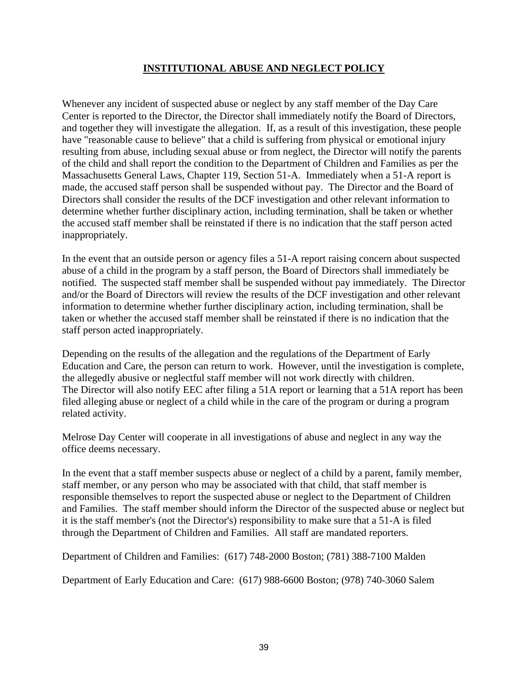## **INSTITUTIONAL ABUSE AND NEGLECT POLICY**

Whenever any incident of suspected abuse or neglect by any staff member of the Day Care Center is reported to the Director, the Director shall immediately notify the Board of Directors, and together they will investigate the allegation. If, as a result of this investigation, these people have "reasonable cause to believe" that a child is suffering from physical or emotional injury resulting from abuse, including sexual abuse or from neglect, the Director will notify the parents of the child and shall report the condition to the Department of Children and Families as per the Massachusetts General Laws, Chapter 119, Section 51-A. Immediately when a 51-A report is made, the accused staff person shall be suspended without pay. The Director and the Board of Directors shall consider the results of the DCF investigation and other relevant information to determine whether further disciplinary action, including termination, shall be taken or whether the accused staff member shall be reinstated if there is no indication that the staff person acted inappropriately.

In the event that an outside person or agency files a 51-A report raising concern about suspected abuse of a child in the program by a staff person, the Board of Directors shall immediately be notified. The suspected staff member shall be suspended without pay immediately. The Director and/or the Board of Directors will review the results of the DCF investigation and other relevant information to determine whether further disciplinary action, including termination, shall be taken or whether the accused staff member shall be reinstated if there is no indication that the staff person acted inappropriately.

Depending on the results of the allegation and the regulations of the Department of Early Education and Care, the person can return to work. However, until the investigation is complete, the allegedly abusive or neglectful staff member will not work directly with children. The Director will also notify EEC after filing a 51A report or learning that a 51A report has been filed alleging abuse or neglect of a child while in the care of the program or during a program related activity.

Melrose Day Center will cooperate in all investigations of abuse and neglect in any way the office deems necessary.

In the event that a staff member suspects abuse or neglect of a child by a parent, family member, staff member, or any person who may be associated with that child, that staff member is responsible themselves to report the suspected abuse or neglect to the Department of Children and Families. The staff member should inform the Director of the suspected abuse or neglect but it is the staff member's (not the Director's) responsibility to make sure that a 51-A is filed through the Department of Children and Families. All staff are mandated reporters.

Department of Children and Families: (617) 748-2000 Boston; (781) 388-7100 Malden

Department of Early Education and Care: (617) 988-6600 Boston; (978) 740-3060 Salem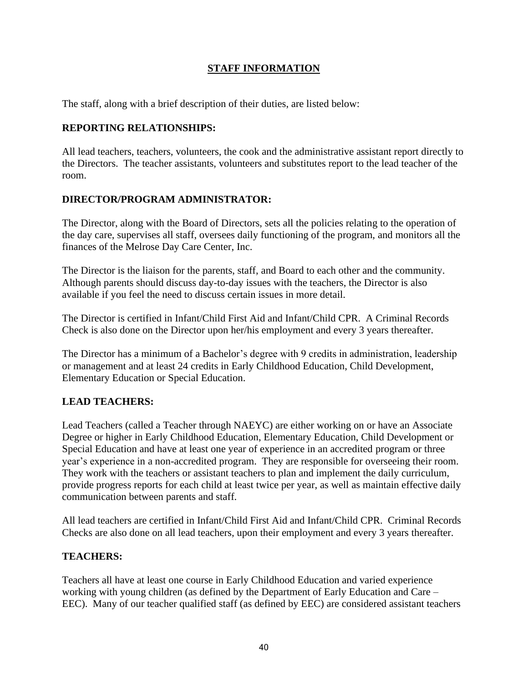## **STAFF INFORMATION**

The staff, along with a brief description of their duties, are listed below:

## **REPORTING RELATIONSHIPS:**

All lead teachers, teachers, volunteers, the cook and the administrative assistant report directly to the Directors. The teacher assistants, volunteers and substitutes report to the lead teacher of the room.

## **DIRECTOR/PROGRAM ADMINISTRATOR:**

The Director, along with the Board of Directors, sets all the policies relating to the operation of the day care, supervises all staff, oversees daily functioning of the program, and monitors all the finances of the Melrose Day Care Center, Inc.

The Director is the liaison for the parents, staff, and Board to each other and the community. Although parents should discuss day-to-day issues with the teachers, the Director is also available if you feel the need to discuss certain issues in more detail.

The Director is certified in Infant/Child First Aid and Infant/Child CPR. A Criminal Records Check is also done on the Director upon her/his employment and every 3 years thereafter.

The Director has a minimum of a Bachelor's degree with 9 credits in administration, leadership or management and at least 24 credits in Early Childhood Education, Child Development, Elementary Education or Special Education.

## **LEAD TEACHERS:**

Lead Teachers (called a Teacher through NAEYC) are either working on or have an Associate Degree or higher in Early Childhood Education, Elementary Education, Child Development or Special Education and have at least one year of experience in an accredited program or three year's experience in a non-accredited program. They are responsible for overseeing their room. They work with the teachers or assistant teachers to plan and implement the daily curriculum, provide progress reports for each child at least twice per year, as well as maintain effective daily communication between parents and staff.

All lead teachers are certified in Infant/Child First Aid and Infant/Child CPR. Criminal Records Checks are also done on all lead teachers, upon their employment and every 3 years thereafter.

## **TEACHERS:**

Teachers all have at least one course in Early Childhood Education and varied experience working with young children (as defined by the Department of Early Education and Care – EEC). Many of our teacher qualified staff (as defined by EEC) are considered assistant teachers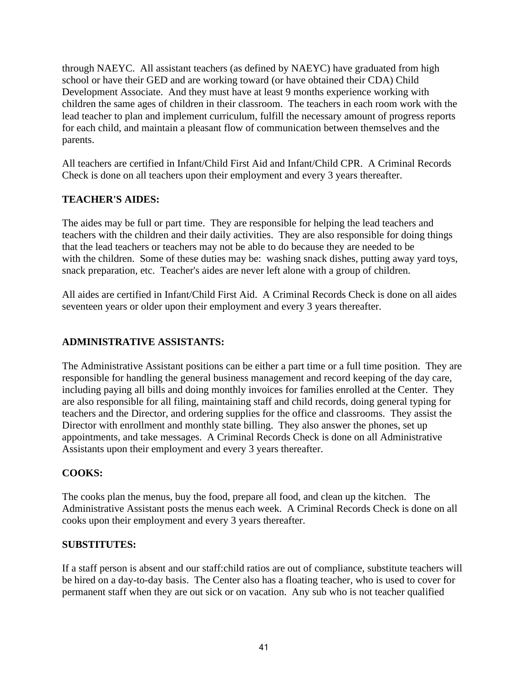through NAEYC. All assistant teachers (as defined by NAEYC) have graduated from high school or have their GED and are working toward (or have obtained their CDA) Child Development Associate. And they must have at least 9 months experience working with children the same ages of children in their classroom. The teachers in each room work with the lead teacher to plan and implement curriculum, fulfill the necessary amount of progress reports for each child, and maintain a pleasant flow of communication between themselves and the parents.

All teachers are certified in Infant/Child First Aid and Infant/Child CPR. A Criminal Records Check is done on all teachers upon their employment and every 3 years thereafter.

## **TEACHER'S AIDES:**

The aides may be full or part time. They are responsible for helping the lead teachers and teachers with the children and their daily activities. They are also responsible for doing things that the lead teachers or teachers may not be able to do because they are needed to be with the children. Some of these duties may be: washing snack dishes, putting away yard toys, snack preparation, etc. Teacher's aides are never left alone with a group of children.

All aides are certified in Infant/Child First Aid. A Criminal Records Check is done on all aides seventeen years or older upon their employment and every 3 years thereafter.

## **ADMINISTRATIVE ASSISTANTS:**

The Administrative Assistant positions can be either a part time or a full time position. They are responsible for handling the general business management and record keeping of the day care, including paying all bills and doing monthly invoices for families enrolled at the Center. They are also responsible for all filing, maintaining staff and child records, doing general typing for teachers and the Director, and ordering supplies for the office and classrooms. They assist the Director with enrollment and monthly state billing. They also answer the phones, set up appointments, and take messages. A Criminal Records Check is done on all Administrative Assistants upon their employment and every 3 years thereafter.

## **COOKS:**

The cooks plan the menus, buy the food, prepare all food, and clean up the kitchen. The Administrative Assistant posts the menus each week. A Criminal Records Check is done on all cooks upon their employment and every 3 years thereafter.

#### **SUBSTITUTES:**

If a staff person is absent and our staff:child ratios are out of compliance, substitute teachers will be hired on a day-to-day basis. The Center also has a floating teacher, who is used to cover for permanent staff when they are out sick or on vacation. Any sub who is not teacher qualified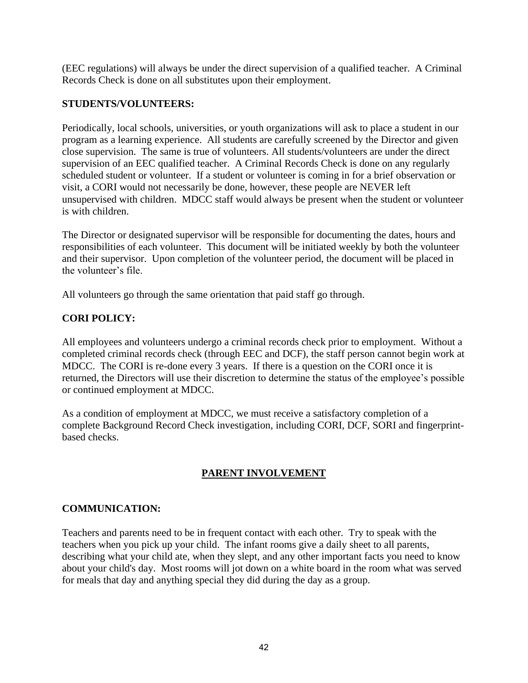(EEC regulations) will always be under the direct supervision of a qualified teacher. A Criminal Records Check is done on all substitutes upon their employment.

### **STUDENTS/VOLUNTEERS:**

Periodically, local schools, universities, or youth organizations will ask to place a student in our program as a learning experience. All students are carefully screened by the Director and given close supervision. The same is true of volunteers. All students/volunteers are under the direct supervision of an EEC qualified teacher. A Criminal Records Check is done on any regularly scheduled student or volunteer. If a student or volunteer is coming in for a brief observation or visit, a CORI would not necessarily be done, however, these people are NEVER left unsupervised with children. MDCC staff would always be present when the student or volunteer is with children.

The Director or designated supervisor will be responsible for documenting the dates, hours and responsibilities of each volunteer. This document will be initiated weekly by both the volunteer and their supervisor. Upon completion of the volunteer period, the document will be placed in the volunteer's file.

All volunteers go through the same orientation that paid staff go through.

## **CORI POLICY:**

All employees and volunteers undergo a criminal records check prior to employment. Without a completed criminal records check (through EEC and DCF), the staff person cannot begin work at MDCC. The CORI is re-done every 3 years. If there is a question on the CORI once it is returned, the Directors will use their discretion to determine the status of the employee's possible or continued employment at MDCC.

As a condition of employment at MDCC, we must receive a satisfactory completion of a complete Background Record Check investigation, including CORI, DCF, SORI and fingerprintbased checks.

## **PARENT INVOLVEMENT**

## **COMMUNICATION:**

Teachers and parents need to be in frequent contact with each other. Try to speak with the teachers when you pick up your child. The infant rooms give a daily sheet to all parents, describing what your child ate, when they slept, and any other important facts you need to know about your child's day. Most rooms will jot down on a white board in the room what was served for meals that day and anything special they did during the day as a group.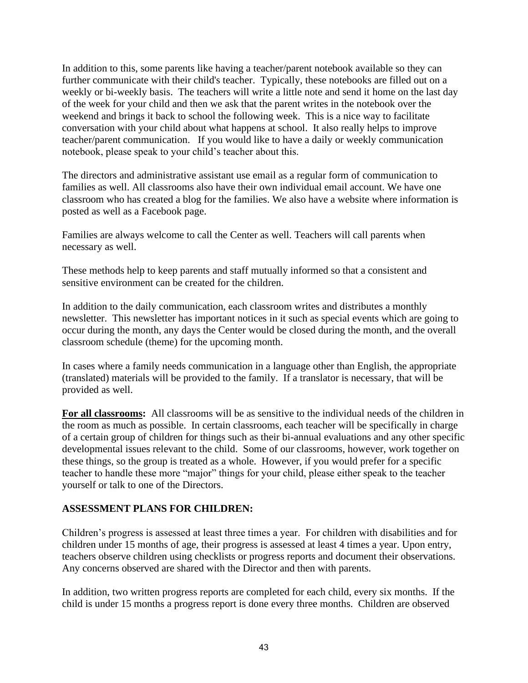In addition to this, some parents like having a teacher/parent notebook available so they can further communicate with their child's teacher. Typically, these notebooks are filled out on a weekly or bi-weekly basis. The teachers will write a little note and send it home on the last day of the week for your child and then we ask that the parent writes in the notebook over the weekend and brings it back to school the following week. This is a nice way to facilitate conversation with your child about what happens at school. It also really helps to improve teacher/parent communication. If you would like to have a daily or weekly communication notebook, please speak to your child's teacher about this.

The directors and administrative assistant use email as a regular form of communication to families as well. All classrooms also have their own individual email account. We have one classroom who has created a blog for the families. We also have a website where information is posted as well as a Facebook page.

Families are always welcome to call the Center as well. Teachers will call parents when necessary as well.

These methods help to keep parents and staff mutually informed so that a consistent and sensitive environment can be created for the children.

In addition to the daily communication, each classroom writes and distributes a monthly newsletter. This newsletter has important notices in it such as special events which are going to occur during the month, any days the Center would be closed during the month, and the overall classroom schedule (theme) for the upcoming month.

In cases where a family needs communication in a language other than English, the appropriate (translated) materials will be provided to the family. If a translator is necessary, that will be provided as well.

**For all classrooms:** All classrooms will be as sensitive to the individual needs of the children in the room as much as possible. In certain classrooms, each teacher will be specifically in charge of a certain group of children for things such as their bi-annual evaluations and any other specific developmental issues relevant to the child. Some of our classrooms, however, work together on these things, so the group is treated as a whole. However, if you would prefer for a specific teacher to handle these more "major" things for your child, please either speak to the teacher yourself or talk to one of the Directors.

## **ASSESSMENT PLANS FOR CHILDREN:**

Children's progress is assessed at least three times a year. For children with disabilities and for children under 15 months of age, their progress is assessed at least 4 times a year. Upon entry, teachers observe children using checklists or progress reports and document their observations. Any concerns observed are shared with the Director and then with parents.

In addition, two written progress reports are completed for each child, every six months. If the child is under 15 months a progress report is done every three months. Children are observed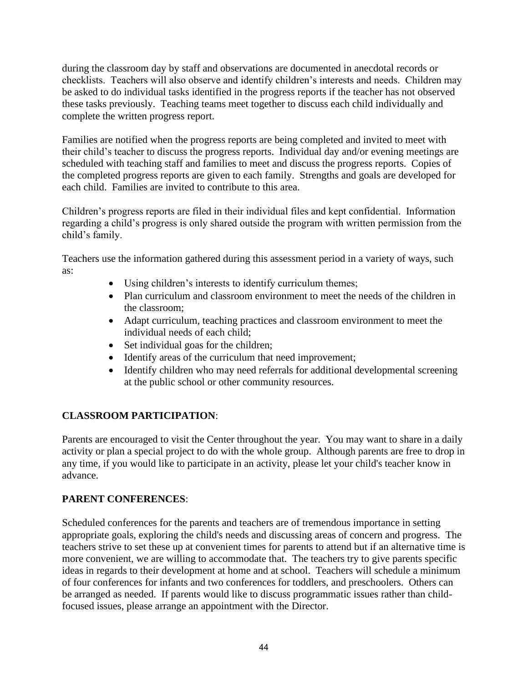during the classroom day by staff and observations are documented in anecdotal records or checklists. Teachers will also observe and identify children's interests and needs. Children may be asked to do individual tasks identified in the progress reports if the teacher has not observed these tasks previously. Teaching teams meet together to discuss each child individually and complete the written progress report.

Families are notified when the progress reports are being completed and invited to meet with their child's teacher to discuss the progress reports. Individual day and/or evening meetings are scheduled with teaching staff and families to meet and discuss the progress reports. Copies of the completed progress reports are given to each family. Strengths and goals are developed for each child. Families are invited to contribute to this area.

Children's progress reports are filed in their individual files and kept confidential. Information regarding a child's progress is only shared outside the program with written permission from the child's family.

Teachers use the information gathered during this assessment period in a variety of ways, such as:

- Using children's interests to identify curriculum themes;
- Plan curriculum and classroom environment to meet the needs of the children in the classroom;
- Adapt curriculum, teaching practices and classroom environment to meet the individual needs of each child;
- Set individual goas for the children;
- Identify areas of the curriculum that need improvement;
- Identify children who may need referrals for additional developmental screening at the public school or other community resources.

## **CLASSROOM PARTICIPATION**:

Parents are encouraged to visit the Center throughout the year. You may want to share in a daily activity or plan a special project to do with the whole group. Although parents are free to drop in any time, if you would like to participate in an activity, please let your child's teacher know in advance.

## **PARENT CONFERENCES**:

Scheduled conferences for the parents and teachers are of tremendous importance in setting appropriate goals, exploring the child's needs and discussing areas of concern and progress. The teachers strive to set these up at convenient times for parents to attend but if an alternative time is more convenient, we are willing to accommodate that. The teachers try to give parents specific ideas in regards to their development at home and at school. Teachers will schedule a minimum of four conferences for infants and two conferences for toddlers, and preschoolers. Others can be arranged as needed. If parents would like to discuss programmatic issues rather than childfocused issues, please arrange an appointment with the Director.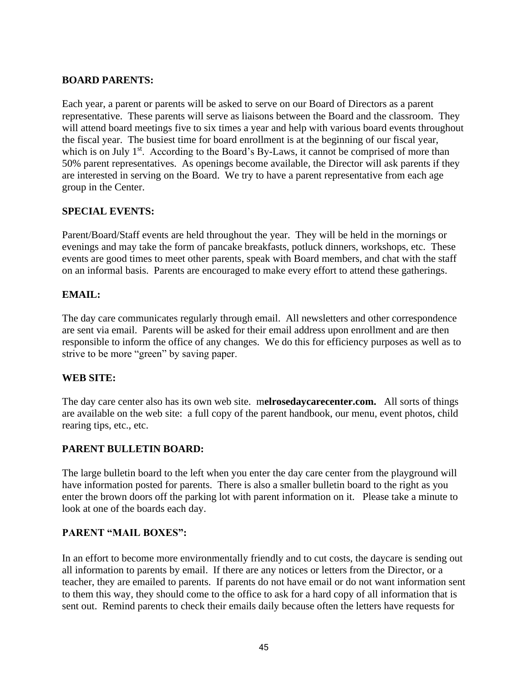### **BOARD PARENTS:**

Each year, a parent or parents will be asked to serve on our Board of Directors as a parent representative. These parents will serve as liaisons between the Board and the classroom. They will attend board meetings five to six times a year and help with various board events throughout the fiscal year. The busiest time for board enrollment is at the beginning of our fiscal year, which is on July 1<sup>st</sup>. According to the Board's By-Laws, it cannot be comprised of more than 50% parent representatives. As openings become available, the Director will ask parents if they are interested in serving on the Board. We try to have a parent representative from each age group in the Center.

## **SPECIAL EVENTS:**

Parent/Board/Staff events are held throughout the year. They will be held in the mornings or evenings and may take the form of pancake breakfasts, potluck dinners, workshops, etc. These events are good times to meet other parents, speak with Board members, and chat with the staff on an informal basis. Parents are encouraged to make every effort to attend these gatherings.

#### **EMAIL:**

The day care communicates regularly through email. All newsletters and other correspondence are sent via email. Parents will be asked for their email address upon enrollment and are then responsible to inform the office of any changes. We do this for efficiency purposes as well as to strive to be more "green" by saving paper.

#### **WEB SITE:**

The day care center also has its own web site. m**elrosedaycarecenter.com.** All sorts of things are available on the web site: a full copy of the parent handbook, our menu, event photos, child rearing tips, etc., etc.

#### **PARENT BULLETIN BOARD:**

The large bulletin board to the left when you enter the day care center from the playground will have information posted for parents. There is also a smaller bulletin board to the right as you enter the brown doors off the parking lot with parent information on it. Please take a minute to look at one of the boards each day.

#### **PARENT "MAIL BOXES":**

In an effort to become more environmentally friendly and to cut costs, the daycare is sending out all information to parents by email. If there are any notices or letters from the Director, or a teacher, they are emailed to parents. If parents do not have email or do not want information sent to them this way, they should come to the office to ask for a hard copy of all information that is sent out. Remind parents to check their emails daily because often the letters have requests for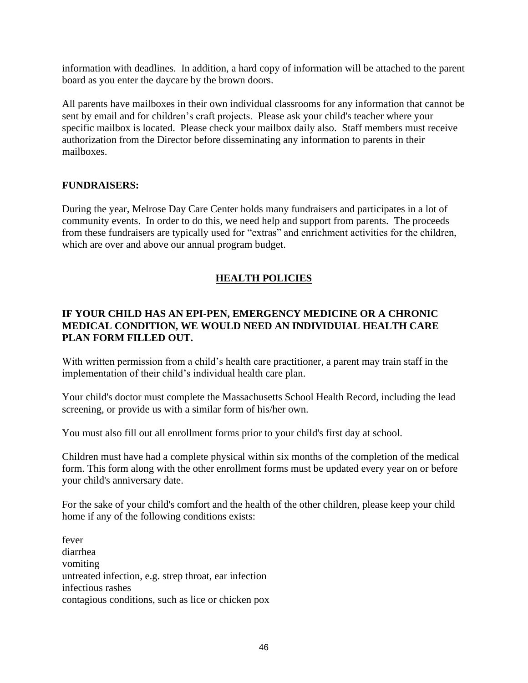information with deadlines. In addition, a hard copy of information will be attached to the parent board as you enter the daycare by the brown doors.

All parents have mailboxes in their own individual classrooms for any information that cannot be sent by email and for children's craft projects. Please ask your child's teacher where your specific mailbox is located. Please check your mailbox daily also. Staff members must receive authorization from the Director before disseminating any information to parents in their mailboxes.

#### **FUNDRAISERS:**

During the year, Melrose Day Care Center holds many fundraisers and participates in a lot of community events. In order to do this, we need help and support from parents. The proceeds from these fundraisers are typically used for "extras" and enrichment activities for the children, which are over and above our annual program budget.

## **HEALTH POLICIES**

## **IF YOUR CHILD HAS AN EPI-PEN, EMERGENCY MEDICINE OR A CHRONIC MEDICAL CONDITION, WE WOULD NEED AN INDIVIDUIAL HEALTH CARE PLAN FORM FILLED OUT.**

With written permission from a child's health care practitioner, a parent may train staff in the implementation of their child's individual health care plan.

Your child's doctor must complete the Massachusetts School Health Record, including the lead screening, or provide us with a similar form of his/her own.

You must also fill out all enrollment forms prior to your child's first day at school.

Children must have had a complete physical within six months of the completion of the medical form. This form along with the other enrollment forms must be updated every year on or before your child's anniversary date.

For the sake of your child's comfort and the health of the other children, please keep your child home if any of the following conditions exists:

fever diarrhea vomiting untreated infection, e.g. strep throat, ear infection infectious rashes contagious conditions, such as lice or chicken pox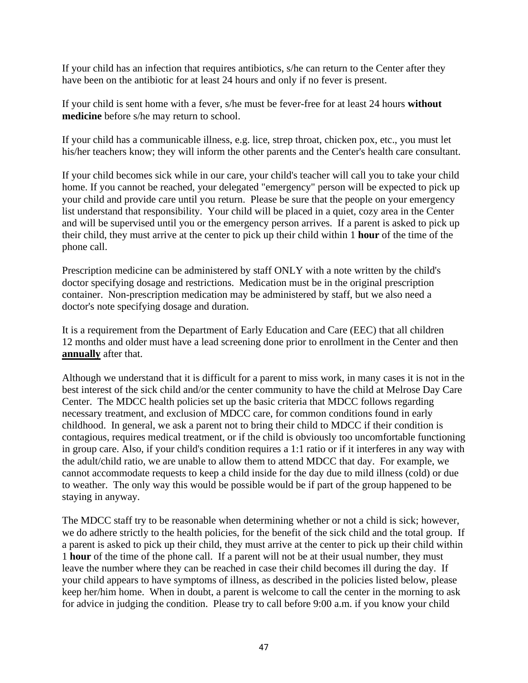If your child has an infection that requires antibiotics, s/he can return to the Center after they have been on the antibiotic for at least 24 hours and only if no fever is present.

If your child is sent home with a fever, s/he must be fever-free for at least 24 hours **without medicine** before s/he may return to school.

If your child has a communicable illness, e.g. lice, strep throat, chicken pox, etc., you must let his/her teachers know; they will inform the other parents and the Center's health care consultant.

If your child becomes sick while in our care, your child's teacher will call you to take your child home. If you cannot be reached, your delegated "emergency" person will be expected to pick up your child and provide care until you return. Please be sure that the people on your emergency list understand that responsibility. Your child will be placed in a quiet, cozy area in the Center and will be supervised until you or the emergency person arrives. If a parent is asked to pick up their child, they must arrive at the center to pick up their child within 1 **hour** of the time of the phone call.

Prescription medicine can be administered by staff ONLY with a note written by the child's doctor specifying dosage and restrictions. Medication must be in the original prescription container. Non-prescription medication may be administered by staff, but we also need a doctor's note specifying dosage and duration.

It is a requirement from the Department of Early Education and Care (EEC) that all children 12 months and older must have a lead screening done prior to enrollment in the Center and then **annually** after that.

Although we understand that it is difficult for a parent to miss work, in many cases it is not in the best interest of the sick child and/or the center community to have the child at Melrose Day Care Center. The MDCC health policies set up the basic criteria that MDCC follows regarding necessary treatment, and exclusion of MDCC care, for common conditions found in early childhood. In general, we ask a parent not to bring their child to MDCC if their condition is contagious, requires medical treatment, or if the child is obviously too uncomfortable functioning in group care. Also, if your child's condition requires a 1:1 ratio or if it interferes in any way with the adult/child ratio, we are unable to allow them to attend MDCC that day. For example, we cannot accommodate requests to keep a child inside for the day due to mild illness (cold) or due to weather. The only way this would be possible would be if part of the group happened to be staying in anyway.

The MDCC staff try to be reasonable when determining whether or not a child is sick; however, we do adhere strictly to the health policies, for the benefit of the sick child and the total group. If a parent is asked to pick up their child, they must arrive at the center to pick up their child within 1 **hour** of the time of the phone call. If a parent will not be at their usual number, they must leave the number where they can be reached in case their child becomes ill during the day. If your child appears to have symptoms of illness, as described in the policies listed below, please keep her/him home. When in doubt, a parent is welcome to call the center in the morning to ask for advice in judging the condition. Please try to call before 9:00 a.m. if you know your child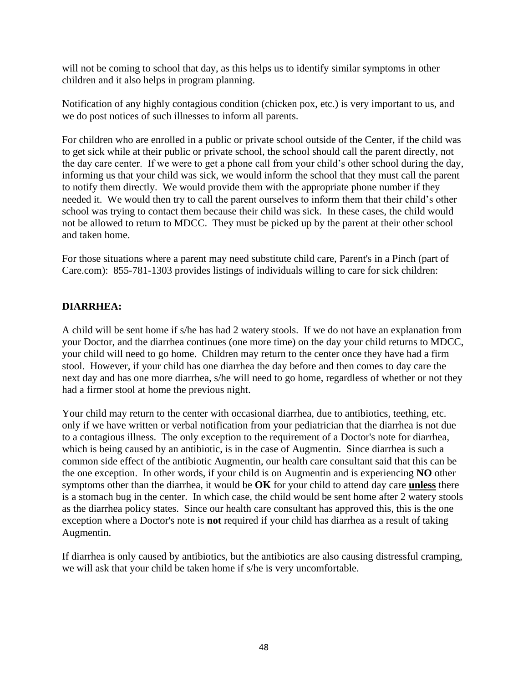will not be coming to school that day, as this helps us to identify similar symptoms in other children and it also helps in program planning.

Notification of any highly contagious condition (chicken pox, etc.) is very important to us, and we do post notices of such illnesses to inform all parents.

For children who are enrolled in a public or private school outside of the Center, if the child was to get sick while at their public or private school, the school should call the parent directly, not the day care center. If we were to get a phone call from your child's other school during the day, informing us that your child was sick, we would inform the school that they must call the parent to notify them directly. We would provide them with the appropriate phone number if they needed it. We would then try to call the parent ourselves to inform them that their child's other school was trying to contact them because their child was sick. In these cases, the child would not be allowed to return to MDCC. They must be picked up by the parent at their other school and taken home.

For those situations where a parent may need substitute child care, Parent's in a Pinch (part of Care.com): 855-781-1303 provides listings of individuals willing to care for sick children:

## **DIARRHEA:**

A child will be sent home if s/he has had 2 watery stools. If we do not have an explanation from your Doctor, and the diarrhea continues (one more time) on the day your child returns to MDCC, your child will need to go home. Children may return to the center once they have had a firm stool. However, if your child has one diarrhea the day before and then comes to day care the next day and has one more diarrhea, s/he will need to go home, regardless of whether or not they had a firmer stool at home the previous night.

Your child may return to the center with occasional diarrhea, due to antibiotics, teething, etc. only if we have written or verbal notification from your pediatrician that the diarrhea is not due to a contagious illness. The only exception to the requirement of a Doctor's note for diarrhea, which is being caused by an antibiotic, is in the case of Augmentin. Since diarrhea is such a common side effect of the antibiotic Augmentin, our health care consultant said that this can be the one exception. In other words, if your child is on Augmentin and is experiencing **NO** other symptoms other than the diarrhea, it would be **OK** for your child to attend day care **unless** there is a stomach bug in the center. In which case, the child would be sent home after 2 watery stools as the diarrhea policy states. Since our health care consultant has approved this, this is the one exception where a Doctor's note is **not** required if your child has diarrhea as a result of taking Augmentin.

If diarrhea is only caused by antibiotics, but the antibiotics are also causing distressful cramping, we will ask that your child be taken home if s/he is very uncomfortable.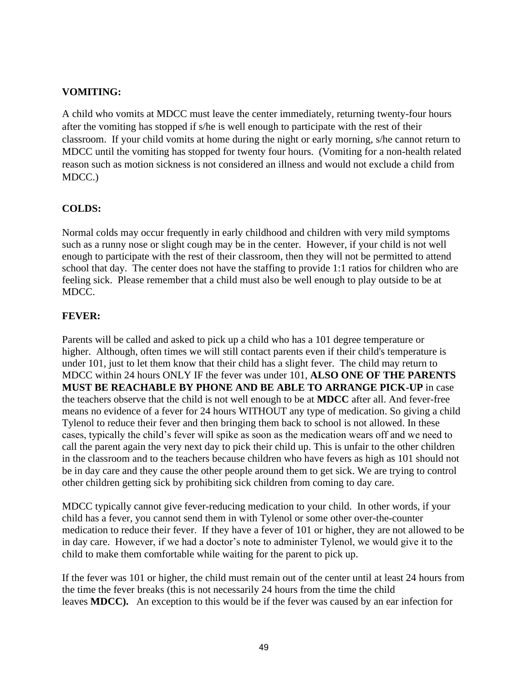## **VOMITING:**

A child who vomits at MDCC must leave the center immediately, returning twenty-four hours after the vomiting has stopped if s/he is well enough to participate with the rest of their classroom. If your child vomits at home during the night or early morning, s/he cannot return to MDCC until the vomiting has stopped for twenty four hours. (Vomiting for a non-health related reason such as motion sickness is not considered an illness and would not exclude a child from MDCC.)

## **COLDS:**

Normal colds may occur frequently in early childhood and children with very mild symptoms such as a runny nose or slight cough may be in the center. However, if your child is not well enough to participate with the rest of their classroom, then they will not be permitted to attend school that day. The center does not have the staffing to provide 1:1 ratios for children who are feeling sick. Please remember that a child must also be well enough to play outside to be at MDCC.

## **FEVER:**

Parents will be called and asked to pick up a child who has a 101 degree temperature or higher. Although, often times we will still contact parents even if their child's temperature is under 101, just to let them know that their child has a slight fever. The child may return to MDCC within 24 hours ONLY IF the fever was under 101, **ALSO ONE OF THE PARENTS MUST BE REACHABLE BY PHONE AND BE ABLE TO ARRANGE PICK-UP** in case the teachers observe that the child is not well enough to be at **MDCC** after all. And fever-free means no evidence of a fever for 24 hours WITHOUT any type of medication. So giving a child Tylenol to reduce their fever and then bringing them back to school is not allowed. In these cases, typically the child's fever will spike as soon as the medication wears off and we need to call the parent again the very next day to pick their child up. This is unfair to the other children in the classroom and to the teachers because children who have fevers as high as 101 should not be in day care and they cause the other people around them to get sick. We are trying to control other children getting sick by prohibiting sick children from coming to day care.

MDCC typically cannot give fever-reducing medication to your child. In other words, if your child has a fever, you cannot send them in with Tylenol or some other over-the-counter medication to reduce their fever. If they have a fever of 101 or higher, they are not allowed to be in day care. However, if we had a doctor's note to administer Tylenol, we would give it to the child to make them comfortable while waiting for the parent to pick up.

If the fever was 101 or higher, the child must remain out of the center until at least 24 hours from the time the fever breaks (this is not necessarily 24 hours from the time the child leaves **MDCC).** An exception to this would be if the fever was caused by an ear infection for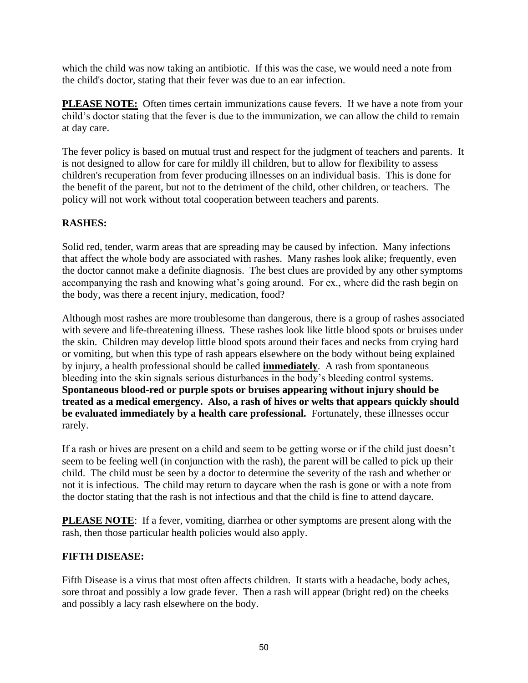which the child was now taking an antibiotic. If this was the case, we would need a note from the child's doctor, stating that their fever was due to an ear infection.

**PLEASE NOTE:** Often times certain immunizations cause fevers. If we have a note from your child's doctor stating that the fever is due to the immunization, we can allow the child to remain at day care.

The fever policy is based on mutual trust and respect for the judgment of teachers and parents. It is not designed to allow for care for mildly ill children, but to allow for flexibility to assess children's recuperation from fever producing illnesses on an individual basis. This is done for the benefit of the parent, but not to the detriment of the child, other children, or teachers. The policy will not work without total cooperation between teachers and parents.

## **RASHES:**

Solid red, tender, warm areas that are spreading may be caused by infection. Many infections that affect the whole body are associated with rashes. Many rashes look alike; frequently, even the doctor cannot make a definite diagnosis. The best clues are provided by any other symptoms accompanying the rash and knowing what's going around. For ex., where did the rash begin on the body, was there a recent injury, medication, food?

Although most rashes are more troublesome than dangerous, there is a group of rashes associated with severe and life-threatening illness. These rashes look like little blood spots or bruises under the skin. Children may develop little blood spots around their faces and necks from crying hard or vomiting, but when this type of rash appears elsewhere on the body without being explained by injury, a health professional should be called **immediately**. A rash from spontaneous bleeding into the skin signals serious disturbances in the body's bleeding control systems. **Spontaneous blood-red or purple spots or bruises appearing without injury should be treated as a medical emergency. Also, a rash of hives or welts that appears quickly should be evaluated immediately by a health care professional.** Fortunately, these illnesses occur rarely.

If a rash or hives are present on a child and seem to be getting worse or if the child just doesn't seem to be feeling well (in conjunction with the rash), the parent will be called to pick up their child. The child must be seen by a doctor to determine the severity of the rash and whether or not it is infectious. The child may return to daycare when the rash is gone or with a note from the doctor stating that the rash is not infectious and that the child is fine to attend daycare.

**PLEASE NOTE:** If a fever, vomiting, diarrhea or other symptoms are present along with the rash, then those particular health policies would also apply.

## **FIFTH DISEASE:**

Fifth Disease is a virus that most often affects children. It starts with a headache, body aches, sore throat and possibly a low grade fever. Then a rash will appear (bright red) on the cheeks and possibly a lacy rash elsewhere on the body.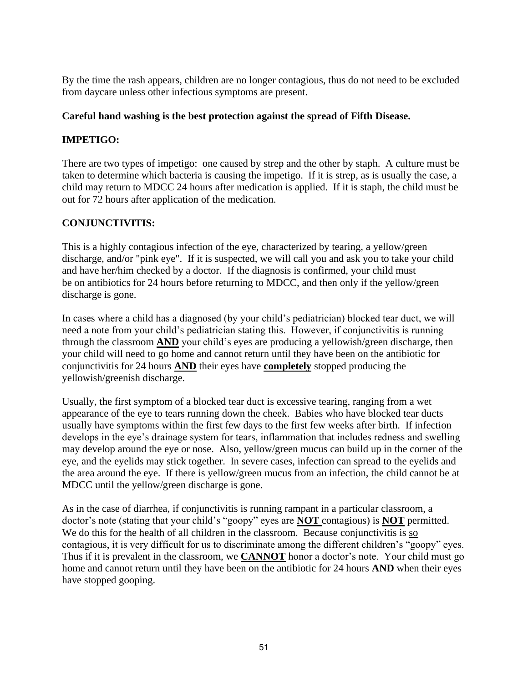By the time the rash appears, children are no longer contagious, thus do not need to be excluded from daycare unless other infectious symptoms are present.

## **Careful hand washing is the best protection against the spread of Fifth Disease.**

## **IMPETIGO:**

There are two types of impetigo: one caused by strep and the other by staph. A culture must be taken to determine which bacteria is causing the impetigo. If it is strep, as is usually the case, a child may return to MDCC 24 hours after medication is applied. If it is staph, the child must be out for 72 hours after application of the medication.

## **CONJUNCTIVITIS:**

This is a highly contagious infection of the eye, characterized by tearing, a yellow/green discharge, and/or "pink eye". If it is suspected, we will call you and ask you to take your child and have her/him checked by a doctor. If the diagnosis is confirmed, your child must be on antibiotics for 24 hours before returning to MDCC, and then only if the yellow/green discharge is gone.

In cases where a child has a diagnosed (by your child's pediatrician) blocked tear duct, we will need a note from your child's pediatrician stating this. However, if conjunctivitis is running through the classroom **AND** your child's eyes are producing a yellowish/green discharge, then your child will need to go home and cannot return until they have been on the antibiotic for conjunctivitis for 24 hours **AND** their eyes have **completely** stopped producing the yellowish/greenish discharge.

Usually, the first symptom of a blocked tear duct is excessive tearing, ranging from a wet appearance of the eye to tears running down the cheek. Babies who have blocked tear ducts usually have symptoms within the first few days to the first few weeks after birth. If infection develops in the eye's drainage system for tears, inflammation that includes redness and swelling may develop around the eye or nose. Also, yellow/green mucus can build up in the corner of the eye, and the eyelids may stick together. In severe cases, infection can spread to the eyelids and the area around the eye. If there is yellow/green mucus from an infection, the child cannot be at MDCC until the yellow/green discharge is gone.

As in the case of diarrhea, if conjunctivitis is running rampant in a particular classroom, a doctor's note (stating that your child's "goopy" eyes are **NOT** contagious) is **NOT** permitted. We do this for the health of all children in the classroom. Because conjunctivitis is so contagious, it is very difficult for us to discriminate among the different children's "goopy" eyes. Thus if it is prevalent in the classroom, we **CANNOT** honor a doctor's note. Your child must go home and cannot return until they have been on the antibiotic for 24 hours **AND** when their eyes have stopped gooping.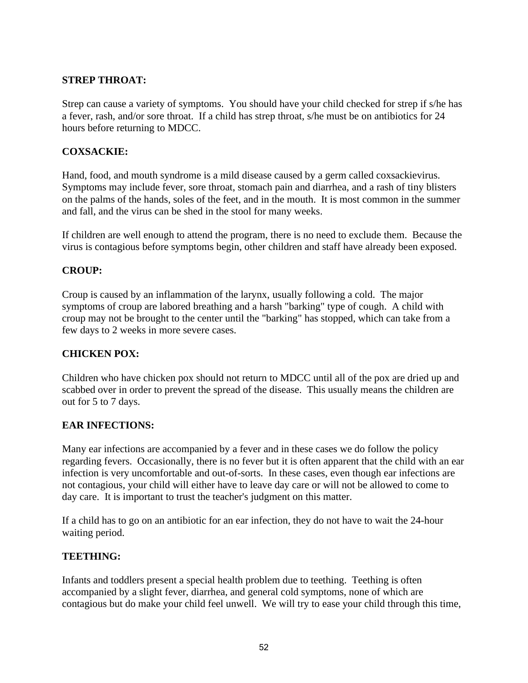## **STREP THROAT:**

Strep can cause a variety of symptoms. You should have your child checked for strep if s/he has a fever, rash, and/or sore throat. If a child has strep throat, s/he must be on antibiotics for 24 hours before returning to MDCC.

### **COXSACKIE:**

Hand, food, and mouth syndrome is a mild disease caused by a germ called coxsackievirus. Symptoms may include fever, sore throat, stomach pain and diarrhea, and a rash of tiny blisters on the palms of the hands, soles of the feet, and in the mouth. It is most common in the summer and fall, and the virus can be shed in the stool for many weeks.

If children are well enough to attend the program, there is no need to exclude them. Because the virus is contagious before symptoms begin, other children and staff have already been exposed.

#### **CROUP:**

Croup is caused by an inflammation of the larynx, usually following a cold. The major symptoms of croup are labored breathing and a harsh "barking" type of cough. A child with croup may not be brought to the center until the "barking" has stopped, which can take from a few days to 2 weeks in more severe cases.

#### **CHICKEN POX:**

Children who have chicken pox should not return to MDCC until all of the pox are dried up and scabbed over in order to prevent the spread of the disease. This usually means the children are out for 5 to 7 days.

#### **EAR INFECTIONS:**

Many ear infections are accompanied by a fever and in these cases we do follow the policy regarding fevers. Occasionally, there is no fever but it is often apparent that the child with an ear infection is very uncomfortable and out-of-sorts. In these cases, even though ear infections are not contagious, your child will either have to leave day care or will not be allowed to come to day care. It is important to trust the teacher's judgment on this matter.

If a child has to go on an antibiotic for an ear infection, they do not have to wait the 24-hour waiting period.

#### **TEETHING:**

Infants and toddlers present a special health problem due to teething. Teething is often accompanied by a slight fever, diarrhea, and general cold symptoms, none of which are contagious but do make your child feel unwell. We will try to ease your child through this time,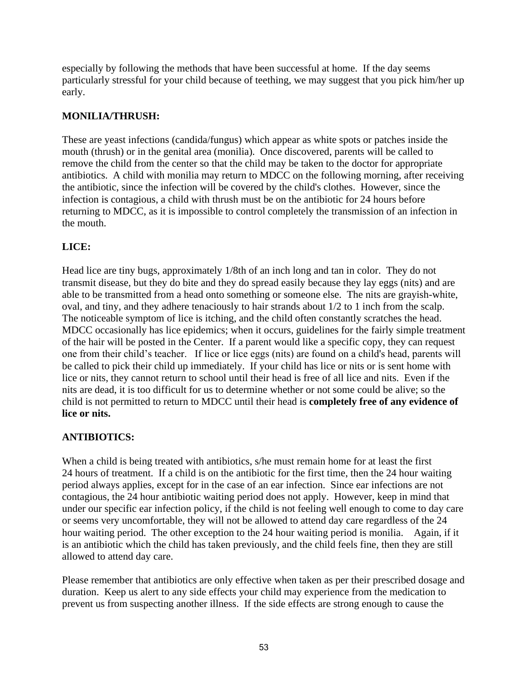especially by following the methods that have been successful at home. If the day seems particularly stressful for your child because of teething, we may suggest that you pick him/her up early.

## **MONILIA/THRUSH:**

These are yeast infections (candida/fungus) which appear as white spots or patches inside the mouth (thrush) or in the genital area (monilia). Once discovered, parents will be called to remove the child from the center so that the child may be taken to the doctor for appropriate antibiotics. A child with monilia may return to MDCC on the following morning, after receiving the antibiotic, since the infection will be covered by the child's clothes. However, since the infection is contagious, a child with thrush must be on the antibiotic for 24 hours before returning to MDCC, as it is impossible to control completely the transmission of an infection in the mouth.

## **LICE:**

Head lice are tiny bugs, approximately 1/8th of an inch long and tan in color. They do not transmit disease, but they do bite and they do spread easily because they lay eggs (nits) and are able to be transmitted from a head onto something or someone else. The nits are grayish-white, oval, and tiny, and they adhere tenaciously to hair strands about 1/2 to 1 inch from the scalp. The noticeable symptom of lice is itching, and the child often constantly scratches the head. MDCC occasionally has lice epidemics; when it occurs, guidelines for the fairly simple treatment of the hair will be posted in the Center. If a parent would like a specific copy, they can request one from their child's teacher. If lice or lice eggs (nits) are found on a child's head, parents will be called to pick their child up immediately. If your child has lice or nits or is sent home with lice or nits, they cannot return to school until their head is free of all lice and nits. Even if the nits are dead, it is too difficult for us to determine whether or not some could be alive; so the child is not permitted to return to MDCC until their head is **completely free of any evidence of lice or nits.**

## **ANTIBIOTICS:**

When a child is being treated with antibiotics, s/he must remain home for at least the first 24 hours of treatment. If a child is on the antibiotic for the first time, then the 24 hour waiting period always applies, except for in the case of an ear infection. Since ear infections are not contagious, the 24 hour antibiotic waiting period does not apply. However, keep in mind that under our specific ear infection policy, if the child is not feeling well enough to come to day care or seems very uncomfortable, they will not be allowed to attend day care regardless of the 24 hour waiting period. The other exception to the 24 hour waiting period is monilia. Again, if it is an antibiotic which the child has taken previously, and the child feels fine, then they are still allowed to attend day care.

Please remember that antibiotics are only effective when taken as per their prescribed dosage and duration. Keep us alert to any side effects your child may experience from the medication to prevent us from suspecting another illness. If the side effects are strong enough to cause the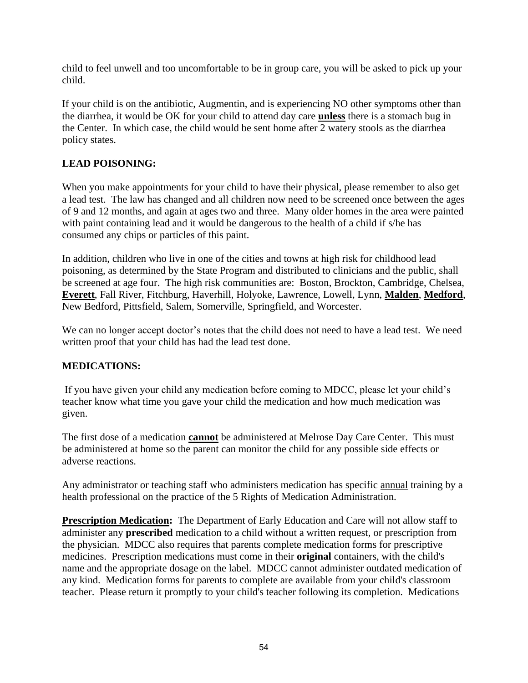child to feel unwell and too uncomfortable to be in group care, you will be asked to pick up your child.

If your child is on the antibiotic, Augmentin, and is experiencing NO other symptoms other than the diarrhea, it would be OK for your child to attend day care **unless** there is a stomach bug in the Center. In which case, the child would be sent home after 2 watery stools as the diarrhea policy states.

## **LEAD POISONING:**

When you make appointments for your child to have their physical, please remember to also get a lead test. The law has changed and all children now need to be screened once between the ages of 9 and 12 months, and again at ages two and three. Many older homes in the area were painted with paint containing lead and it would be dangerous to the health of a child if s/he has consumed any chips or particles of this paint.

In addition, children who live in one of the cities and towns at high risk for childhood lead poisoning, as determined by the State Program and distributed to clinicians and the public, shall be screened at age four. The high risk communities are: Boston, Brockton, Cambridge, Chelsea, **Everett**, Fall River, Fitchburg, Haverhill, Holyoke, Lawrence, Lowell, Lynn, **Malden**, **Medford**, New Bedford, Pittsfield, Salem, Somerville, Springfield, and Worcester.

We can no longer accept doctor's notes that the child does not need to have a lead test. We need written proof that your child has had the lead test done.

## **MEDICATIONS:**

If you have given your child any medication before coming to MDCC, please let your child's teacher know what time you gave your child the medication and how much medication was given.

The first dose of a medication **cannot** be administered at Melrose Day Care Center. This must be administered at home so the parent can monitor the child for any possible side effects or adverse reactions.

Any administrator or teaching staff who administers medication has specific annual training by a health professional on the practice of the 5 Rights of Medication Administration.

**Prescription Medication:** The Department of Early Education and Care will not allow staff to administer any **prescribed** medication to a child without a written request, or prescription from the physician. MDCC also requires that parents complete medication forms for prescriptive medicines. Prescription medications must come in their **original** containers, with the child's name and the appropriate dosage on the label. MDCC cannot administer outdated medication of any kind. Medication forms for parents to complete are available from your child's classroom teacher. Please return it promptly to your child's teacher following its completion. Medications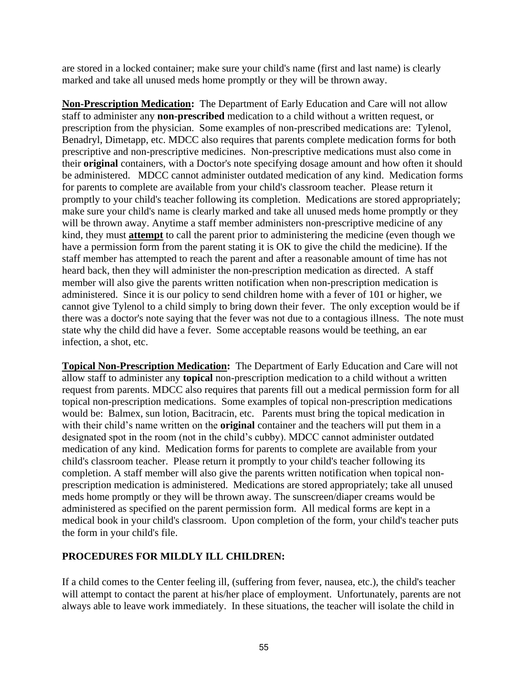are stored in a locked container; make sure your child's name (first and last name) is clearly marked and take all unused meds home promptly or they will be thrown away.

**Non-Prescription Medication:** The Department of Early Education and Care will not allow staff to administer any **non-prescribed** medication to a child without a written request, or prescription from the physician. Some examples of non-prescribed medications are: Tylenol, Benadryl, Dimetapp, etc. MDCC also requires that parents complete medication forms for both prescriptive and non-prescriptive medicines. Non-prescriptive medications must also come in their **original** containers, with a Doctor's note specifying dosage amount and how often it should be administered. MDCC cannot administer outdated medication of any kind. Medication forms for parents to complete are available from your child's classroom teacher. Please return it promptly to your child's teacher following its completion. Medications are stored appropriately; make sure your child's name is clearly marked and take all unused meds home promptly or they will be thrown away. Anytime a staff member administers non-prescriptive medicine of any kind, they must **attempt** to call the parent prior to administering the medicine (even though we have a permission form from the parent stating it is OK to give the child the medicine). If the staff member has attempted to reach the parent and after a reasonable amount of time has not heard back, then they will administer the non-prescription medication as directed. A staff member will also give the parents written notification when non-prescription medication is administered. Since it is our policy to send children home with a fever of 101 or higher, we cannot give Tylenol to a child simply to bring down their fever. The only exception would be if there was a doctor's note saying that the fever was not due to a contagious illness. The note must state why the child did have a fever. Some acceptable reasons would be teething, an ear infection, a shot, etc.

**Topical Non-Prescription Medication:** The Department of Early Education and Care will not allow staff to administer any **topical** non-prescription medication to a child without a written request from parents. MDCC also requires that parents fill out a medical permission form for all topical non-prescription medications. Some examples of topical non-prescription medications would be: Balmex, sun lotion, Bacitracin, etc. Parents must bring the topical medication in with their child's name written on the **original** container and the teachers will put them in a designated spot in the room (not in the child's cubby). MDCC cannot administer outdated medication of any kind. Medication forms for parents to complete are available from your child's classroom teacher. Please return it promptly to your child's teacher following its completion. A staff member will also give the parents written notification when topical nonprescription medication is administered. Medications are stored appropriately; take all unused meds home promptly or they will be thrown away. The sunscreen/diaper creams would be administered as specified on the parent permission form. All medical forms are kept in a medical book in your child's classroom. Upon completion of the form, your child's teacher puts the form in your child's file.

## **PROCEDURES FOR MILDLY ILL CHILDREN:**

If a child comes to the Center feeling ill, (suffering from fever, nausea, etc.), the child's teacher will attempt to contact the parent at his/her place of employment. Unfortunately, parents are not always able to leave work immediately. In these situations, the teacher will isolate the child in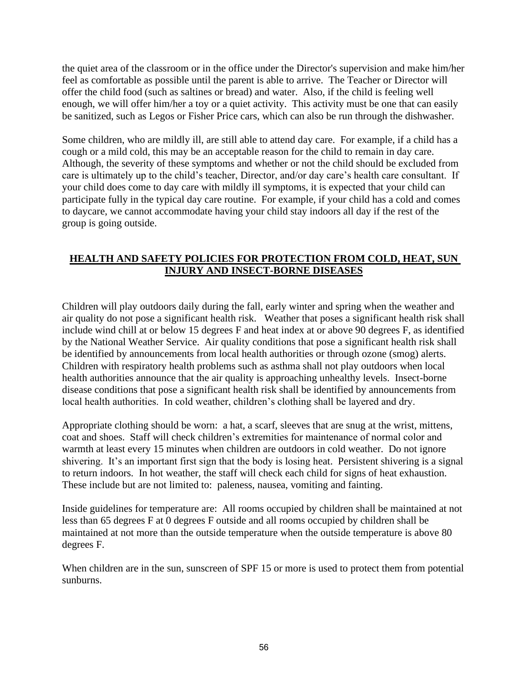the quiet area of the classroom or in the office under the Director's supervision and make him/her feel as comfortable as possible until the parent is able to arrive. The Teacher or Director will offer the child food (such as saltines or bread) and water. Also, if the child is feeling well enough, we will offer him/her a toy or a quiet activity. This activity must be one that can easily be sanitized, such as Legos or Fisher Price cars, which can also be run through the dishwasher.

Some children, who are mildly ill, are still able to attend day care. For example, if a child has a cough or a mild cold, this may be an acceptable reason for the child to remain in day care. Although, the severity of these symptoms and whether or not the child should be excluded from care is ultimately up to the child's teacher, Director, and/or day care's health care consultant. If your child does come to day care with mildly ill symptoms, it is expected that your child can participate fully in the typical day care routine. For example, if your child has a cold and comes to daycare, we cannot accommodate having your child stay indoors all day if the rest of the group is going outside.

## **HEALTH AND SAFETY POLICIES FOR PROTECTION FROM COLD, HEAT, SUN INJURY AND INSECT-BORNE DISEASES**

Children will play outdoors daily during the fall, early winter and spring when the weather and air quality do not pose a significant health risk. Weather that poses a significant health risk shall include wind chill at or below 15 degrees F and heat index at or above 90 degrees F, as identified by the National Weather Service. Air quality conditions that pose a significant health risk shall be identified by announcements from local health authorities or through ozone (smog) alerts. Children with respiratory health problems such as asthma shall not play outdoors when local health authorities announce that the air quality is approaching unhealthy levels. Insect-borne disease conditions that pose a significant health risk shall be identified by announcements from local health authorities. In cold weather, children's clothing shall be layered and dry.

Appropriate clothing should be worn: a hat, a scarf, sleeves that are snug at the wrist, mittens, coat and shoes. Staff will check children's extremities for maintenance of normal color and warmth at least every 15 minutes when children are outdoors in cold weather. Do not ignore shivering. It's an important first sign that the body is losing heat. Persistent shivering is a signal to return indoors. In hot weather, the staff will check each child for signs of heat exhaustion. These include but are not limited to: paleness, nausea, vomiting and fainting.

Inside guidelines for temperature are: All rooms occupied by children shall be maintained at not less than 65 degrees F at 0 degrees F outside and all rooms occupied by children shall be maintained at not more than the outside temperature when the outside temperature is above 80 degrees F.

When children are in the sun, sunscreen of SPF 15 or more is used to protect them from potential sunburns.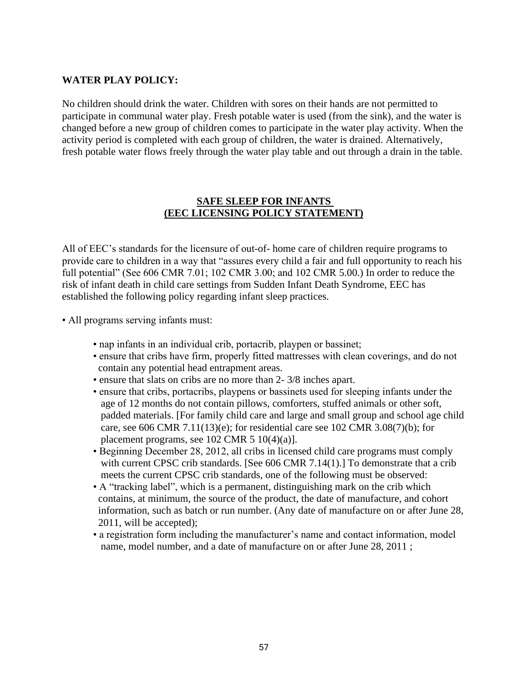### **WATER PLAY POLICY:**

No children should drink the water. Children with sores on their hands are not permitted to participate in communal water play. Fresh potable water is used (from the sink), and the water is changed before a new group of children comes to participate in the water play activity. When the activity period is completed with each group of children, the water is drained. Alternatively, fresh potable water flows freely through the water play table and out through a drain in the table.

#### **SAFE SLEEP FOR INFANTS (EEC LICENSING POLICY STATEMENT)**

All of EEC's standards for the licensure of out-of- home care of children require programs to provide care to children in a way that "assures every child a fair and full opportunity to reach his full potential" (See 606 CMR 7.01; 102 CMR 3.00; and 102 CMR 5.00.) In order to reduce the risk of infant death in child care settings from Sudden Infant Death Syndrome, EEC has established the following policy regarding infant sleep practices.

- All programs serving infants must:
	- nap infants in an individual crib, portacrib, playpen or bassinet;
	- ensure that cribs have firm, properly fitted mattresses with clean coverings, and do not contain any potential head entrapment areas.
	- ensure that slats on cribs are no more than 2- 3/8 inches apart.
	- ensure that cribs, portacribs, playpens or bassinets used for sleeping infants under the age of 12 months do not contain pillows, comforters, stuffed animals or other soft, padded materials. [For family child care and large and small group and school age child care, see 606 CMR 7.11(13)(e); for residential care see 102 CMR 3.08(7)(b); for placement programs, see  $102$  CMR  $5 10(4)(a)$ ].
	- Beginning December 28, 2012, all cribs in licensed child care programs must comply with current CPSC crib standards. [See 606 CMR 7.14(1).] To demonstrate that a crib meets the current CPSC crib standards, one of the following must be observed:
	- A "tracking label", which is a permanent, distinguishing mark on the crib which contains, at minimum, the source of the product, the date of manufacture, and cohort information, such as batch or run number. (Any date of manufacture on or after June 28, 2011, will be accepted);
	- a registration form including the manufacturer's name and contact information, model name, model number, and a date of manufacture on or after June 28, 2011 ;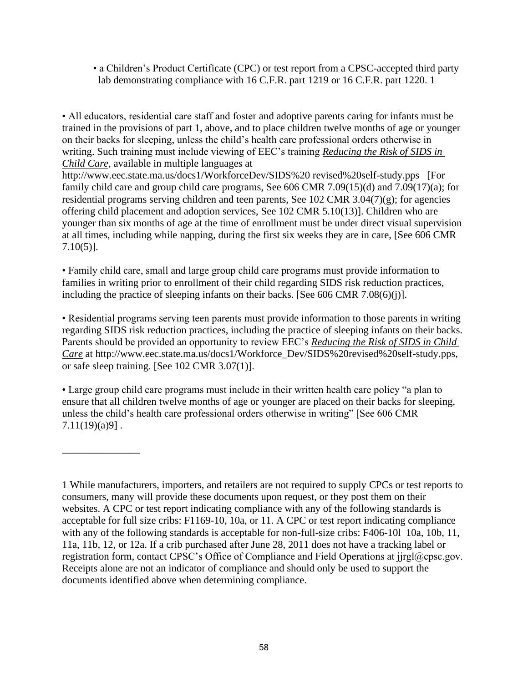• a Children's Product Certificate (CPC) or test report from a CPSC-accepted third party lab demonstrating compliance with 16 C.F.R. part 1219 or 16 C.F.R. part 1220. 1

• All educators, residential care staff and foster and adoptive parents caring for infants must be trained in the provisions of part 1, above, and to place children twelve months of age or younger on their backs for sleeping, unless the child's health care professional orders otherwise in writing. Such training must include viewing of EEC's training *Reducing the Risk of SIDS in Child Care*, available in multiple languages at

http://www.eec.state.ma.us/docs1/WorkforceDev/SIDS%20 revised%20self-study.pps [For family child care and group child care programs, See 606 CMR 7.09(15)(d) and 7.09(17)(a); for residential programs serving children and teen parents, See 102 CMR 3.04(7)(g); for agencies offering child placement and adoption services, See 102 CMR 5.10(13)]. Children who are younger than six months of age at the time of enrollment must be under direct visual supervision at all times, including while napping, during the first six weeks they are in care, [See 606 CMR 7.10(5)].

• Family child care, small and large group child care programs must provide information to families in writing prior to enrollment of their child regarding SIDS risk reduction practices, including the practice of sleeping infants on their backs. [See 606 CMR 7.08(6)(j)].

• Residential programs serving teen parents must provide information to those parents in writing regarding SIDS risk reduction practices, including the practice of sleeping infants on their backs. Parents should be provided an opportunity to review EEC's *Reducing the Risk of SIDS in Child Care* at http://www.eec.state.ma.us/docs1/Workforce\_Dev/SIDS%20revised%20self-study.pps, or safe sleep training. [See 102 CMR 3.07(1)].

• Large group child care programs must include in their written health care policy "a plan to ensure that all children twelve months of age or younger are placed on their backs for sleeping, unless the child's health care professional orders otherwise in writing" [See 606 CMR  $7.11(19)(a)9$ .

\_\_\_\_\_\_\_\_\_\_\_\_\_\_\_

<sup>1</sup> While manufacturers, importers, and retailers are not required to supply CPCs or test reports to consumers, many will provide these documents upon request, or they post them on their websites. A CPC or test report indicating compliance with any of the following standards is acceptable for full size cribs: F1169-10, 10a, or 11. A CPC or test report indicating compliance with any of the following standards is acceptable for non-full-size cribs: F406-10l 10a, 10b, 11, 11a, 11b, 12, or 12a. If a crib purchased after June 28, 2011 does not have a tracking label or registration form, contact CPSC's Office of Compliance and Field Operations at jjrgl@cpsc.gov. Receipts alone are not an indicator of compliance and should only be used to support the documents identified above when determining compliance.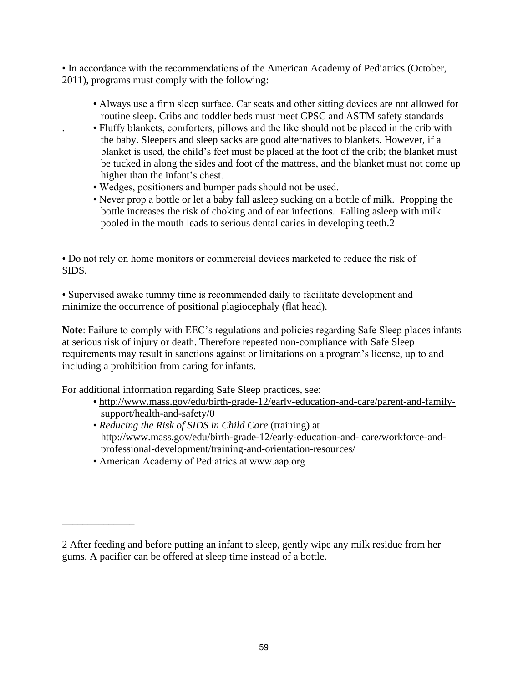• In accordance with the recommendations of the American Academy of Pediatrics (October, 2011), programs must comply with the following:

- Always use a firm sleep surface. Car seats and other sitting devices are not allowed for routine sleep. Cribs and toddler beds must meet CPSC and ASTM safety standards
- . Fluffy blankets, comforters, pillows and the like should not be placed in the crib with the baby. Sleepers and sleep sacks are good alternatives to blankets. However, if a blanket is used, the child's feet must be placed at the foot of the crib; the blanket must be tucked in along the sides and foot of the mattress, and the blanket must not come up higher than the infant's chest.
- Wedges, positioners and bumper pads should not be used.
- Never prop a bottle or let a baby fall asleep sucking on a bottle of milk. Propping the bottle increases the risk of choking and of ear infections. Falling asleep with milk pooled in the mouth leads to serious dental caries in developing teeth.2

• Do not rely on home monitors or commercial devices marketed to reduce the risk of SIDS.

• Supervised awake tummy time is recommended daily to facilitate development and minimize the occurrence of positional plagiocephaly (flat head).

**Note**: Failure to comply with EEC's regulations and policies regarding Safe Sleep places infants at serious risk of injury or death. Therefore repeated non-compliance with Safe Sleep requirements may result in sanctions against or limitations on a program's license, up to and including a prohibition from caring for infants.

For additional information regarding Safe Sleep practices, see:

- • [http://www.mass.gov/edu/birth-grade-12/early-education-and-care/parent-and-family](http://www.mass.gov/edu/birth-grade-12/early-education-and-care/parent-and-family-) support/health-and-safety/0
- *Reducing the Risk of SIDS in Child Care* (training) at <http://www.mass.gov/edu/birth-grade-12/early-education-and-> care/workforce-and professional-development/training-and-orientation-resources/
- American Academy of Pediatrics at www.aap.org

\_\_\_\_\_\_\_\_\_\_\_\_\_\_

<sup>2</sup> After feeding and before putting an infant to sleep, gently wipe any milk residue from her gums. A pacifier can be offered at sleep time instead of a bottle.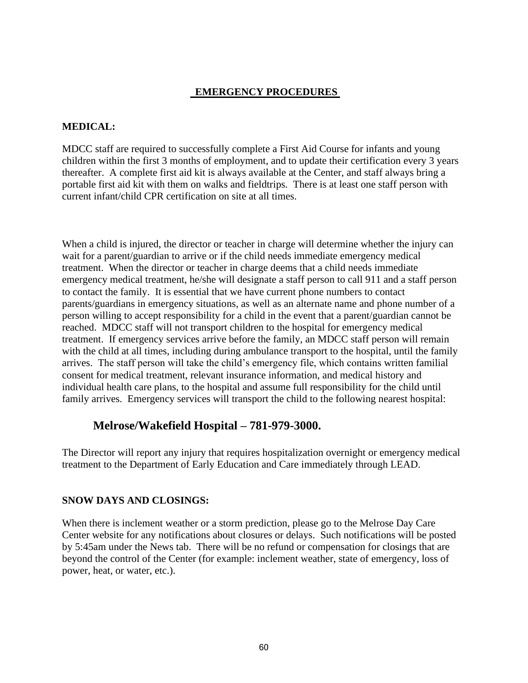## **EMERGENCY PROCEDURES**

### **MEDICAL:**

MDCC staff are required to successfully complete a First Aid Course for infants and young children within the first 3 months of employment, and to update their certification every 3 years thereafter. A complete first aid kit is always available at the Center, and staff always bring a portable first aid kit with them on walks and fieldtrips. There is at least one staff person with current infant/child CPR certification on site at all times.

When a child is injured, the director or teacher in charge will determine whether the injury can wait for a parent/guardian to arrive or if the child needs immediate emergency medical treatment. When the director or teacher in charge deems that a child needs immediate emergency medical treatment, he/she will designate a staff person to call 911 and a staff person to contact the family. It is essential that we have current phone numbers to contact parents/guardians in emergency situations, as well as an alternate name and phone number of a person willing to accept responsibility for a child in the event that a parent/guardian cannot be reached. MDCC staff will not transport children to the hospital for emergency medical treatment. If emergency services arrive before the family, an MDCC staff person will remain with the child at all times, including during ambulance transport to the hospital, until the family arrives. The staff person will take the child's emergency file, which contains written familial consent for medical treatment, relevant insurance information, and medical history and individual health care plans, to the hospital and assume full responsibility for the child until family arrives. Emergency services will transport the child to the following nearest hospital:

## **Melrose/Wakefield Hospital – 781-979-3000.**

The Director will report any injury that requires hospitalization overnight or emergency medical treatment to the Department of Early Education and Care immediately through LEAD.

## **SNOW DAYS AND CLOSINGS:**

When there is inclement weather or a storm prediction, please go to the Melrose Day Care Center website for any notifications about closures or delays. Such notifications will be posted by 5:45am under the News tab. There will be no refund or compensation for closings that are beyond the control of the Center (for example: inclement weather, state of emergency, loss of power, heat, or water, etc.).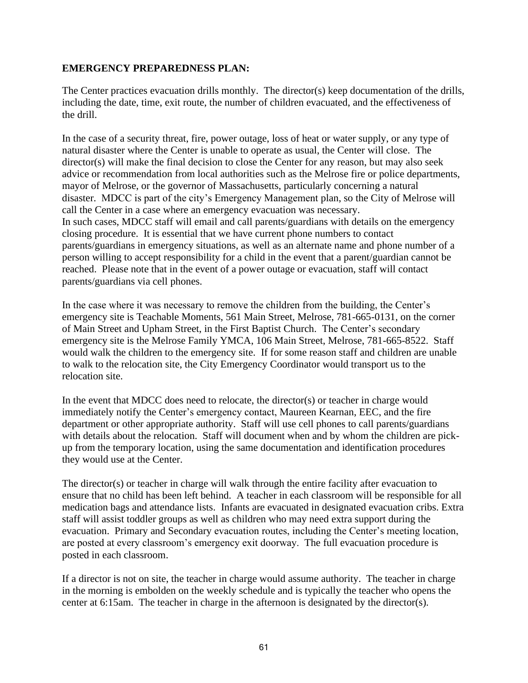#### **EMERGENCY PREPAREDNESS PLAN:**

The Center practices evacuation drills monthly. The director(s) keep documentation of the drills, including the date, time, exit route, the number of children evacuated, and the effectiveness of the drill.

In the case of a security threat, fire, power outage, loss of heat or water supply, or any type of natural disaster where the Center is unable to operate as usual, the Center will close. The director(s) will make the final decision to close the Center for any reason, but may also seek advice or recommendation from local authorities such as the Melrose fire or police departments, mayor of Melrose, or the governor of Massachusetts, particularly concerning a natural disaster. MDCC is part of the city's Emergency Management plan, so the City of Melrose will call the Center in a case where an emergency evacuation was necessary. In such cases, MDCC staff will email and call parents/guardians with details on the emergency closing procedure. It is essential that we have current phone numbers to contact parents/guardians in emergency situations, as well as an alternate name and phone number of a person willing to accept responsibility for a child in the event that a parent/guardian cannot be reached. Please note that in the event of a power outage or evacuation, staff will contact parents/guardians via cell phones.

In the case where it was necessary to remove the children from the building, the Center's emergency site is Teachable Moments, 561 Main Street, Melrose, 781-665-0131, on the corner of Main Street and Upham Street, in the First Baptist Church. The Center's secondary emergency site is the Melrose Family YMCA, 106 Main Street, Melrose, 781-665-8522. Staff would walk the children to the emergency site. If for some reason staff and children are unable to walk to the relocation site, the City Emergency Coordinator would transport us to the relocation site.

In the event that MDCC does need to relocate, the director(s) or teacher in charge would immediately notify the Center's emergency contact, Maureen Kearnan, EEC, and the fire department or other appropriate authority. Staff will use cell phones to call parents/guardians with details about the relocation. Staff will document when and by whom the children are pickup from the temporary location, using the same documentation and identification procedures they would use at the Center.

The director(s) or teacher in charge will walk through the entire facility after evacuation to ensure that no child has been left behind. A teacher in each classroom will be responsible for all medication bags and attendance lists. Infants are evacuated in designated evacuation cribs. Extra staff will assist toddler groups as well as children who may need extra support during the evacuation. Primary and Secondary evacuation routes, including the Center's meeting location, are posted at every classroom's emergency exit doorway. The full evacuation procedure is posted in each classroom.

If a director is not on site, the teacher in charge would assume authority. The teacher in charge in the morning is embolden on the weekly schedule and is typically the teacher who opens the center at 6:15am. The teacher in charge in the afternoon is designated by the director(s).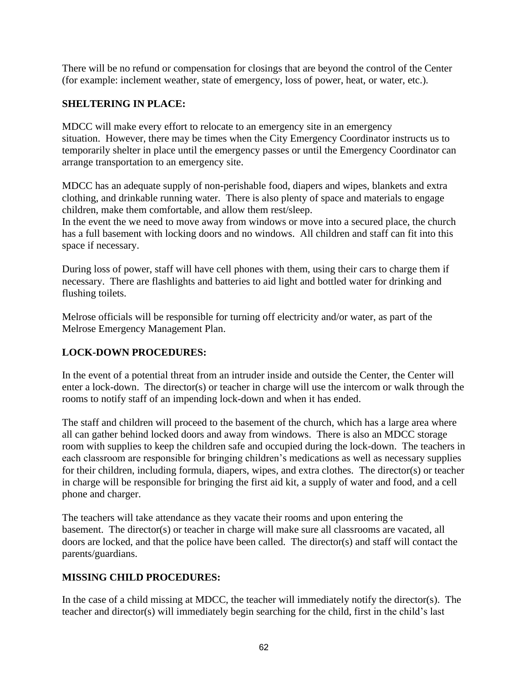There will be no refund or compensation for closings that are beyond the control of the Center (for example: inclement weather, state of emergency, loss of power, heat, or water, etc.).

## **SHELTERING IN PLACE:**

MDCC will make every effort to relocate to an emergency site in an emergency situation. However, there may be times when the City Emergency Coordinator instructs us to temporarily shelter in place until the emergency passes or until the Emergency Coordinator can arrange transportation to an emergency site.

MDCC has an adequate supply of non-perishable food, diapers and wipes, blankets and extra clothing, and drinkable running water. There is also plenty of space and materials to engage children, make them comfortable, and allow them rest/sleep.

In the event the we need to move away from windows or move into a secured place, the church has a full basement with locking doors and no windows. All children and staff can fit into this space if necessary.

During loss of power, staff will have cell phones with them, using their cars to charge them if necessary. There are flashlights and batteries to aid light and bottled water for drinking and flushing toilets.

Melrose officials will be responsible for turning off electricity and/or water, as part of the Melrose Emergency Management Plan.

## **LOCK-DOWN PROCEDURES:**

In the event of a potential threat from an intruder inside and outside the Center, the Center will enter a lock-down. The director(s) or teacher in charge will use the intercom or walk through the rooms to notify staff of an impending lock-down and when it has ended.

The staff and children will proceed to the basement of the church, which has a large area where all can gather behind locked doors and away from windows. There is also an MDCC storage room with supplies to keep the children safe and occupied during the lock-down. The teachers in each classroom are responsible for bringing children's medications as well as necessary supplies for their children, including formula, diapers, wipes, and extra clothes. The director(s) or teacher in charge will be responsible for bringing the first aid kit, a supply of water and food, and a cell phone and charger.

The teachers will take attendance as they vacate their rooms and upon entering the basement. The director(s) or teacher in charge will make sure all classrooms are vacated, all doors are locked, and that the police have been called. The director(s) and staff will contact the parents/guardians.

## **MISSING CHILD PROCEDURES:**

In the case of a child missing at MDCC, the teacher will immediately notify the director(s). The teacher and director(s) will immediately begin searching for the child, first in the child's last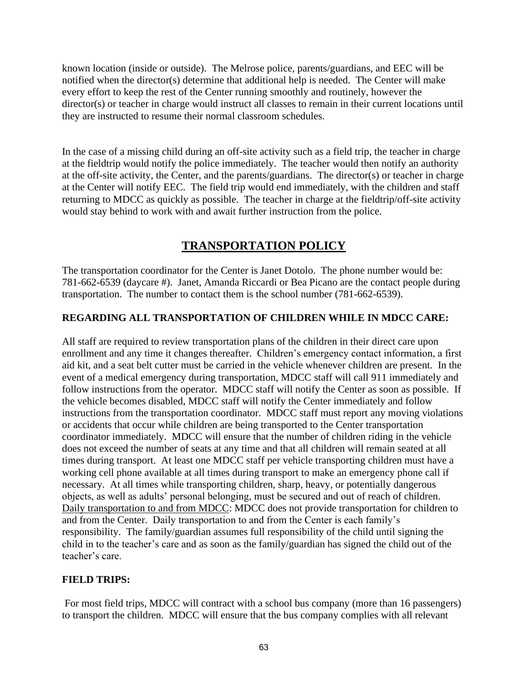known location (inside or outside). The Melrose police, parents/guardians, and EEC will be notified when the director(s) determine that additional help is needed. The Center will make every effort to keep the rest of the Center running smoothly and routinely, however the director(s) or teacher in charge would instruct all classes to remain in their current locations until they are instructed to resume their normal classroom schedules.

In the case of a missing child during an off-site activity such as a field trip, the teacher in charge at the fieldtrip would notify the police immediately. The teacher would then notify an authority at the off-site activity, the Center, and the parents/guardians. The director(s) or teacher in charge at the Center will notify EEC. The field trip would end immediately, with the children and staff returning to MDCC as quickly as possible. The teacher in charge at the fieldtrip/off-site activity would stay behind to work with and await further instruction from the police.

## **TRANSPORTATION POLICY**

The transportation coordinator for the Center is Janet Dotolo. The phone number would be: 781-662-6539 (daycare #). Janet, Amanda Riccardi or Bea Picano are the contact people during transportation. The number to contact them is the school number (781-662-6539).

## **REGARDING ALL TRANSPORTATION OF CHILDREN WHILE IN MDCC CARE:**

All staff are required to review transportation plans of the children in their direct care upon enrollment and any time it changes thereafter. Children's emergency contact information, a first aid kit, and a seat belt cutter must be carried in the vehicle whenever children are present. In the event of a medical emergency during transportation, MDCC staff will call 911 immediately and follow instructions from the operator. MDCC staff will notify the Center as soon as possible. If the vehicle becomes disabled, MDCC staff will notify the Center immediately and follow instructions from the transportation coordinator. MDCC staff must report any moving violations or accidents that occur while children are being transported to the Center transportation coordinator immediately. MDCC will ensure that the number of children riding in the vehicle does not exceed the number of seats at any time and that all children will remain seated at all times during transport. At least one MDCC staff per vehicle transporting children must have a working cell phone available at all times during transport to make an emergency phone call if necessary. At all times while transporting children, sharp, heavy, or potentially dangerous objects, as well as adults' personal belonging, must be secured and out of reach of children. Daily transportation to and from MDCC: MDCC does not provide transportation for children to and from the Center. Daily transportation to and from the Center is each family's responsibility. The family/guardian assumes full responsibility of the child until signing the child in to the teacher's care and as soon as the family/guardian has signed the child out of the teacher's care.

## **FIELD TRIPS:**

For most field trips, MDCC will contract with a school bus company (more than 16 passengers) to transport the children. MDCC will ensure that the bus company complies with all relevant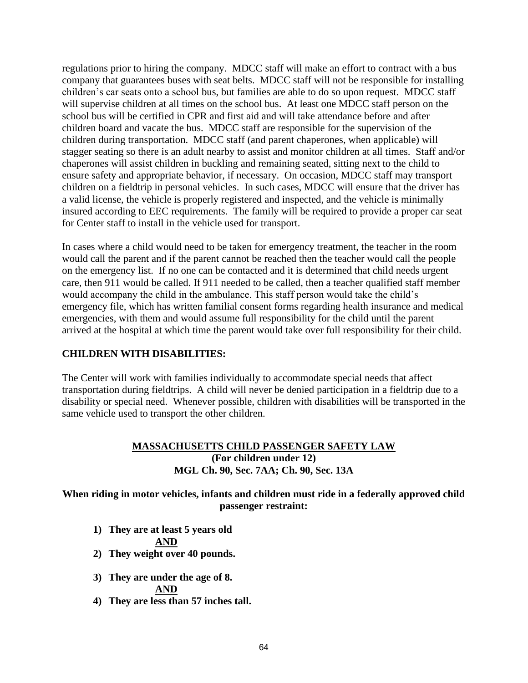regulations prior to hiring the company. MDCC staff will make an effort to contract with a bus company that guarantees buses with seat belts. MDCC staff will not be responsible for installing children's car seats onto a school bus, but families are able to do so upon request. MDCC staff will supervise children at all times on the school bus. At least one MDCC staff person on the school bus will be certified in CPR and first aid and will take attendance before and after children board and vacate the bus. MDCC staff are responsible for the supervision of the children during transportation. MDCC staff (and parent chaperones, when applicable) will stagger seating so there is an adult nearby to assist and monitor children at all times. Staff and/or chaperones will assist children in buckling and remaining seated, sitting next to the child to ensure safety and appropriate behavior, if necessary. On occasion, MDCC staff may transport children on a fieldtrip in personal vehicles. In such cases, MDCC will ensure that the driver has a valid license, the vehicle is properly registered and inspected, and the vehicle is minimally insured according to EEC requirements. The family will be required to provide a proper car seat for Center staff to install in the vehicle used for transport.

In cases where a child would need to be taken for emergency treatment, the teacher in the room would call the parent and if the parent cannot be reached then the teacher would call the people on the emergency list. If no one can be contacted and it is determined that child needs urgent care, then 911 would be called. If 911 needed to be called, then a teacher qualified staff member would accompany the child in the ambulance. This staff person would take the child's emergency file, which has written familial consent forms regarding health insurance and medical emergencies, with them and would assume full responsibility for the child until the parent arrived at the hospital at which time the parent would take over full responsibility for their child.

## **CHILDREN WITH DISABILITIES:**

The Center will work with families individually to accommodate special needs that affect transportation during fieldtrips. A child will never be denied participation in a fieldtrip due to a disability or special need. Whenever possible, children with disabilities will be transported in the same vehicle used to transport the other children.

### **MASSACHUSETTS CHILD PASSENGER SAFETY LAW (For children under 12) MGL Ch. 90, Sec. 7AA; Ch. 90, Sec. 13A**

**When riding in motor vehicles, infants and children must ride in a federally approved child passenger restraint:**

**1) They are at least 5 years old**

#### **AND**

- **2) They weight over 40 pounds.**
- **3) They are under the age of 8. AND**
- **4) They are less than 57 inches tall.**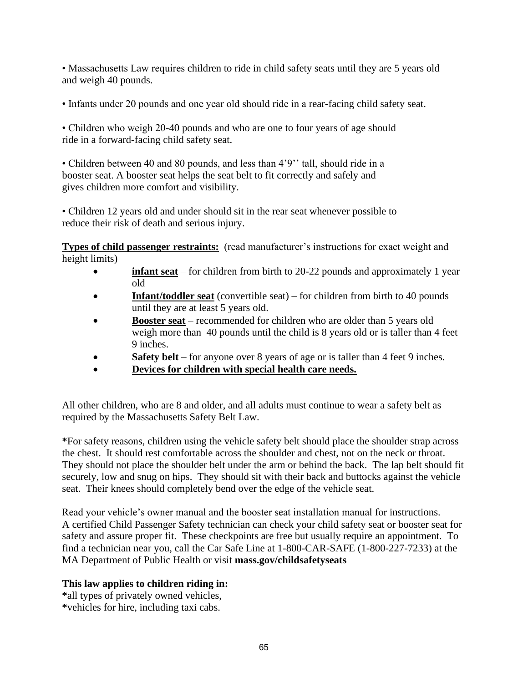• Massachusetts Law requires children to ride in child safety seats until they are 5 years old and weigh 40 pounds.

• Infants under 20 pounds and one year old should ride in a rear-facing child safety seat.

• Children who weigh 20-40 pounds and who are one to four years of age should ride in a forward-facing child safety seat.

• Children between 40 and 80 pounds, and less than 4'9'' tall, should ride in a booster seat. A booster seat helps the seat belt to fit correctly and safely and gives children more comfort and visibility.

• Children 12 years old and under should sit in the rear seat whenever possible to reduce their risk of death and serious injury.

**Types of child passenger restraints:** (read manufacturer's instructions for exact weight and height limits)

- **infant seat** for children from birth to 20-22 pounds and approximately 1 year old
- **Infant/toddler seat** (convertible seat) for children from birth to 40 pounds until they are at least 5 years old.
- **Booster seat** recommended for children who are older than 5 years old weigh more than 40 pounds until the child is 8 years old or is taller than 4 feet 9 inches.
- **Safety belt** for anyone over 8 years of age or is taller than 4 feet 9 inches.
- **Devices for children with special health care needs.**

All other children, who are 8 and older, and all adults must continue to wear a safety belt as required by the Massachusetts Safety Belt Law.

**\***For safety reasons, children using the vehicle safety belt should place the shoulder strap across the chest. It should rest comfortable across the shoulder and chest, not on the neck or throat. They should not place the shoulder belt under the arm or behind the back. The lap belt should fit securely, low and snug on hips. They should sit with their back and buttocks against the vehicle seat. Their knees should completely bend over the edge of the vehicle seat.

Read your vehicle's owner manual and the booster seat installation manual for instructions. A certified Child Passenger Safety technician can check your child safety seat or booster seat for safety and assure proper fit. These checkpoints are free but usually require an appointment. To find a technician near you, call the Car Safe Line at 1-800-CAR-SAFE (1-800-227-7233) at the MA Department of Public Health or visit **mass.gov/childsafetyseats**

## **This law applies to children riding in:**

**\***all types of privately owned vehicles, **\***vehicles for hire, including taxi cabs.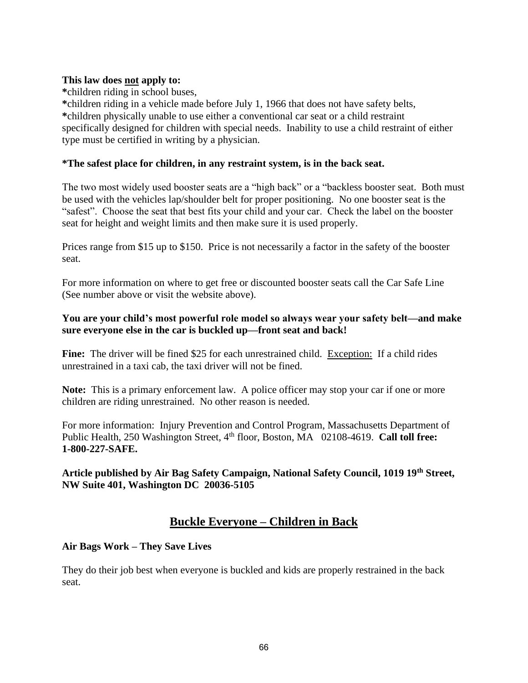#### **This law does not apply to:**

**\***children riding in school buses,

**\***children riding in a vehicle made before July 1, 1966 that does not have safety belts, **\***children physically unable to use either a conventional car seat or a child restraint specifically designed for children with special needs. Inability to use a child restraint of either type must be certified in writing by a physician.

#### **\*The safest place for children, in any restraint system, is in the back seat.**

The two most widely used booster seats are a "high back" or a "backless booster seat. Both must be used with the vehicles lap/shoulder belt for proper positioning. No one booster seat is the "safest". Choose the seat that best fits your child and your car. Check the label on the booster seat for height and weight limits and then make sure it is used properly.

Prices range from \$15 up to \$150. Price is not necessarily a factor in the safety of the booster seat.

For more information on where to get free or discounted booster seats call the Car Safe Line (See number above or visit the website above).

### **You are your child's most powerful role model so always wear your safety belt—and make sure everyone else in the car is buckled up—front seat and back!**

**Fine:** The driver will be fined \$25 for each unrestrained child. Exception: If a child rides unrestrained in a taxi cab, the taxi driver will not be fined.

**Note:** This is a primary enforcement law. A police officer may stop your car if one or more children are riding unrestrained. No other reason is needed.

For more information: Injury Prevention and Control Program, Massachusetts Department of Public Health, 250 Washington Street, 4<sup>th</sup> floor, Boston, MA 02108-4619. **Call toll free: 1-800-227-SAFE.**

**Article published by Air Bag Safety Campaign, National Safety Council, 1019 19th Street, NW Suite 401, Washington DC 20036-5105** 

## **Buckle Everyone – Children in Back**

## **Air Bags Work – They Save Lives**

They do their job best when everyone is buckled and kids are properly restrained in the back seat.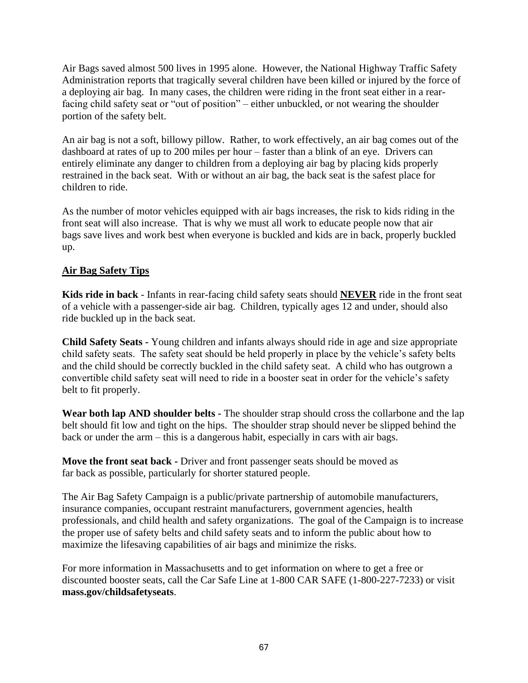Air Bags saved almost 500 lives in 1995 alone. However, the National Highway Traffic Safety Administration reports that tragically several children have been killed or injured by the force of a deploying air bag. In many cases, the children were riding in the front seat either in a rearfacing child safety seat or "out of position" – either unbuckled, or not wearing the shoulder portion of the safety belt.

An air bag is not a soft, billowy pillow. Rather, to work effectively, an air bag comes out of the dashboard at rates of up to 200 miles per hour – faster than a blink of an eye. Drivers can entirely eliminate any danger to children from a deploying air bag by placing kids properly restrained in the back seat. With or without an air bag, the back seat is the safest place for children to ride.

As the number of motor vehicles equipped with air bags increases, the risk to kids riding in the front seat will also increase. That is why we must all work to educate people now that air bags save lives and work best when everyone is buckled and kids are in back, properly buckled up.

## **Air Bag Safety Tips**

**Kids ride in back** - Infants in rear-facing child safety seats should **NEVER** ride in the front seat of a vehicle with a passenger-side air bag. Children, typically ages 12 and under, should also ride buckled up in the back seat.

**Child Safety Seats -** Young children and infants always should ride in age and size appropriate child safety seats. The safety seat should be held properly in place by the vehicle's safety belts and the child should be correctly buckled in the child safety seat. A child who has outgrown a convertible child safety seat will need to ride in a booster seat in order for the vehicle's safety belt to fit properly.

**Wear both lap AND shoulder belts -** The shoulder strap should cross the collarbone and the lap belt should fit low and tight on the hips. The shoulder strap should never be slipped behind the back or under the arm – this is a dangerous habit, especially in cars with air bags.

**Move the front seat back -** Driver and front passenger seats should be moved as far back as possible, particularly for shorter statured people.

The Air Bag Safety Campaign is a public/private partnership of automobile manufacturers, insurance companies, occupant restraint manufacturers, government agencies, health professionals, and child health and safety organizations. The goal of the Campaign is to increase the proper use of safety belts and child safety seats and to inform the public about how to maximize the lifesaving capabilities of air bags and minimize the risks.

For more information in Massachusetts and to get information on where to get a free or discounted booster seats, call the Car Safe Line at 1-800 CAR SAFE (1-800-227-7233) or visit **mass.gov/childsafetyseats**.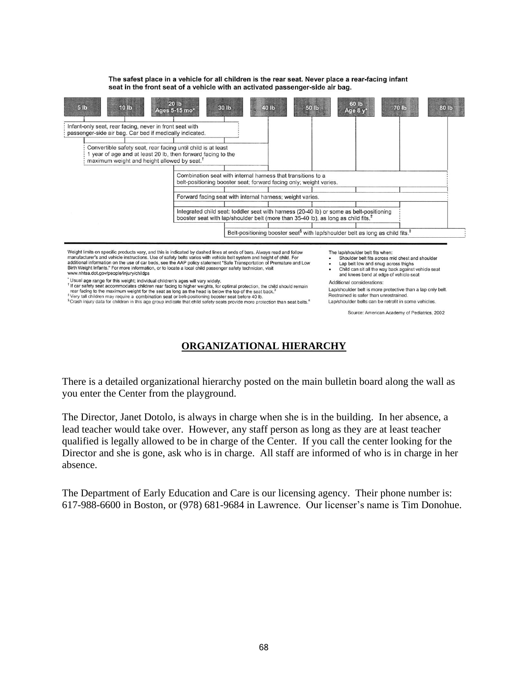

The safest place in a vehicle for all children is the rear seat. Never place a rear-facing infant

seat in the front seat of a vehicle with an activated passenger-side air bag.

Weight limits on specific products vary, and this is indicated by dashed lines at ends of bars. Always read and follow<br>manufacturer's and vehicle instructions. Use of safety belts varies with vehicle belt system and height Birth Weight Infants." For more information, or to locate a local child passenger safety technician, visit www.nhtsa.dot.gov/people/injury/childps

Usual age range for this weight; individual children's ages will vary widely.<br><sup>1</sup> If car safety seat accommodates children rear facing to higher weights, for optimal protection, the child should remain<br>the rear facing to t

\*Very tall children may require a combination seat or belt-positioning booster seat before 40 lb.<br><sup>§</sup>Crash injury data for children in this age group indicate that child safety seats provide more protection than seat belts

- Shoulder belt fits across mid chest and shoulder  $\cdot$
- Lap belt low and snug across thighs Child can sit all the way back against vehicle seat and knees bend at edge of vehicle seat

Additional considerations:

Lap/shoulder belt is more protective than a lap only belt. Restrained is safer than unrestrained. Lap/shoulder belts can be retrofit in some vehicles.

Source: American Academy of Pediatrics, 2002

## **ORGANIZATIONAL HIERARCHY**

There is a detailed organizational hierarchy posted on the main bulletin board along the wall as you enter the Center from the playground.

The Director, Janet Dotolo, is always in charge when she is in the building. In her absence, a lead teacher would take over. However, any staff person as long as they are at least teacher qualified is legally allowed to be in charge of the Center. If you call the center looking for the Director and she is gone, ask who is in charge. All staff are informed of who is in charge in her absence.

The Department of Early Education and Care is our licensing agency. Their phone number is: 617-988-6600 in Boston, or (978) 681-9684 in Lawrence. Our licenser's name is Tim Donohue.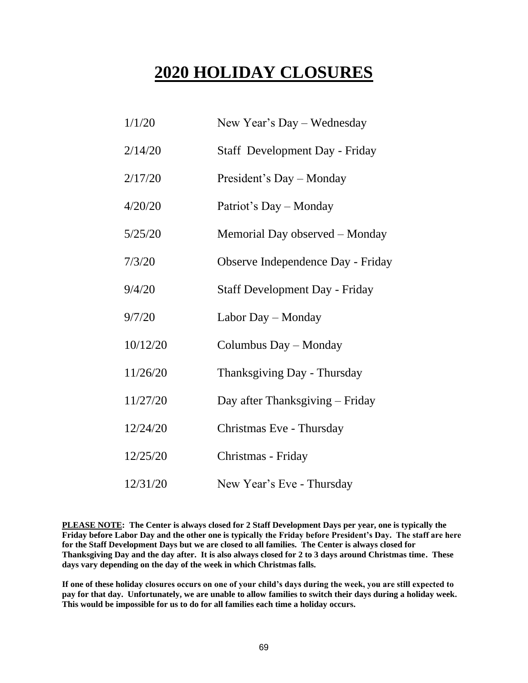# **2020 HOLIDAY CLOSURES**

| 1/1/20   | New Year's Day – Wednesday            |
|----------|---------------------------------------|
| 2/14/20  | Staff Development Day - Friday        |
| 2/17/20  | President's Day - Monday              |
| 4/20/20  | Patriot's Day - Monday                |
| 5/25/20  | Memorial Day observed – Monday        |
| 7/3/20   | Observe Independence Day - Friday     |
| 9/4/20   | <b>Staff Development Day - Friday</b> |
| 9/7/20   | Labor Day – Monday                    |
| 10/12/20 | Columbus Day - Monday                 |
| 11/26/20 | Thanksgiving Day - Thursday           |
| 11/27/20 | Day after Thanksgiving – Friday       |
| 12/24/20 | Christmas Eve - Thursday              |
| 12/25/20 | Christmas - Friday                    |
| 12/31/20 | New Year's Eve - Thursday             |

**PLEASE NOTE: The Center is always closed for 2 Staff Development Days per year, one is typically the Friday before Labor Day and the other one is typically the Friday before President's Day. The staff are here for the Staff Development Days but we are closed to all families. The Center is always closed for Thanksgiving Day and the day after. It is also always closed for 2 to 3 days around Christmas time. These days vary depending on the day of the week in which Christmas falls.** 

**If one of these holiday closures occurs on one of your child's days during the week, you are still expected to pay for that day. Unfortunately, we are unable to allow families to switch their days during a holiday week. This would be impossible for us to do for all families each time a holiday occurs.**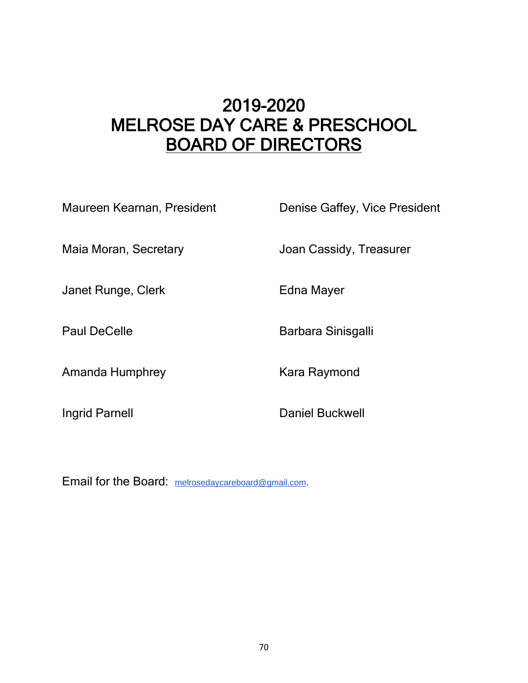# 2019-2020 MELROSE DAY CARE & PRESCHOOL BOARD OF DIRECTORS

| Maureen Kearnan, President | Denise Gaffey, Vice President |
|----------------------------|-------------------------------|
| Maia Moran, Secretary      | Joan Cassidy, Treasurer       |
| Janet Runge, Clerk         | Edna Mayer                    |
| <b>Paul DeCelle</b>        | Barbara Sinisgalli            |
| Amanda Humphrey            | Kara Raymond                  |
| Ingrid Parnell             | Daniel Buckwell               |
|                            |                               |

Email for the Board: [melrosedaycareboard@gmail.com.](mailto:melrosedaycareboard@gmail.com)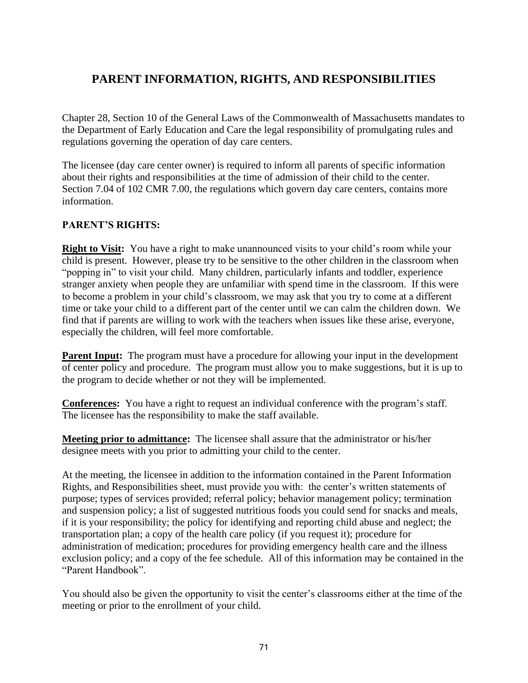## **PARENT INFORMATION, RIGHTS, AND RESPONSIBILITIES**

Chapter 28, Section 10 of the General Laws of the Commonwealth of Massachusetts mandates to the Department of Early Education and Care the legal responsibility of promulgating rules and regulations governing the operation of day care centers.

The licensee (day care center owner) is required to inform all parents of specific information about their rights and responsibilities at the time of admission of their child to the center. Section 7.04 of 102 CMR 7.00, the regulations which govern day care centers, contains more information.

## **PARENT'S RIGHTS:**

**Right to Visit:** You have a right to make unannounced visits to your child's room while your child is present. However, please try to be sensitive to the other children in the classroom when "popping in" to visit your child. Many children, particularly infants and toddler, experience stranger anxiety when people they are unfamiliar with spend time in the classroom. If this were to become a problem in your child's classroom, we may ask that you try to come at a different time or take your child to a different part of the center until we can calm the children down. We find that if parents are willing to work with the teachers when issues like these arise, everyone, especially the children, will feel more comfortable.

**Parent Input:** The program must have a procedure for allowing your input in the development of center policy and procedure. The program must allow you to make suggestions, but it is up to the program to decide whether or not they will be implemented.

**Conferences:** You have a right to request an individual conference with the program's staff. The licensee has the responsibility to make the staff available.

**Meeting prior to admittance:** The licensee shall assure that the administrator or his/her designee meets with you prior to admitting your child to the center.

At the meeting, the licensee in addition to the information contained in the Parent Information Rights, and Responsibilities sheet, must provide you with: the center's written statements of purpose; types of services provided; referral policy; behavior management policy; termination and suspension policy; a list of suggested nutritious foods you could send for snacks and meals, if it is your responsibility; the policy for identifying and reporting child abuse and neglect; the transportation plan; a copy of the health care policy (if you request it); procedure for administration of medication; procedures for providing emergency health care and the illness exclusion policy; and a copy of the fee schedule. All of this information may be contained in the "Parent Handbook".

You should also be given the opportunity to visit the center's classrooms either at the time of the meeting or prior to the enrollment of your child.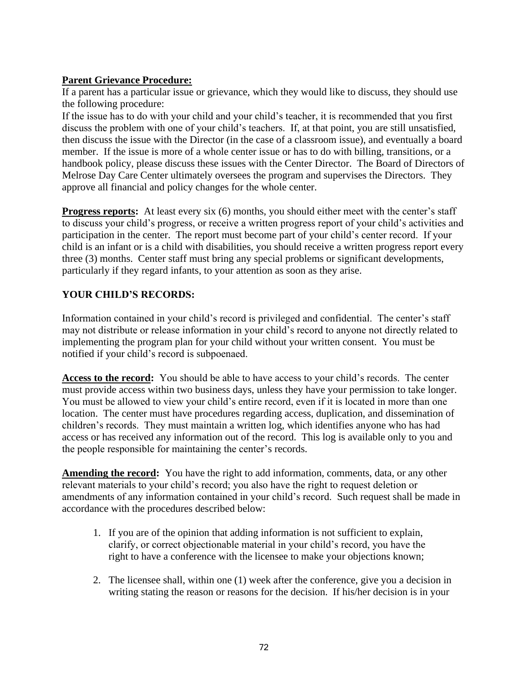## **Parent Grievance Procedure:**

If a parent has a particular issue or grievance, which they would like to discuss, they should use the following procedure:

If the issue has to do with your child and your child's teacher, it is recommended that you first discuss the problem with one of your child's teachers. If, at that point, you are still unsatisfied, then discuss the issue with the Director (in the case of a classroom issue), and eventually a board member. If the issue is more of a whole center issue or has to do with billing, transitions, or a handbook policy, please discuss these issues with the Center Director. The Board of Directors of Melrose Day Care Center ultimately oversees the program and supervises the Directors. They approve all financial and policy changes for the whole center.

**Progress reports:** At least every six (6) months, you should either meet with the center's staff to discuss your child's progress, or receive a written progress report of your child's activities and participation in the center. The report must become part of your child's center record. If your child is an infant or is a child with disabilities, you should receive a written progress report every three (3) months. Center staff must bring any special problems or significant developments, particularly if they regard infants, to your attention as soon as they arise.

## **YOUR CHILD'S RECORDS:**

Information contained in your child's record is privileged and confidential. The center's staff may not distribute or release information in your child's record to anyone not directly related to implementing the program plan for your child without your written consent. You must be notified if your child's record is subpoenaed.

**Access to the record:** You should be able to have access to your child's records. The center must provide access within two business days, unless they have your permission to take longer. You must be allowed to view your child's entire record, even if it is located in more than one location. The center must have procedures regarding access, duplication, and dissemination of children's records. They must maintain a written log, which identifies anyone who has had access or has received any information out of the record. This log is available only to you and the people responsible for maintaining the center's records.

**Amending the record:** You have the right to add information, comments, data, or any other relevant materials to your child's record; you also have the right to request deletion or amendments of any information contained in your child's record. Such request shall be made in accordance with the procedures described below:

- 1. If you are of the opinion that adding information is not sufficient to explain, clarify, or correct objectionable material in your child's record, you have the right to have a conference with the licensee to make your objections known;
- 2. The licensee shall, within one (1) week after the conference, give you a decision in writing stating the reason or reasons for the decision. If his/her decision is in your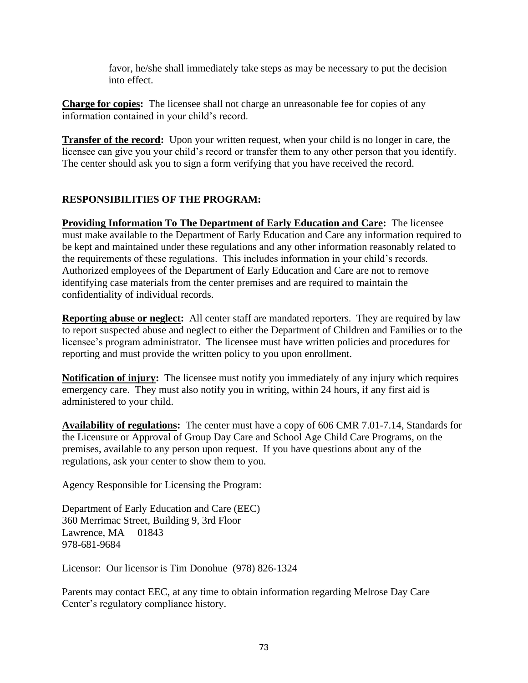favor, he/she shall immediately take steps as may be necessary to put the decision into effect.

**Charge for copies:** The licensee shall not charge an unreasonable fee for copies of any information contained in your child's record.

**Transfer of the record:** Upon your written request, when your child is no longer in care, the licensee can give you your child's record or transfer them to any other person that you identify. The center should ask you to sign a form verifying that you have received the record.

## **RESPONSIBILITIES OF THE PROGRAM:**

**Providing Information To The Department of Early Education and Care:** The licensee must make available to the Department of Early Education and Care any information required to be kept and maintained under these regulations and any other information reasonably related to the requirements of these regulations. This includes information in your child's records. Authorized employees of the Department of Early Education and Care are not to remove identifying case materials from the center premises and are required to maintain the confidentiality of individual records.

**Reporting abuse or neglect:** All center staff are mandated reporters. They are required by law to report suspected abuse and neglect to either the Department of Children and Families or to the licensee's program administrator. The licensee must have written policies and procedures for reporting and must provide the written policy to you upon enrollment.

**Notification of injury:** The licensee must notify you immediately of any injury which requires emergency care. They must also notify you in writing, within 24 hours, if any first aid is administered to your child.

**Availability of regulations:** The center must have a copy of 606 CMR 7.01-7.14, Standards for the Licensure or Approval of Group Day Care and School Age Child Care Programs, on the premises, available to any person upon request. If you have questions about any of the regulations, ask your center to show them to you.

Agency Responsible for Licensing the Program:

Department of Early Education and Care (EEC) 360 Merrimac Street, Building 9, 3rd Floor Lawrence, MA 01843 978-681-9684

Licensor: Our licensor is Tim Donohue (978) 826-1324

Parents may contact EEC, at any time to obtain information regarding Melrose Day Care Center's regulatory compliance history.